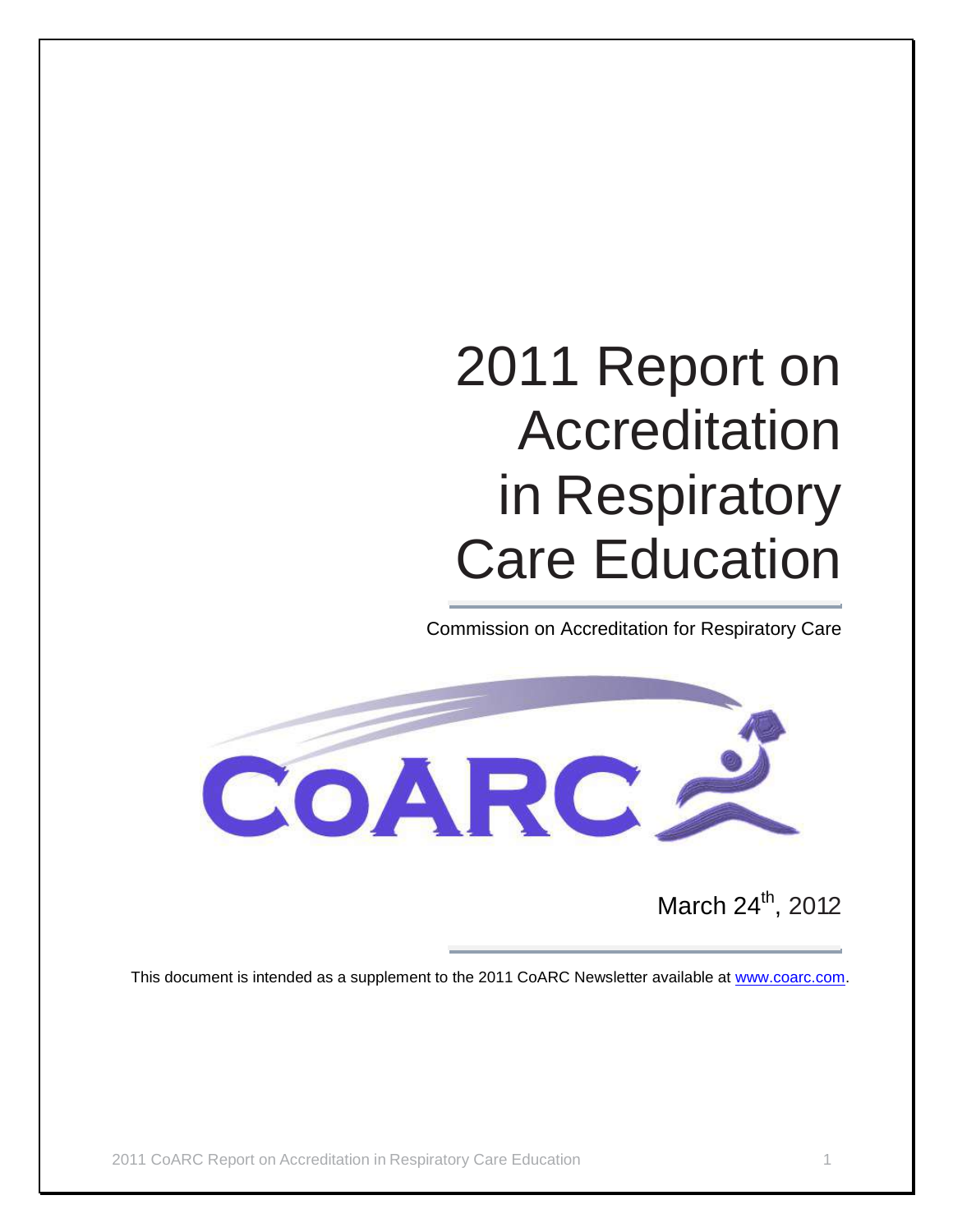# 2011 Report on Accreditation in Respiratory Care Education

Commission on Accreditation for Respiratory Care



March 24<sup>th</sup>, 2012

This document is intended as a supplement to the 2011 CoARC Newsletter available at [www.coarc.com.](http://www.coarc.com/)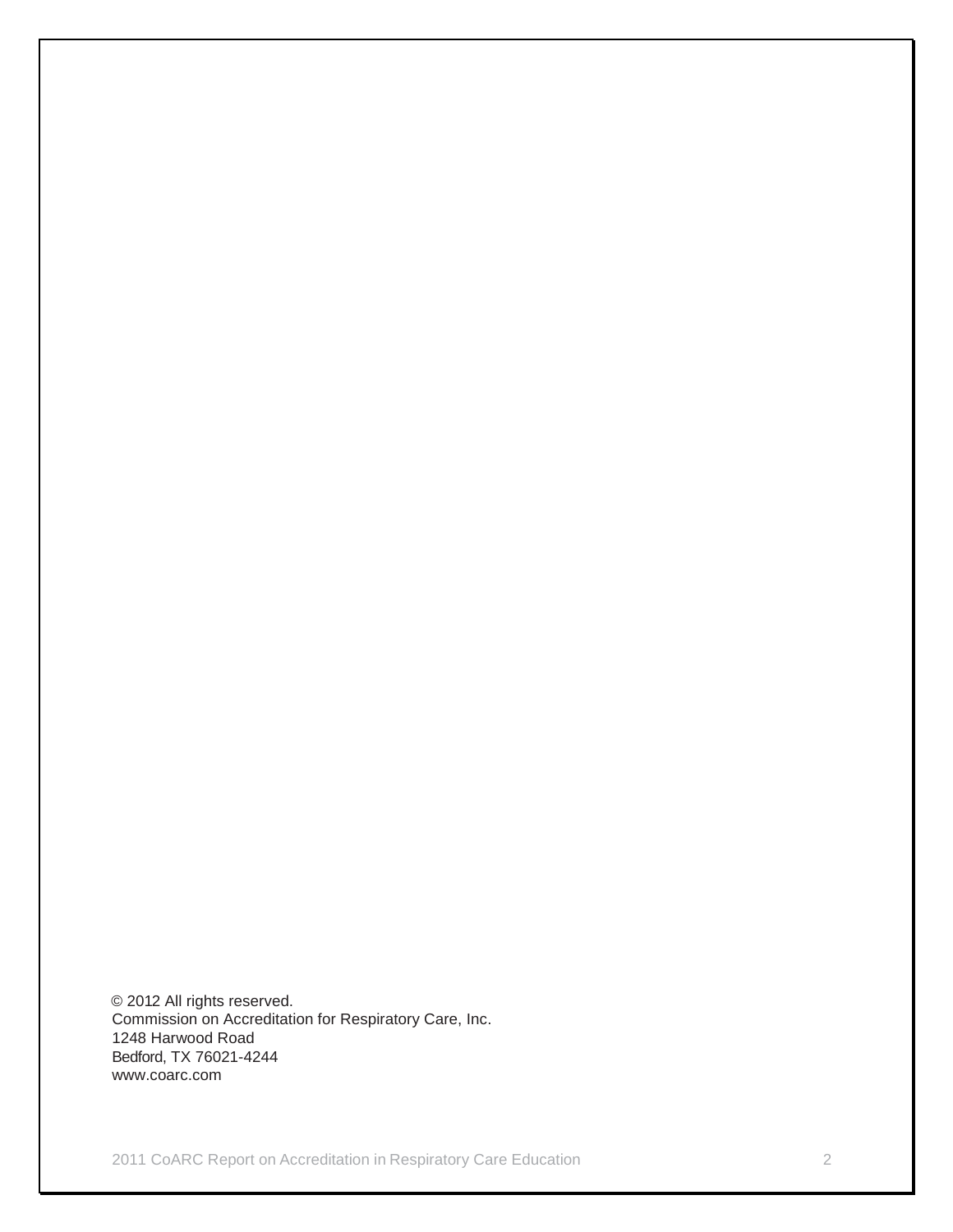© 2012 All rights reserved. Commission on Accreditation for Respiratory Care, Inc. 1248 Harwood Road Bedford, TX 76021-4244 www.coarc.com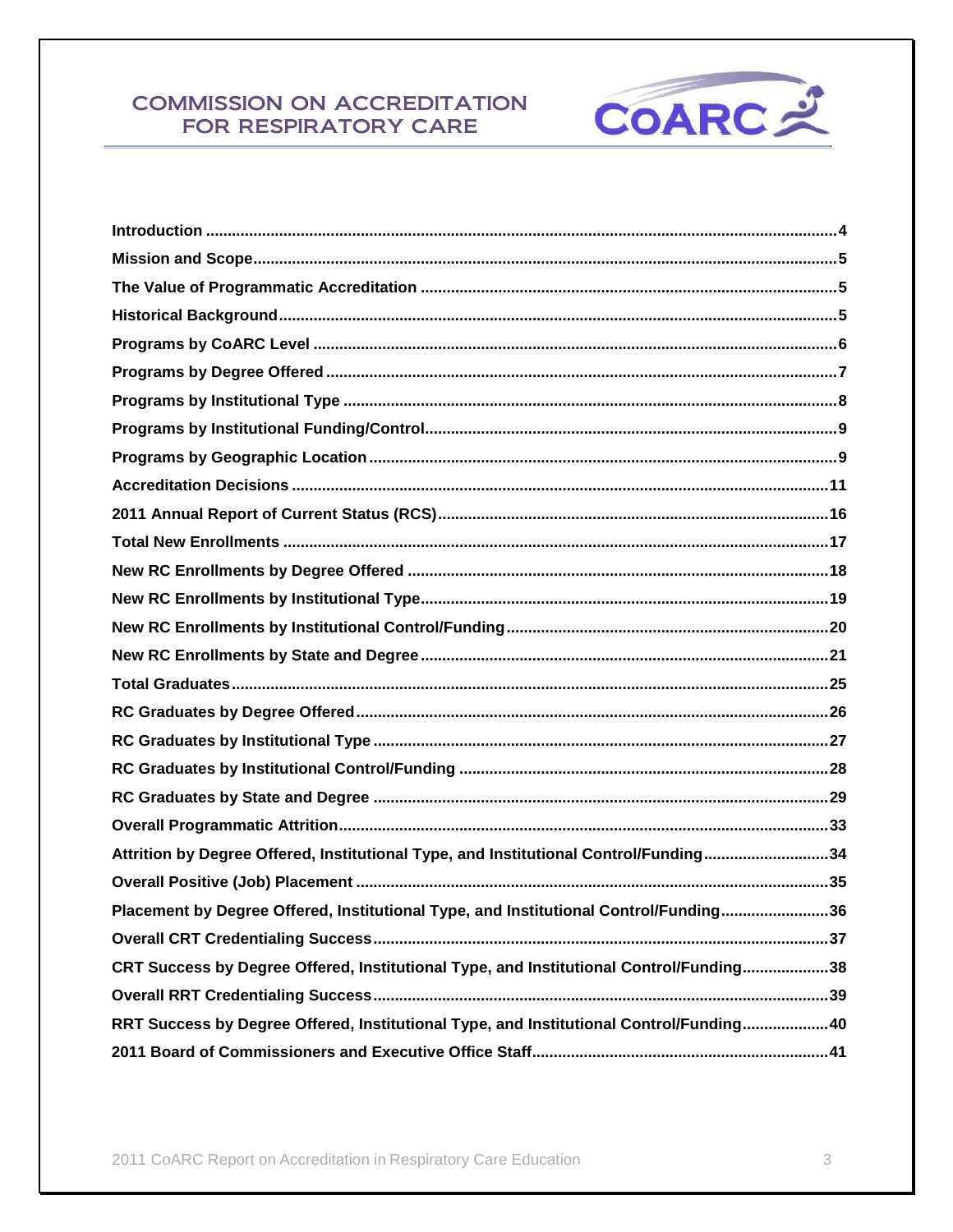

| Attrition by Degree Offered, Institutional Type, and Institutional Control/Funding34   |  |
|----------------------------------------------------------------------------------------|--|
|                                                                                        |  |
| Placement by Degree Offered, Institutional Type, and Institutional Control/Funding36   |  |
|                                                                                        |  |
| CRT Success by Degree Offered, Institutional Type, and Institutional Control/Funding38 |  |
|                                                                                        |  |
| RRT Success by Degree Offered, Institutional Type, and Institutional Control/Funding40 |  |
|                                                                                        |  |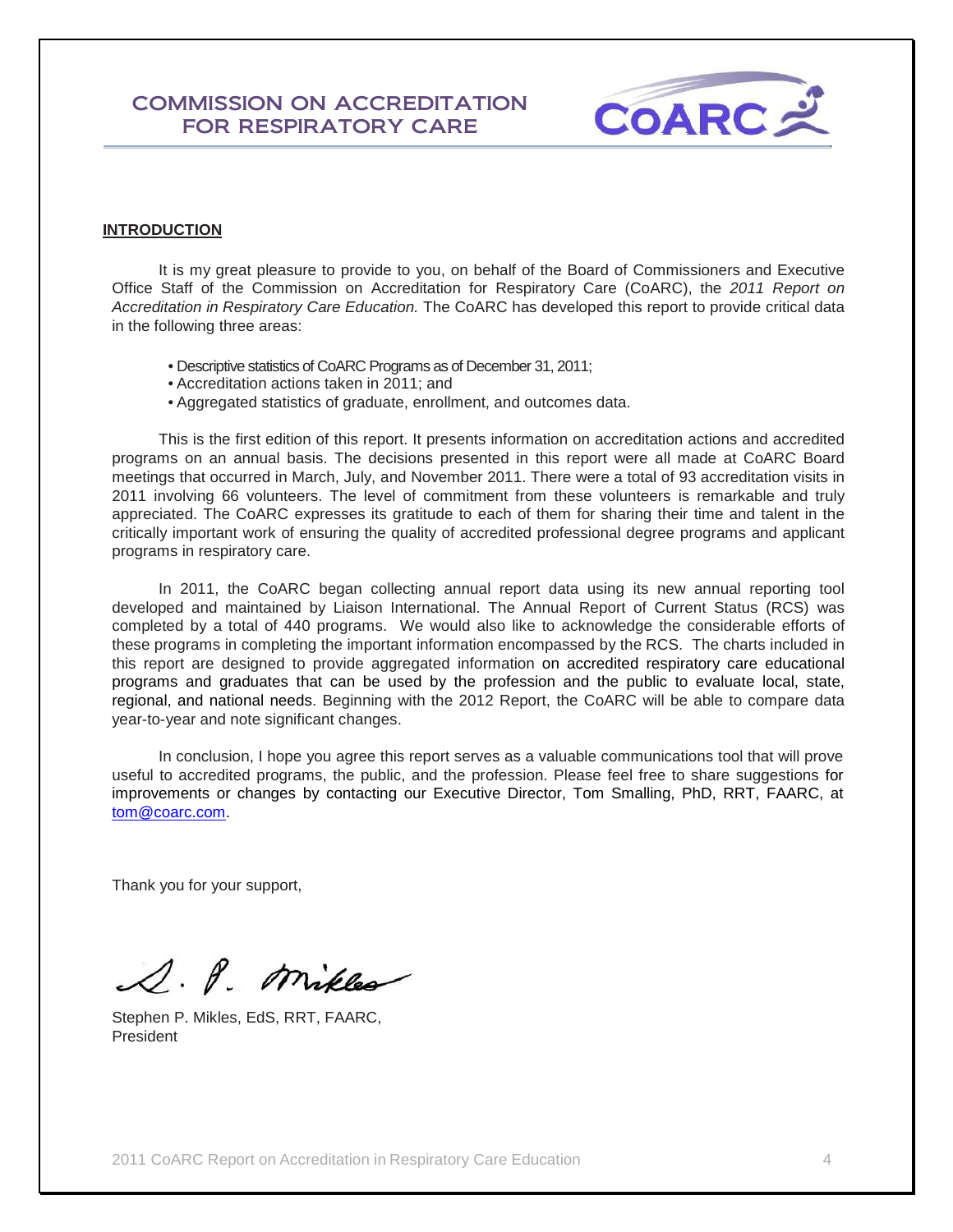

## **INTRODUCTION**

It is my great pleasure to provide to you, on behalf of the Board of Commissioners and Executive Office Staff of the Commission on Accreditation for Respiratory Care (CoARC), the *2011 Report on Accreditation in Respiratory Care Education.* The CoARC has developed this report to provide critical data in the following three areas:

- Descriptive statistics of CoARC Programs as of December 31, 2011;
- Accreditation actions taken in 2011; and
- Aggregated statistics of graduate, enrollment, and outcomes data.

This is the first edition of this report. It presents information on accreditation actions and accredited programs on an annual basis. The decisions presented in this report were all made at CoARC Board meetings that occurred in March, July, and November 2011. There were a total of 93 accreditation visits in 2011 involving 66 volunteers. The level of commitment from these volunteers is remarkable and truly appreciated. The CoARC expresses its gratitude to each of them for sharing their time and talent in the critically important work of ensuring the quality of accredited professional degree programs and applicant programs in respiratory care.

In 2011, the CoARC began collecting annual report data using its new annual reporting tool developed and maintained by Liaison International. The Annual Report of Current Status (RCS) was completed by a total of 440 programs. We would also like to acknowledge the considerable efforts of these programs in completing the important information encompassed by the RCS. The charts included in this report are designed to provide aggregated information on accredited respiratory care educational programs and graduates that can be used by the profession and the public to evaluate local, state, regional, and national needs. Beginning with the 2012 Report, the CoARC will be able to compare data year-to-year and note significant changes.

In conclusion, I hope you agree this report serves as a valuable communications tool that will prove useful to accredited programs, the public, and the profession. Please feel free to share suggestions for improvements or changes by contacting our Executive Director, Tom Smalling, PhD, RRT, FAARC, at [tom@coarc.com.](mailto:tom@coarc.com)

Thank you for your support,

S. P. Mikles

Stephen P. Mikles, EdS, RRT, FAARC, President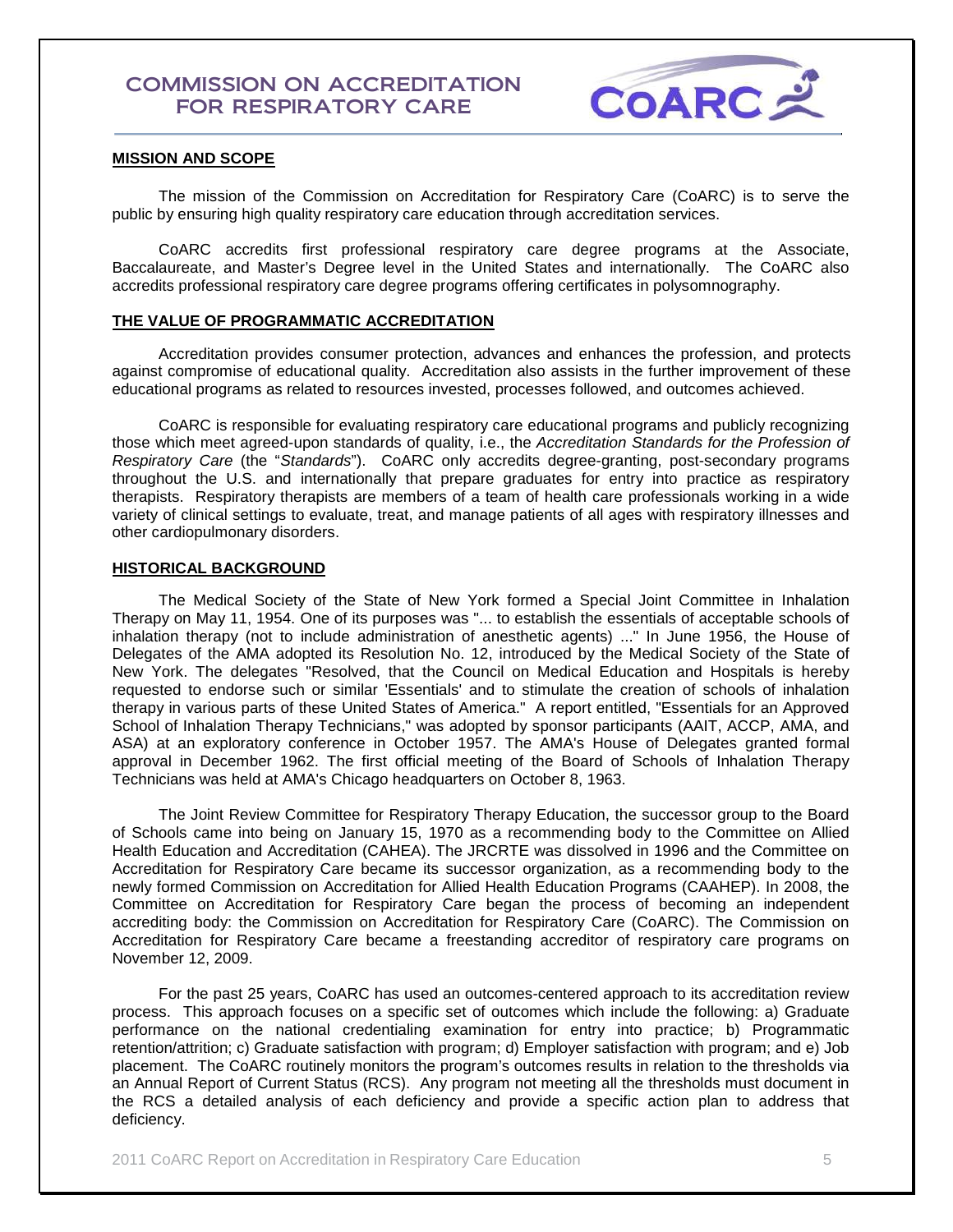

#### **MISSION AND SCOPE**

The mission of the Commission on Accreditation for Respiratory Care (CoARC) is to serve the public by ensuring high quality respiratory care education through accreditation services.

CoARC accredits first professional respiratory care degree programs at the Associate, Baccalaureate, and Master's Degree level in the United States and internationally. The CoARC also accredits professional respiratory care degree programs offering certificates in polysomnography.

#### **THE VALUE OF PROGRAMMATIC ACCREDITATION**

Accreditation provides consumer protection, advances and enhances the profession, and protects against compromise of educational quality. Accreditation also assists in the further improvement of these educational programs as related to resources invested, processes followed, and outcomes achieved.

CoARC is responsible for evaluating respiratory care educational programs and publicly recognizing those which meet agreed-upon standards of quality, i.e., the *Accreditation Standards for the Profession of Respiratory Care* (the "*Standards*"). CoARC only accredits degree-granting, post-secondary programs throughout the U.S. and internationally that prepare graduates for entry into practice as respiratory therapists. Respiratory therapists are members of a team of health care professionals working in a wide variety of clinical settings to evaluate, treat, and manage patients of all ages with respiratory illnesses and other cardiopulmonary disorders.

#### **HISTORICAL BACKGROUND**

The Medical Society of the State of New York formed a Special Joint Committee in Inhalation Therapy on May 11, 1954. One of its purposes was "... to establish the essentials of acceptable schools of inhalation therapy (not to include administration of anesthetic agents) ..." In June 1956, the House of Delegates of the AMA adopted its Resolution No. 12, introduced by the Medical Society of the State of New York. The delegates "Resolved, that the Council on Medical Education and Hospitals is hereby requested to endorse such or similar 'Essentials' and to stimulate the creation of schools of inhalation therapy in various parts of these United States of America." A report entitled, "Essentials for an Approved School of Inhalation Therapy Technicians," was adopted by sponsor participants (AAIT, ACCP, AMA, and ASA) at an exploratory conference in October 1957. The AMA's House of Delegates granted formal approval in December 1962. The first official meeting of the Board of Schools of Inhalation Therapy Technicians was held at AMA's Chicago headquarters on October 8, 1963.

The Joint Review Committee for Respiratory Therapy Education, the successor group to the Board of Schools came into being on January 15, 1970 as a recommending body to the Committee on Allied Health Education and Accreditation (CAHEA). The JRCRTE was dissolved in 1996 and the Committee on Accreditation for Respiratory Care became its successor organization, as a recommending body to the newly formed Commission on Accreditation for Allied Health Education Programs (CAAHEP). In 2008, the Committee on Accreditation for Respiratory Care began the process of becoming an independent accrediting body: the Commission on Accreditation for Respiratory Care (CoARC). The Commission on Accreditation for Respiratory Care became a freestanding accreditor of respiratory care programs on November 12, 2009.

For the past 25 years, CoARC has used an outcomes-centered approach to its accreditation review process. This approach focuses on a specific set of outcomes which include the following: a) Graduate performance on the national credentialing examination for entry into practice; b) Programmatic retention/attrition; c) Graduate satisfaction with program; d) Employer satisfaction with program; and e) Job placement. The CoARC routinely monitors the program's outcomes results in relation to the thresholds via an Annual Report of Current Status (RCS). Any program not meeting all the thresholds must document in the RCS a detailed analysis of each deficiency and provide a specific action plan to address that deficiency.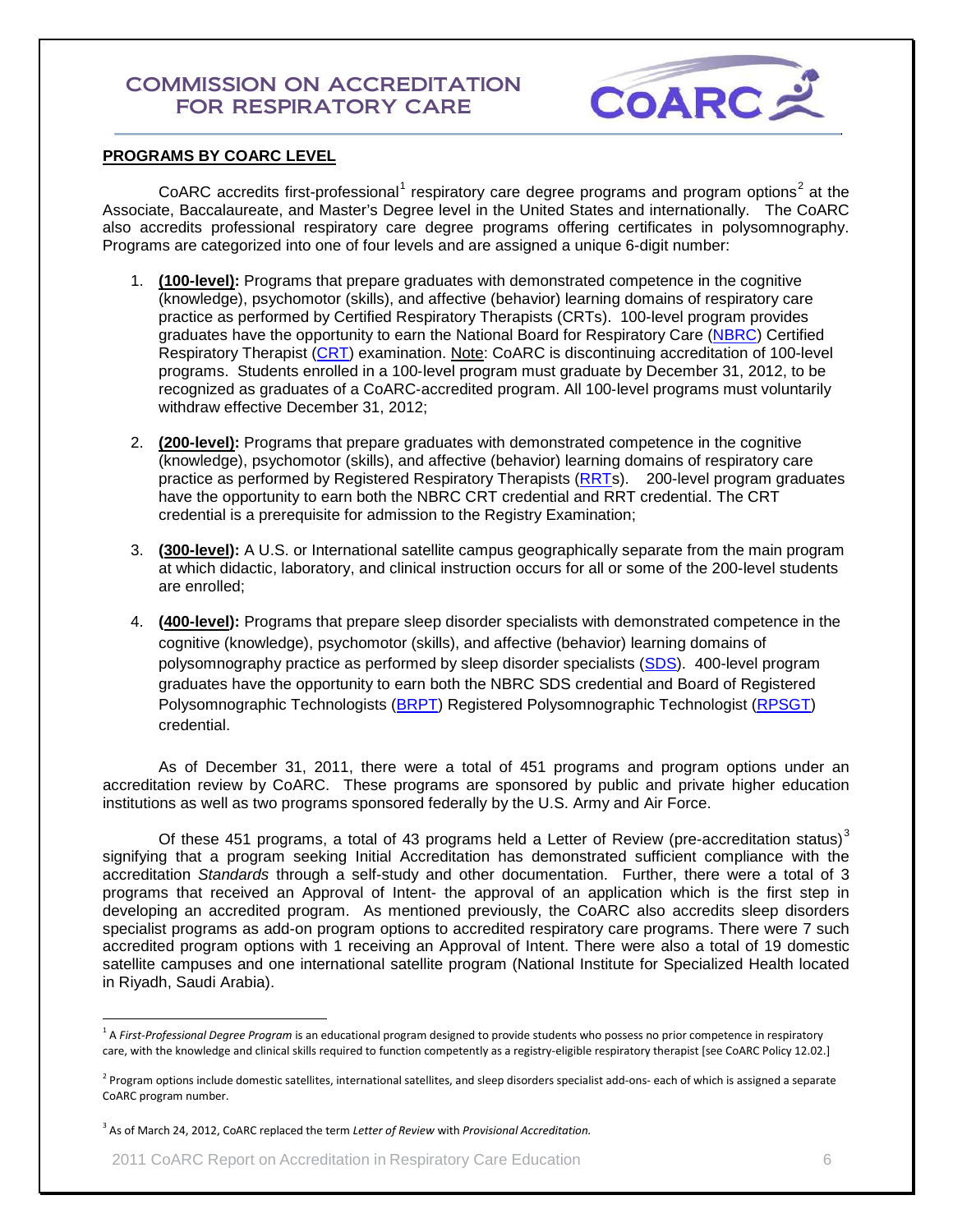

## **PROGRAMS BY COARC LEVEL**

CoARC accredits first-professional<sup>[1](#page-5-0)</sup> respiratory care degree programs and program options<sup>[2](#page-5-1)</sup> at the Associate, Baccalaureate, and Master's Degree level in the United States and internationally. The CoARC also accredits professional respiratory care degree programs offering certificates in polysomnography. Programs are categorized into one of four levels and are assigned a unique 6-digit number:

- 1. **(100-level):** Programs that prepare graduates with demonstrated competence in the cognitive (knowledge), psychomotor (skills), and affective (behavior) learning domains of respiratory care practice as performed by Certified Respiratory Therapists (CRTs). 100-level program provides graduates have the opportunity to earn the National Board for Respiratory Care [\(NBRC\)](http://www.nbrc.org/) Certified Respiratory Therapist [\(CRT\)](https://www.nbrc.org/Examinations/CRT/tabid/61/Default.aspx) examination. Note: CoARC is discontinuing accreditation of 100-level programs. Students enrolled in a 100‐level program must graduate by December 31, 2012, to be recognized as graduates of a CoARC‐accredited program. All 100‐level programs must voluntarily withdraw effective December 31, 2012;
- 2. **(200-level):** Programs that prepare graduates with demonstrated competence in the cognitive (knowledge), psychomotor (skills), and affective (behavior) learning domains of respiratory care practice as performed by Registered Respiratory Therapists [\(RRTs](https://www.nbrc.org/Examinations/RRT/tabid/60/Default.aspx)). 200-level program graduates have the opportunity to earn both the NBRC CRT credential and RRT credential. The CRT credential is a prerequisite for admission to the Registry Examination;
- 3. **(300-level):** A U.S. or International satellite campus geographically separate from the main program at which didactic, laboratory, and clinical instruction occurs for all or some of the 200-level students are enrolled;
- 4. **(400-level):** Programs that prepare sleep disorder specialists with demonstrated competence in the cognitive (knowledge), psychomotor (skills), and affective (behavior) learning domains of polysomnography practice as performed by sleep disorder specialists [\(SDS\)](https://www.nbrc.org/Examinations/SDS/tabid/92/Default.aspx). 400-level program graduates have the opportunity to earn both the NBRC SDS credential and Board of Registered Polysomnographic Technologists [\(BRPT\)](http://www.brpt.org/) Registered Polysomnographic Technologist [\(RPSGT\)](http://www.brpt.org/default.asp?contentID=34) credential.

As of December 31, 2011, there were a total of 451 programs and program options under an accreditation review by CoARC. These programs are sponsored by public and private higher education institutions as well as two programs sponsored federally by the U.S. Army and Air Force.

Of these 451 programs, a total of 4[3](#page-5-2) programs held a Letter of Review (pre-accreditation status) $3$ signifying that a program seeking Initial Accreditation has demonstrated sufficient compliance with the accreditation *Standards* through a self-study and other documentation. Further, there were a total of 3 programs that received an Approval of Intent- the approval of an application which is the first step in developing an accredited program. As mentioned previously, the CoARC also accredits sleep disorders specialist programs as add-on program options to accredited respiratory care programs. There were 7 such accredited program options with 1 receiving an Approval of Intent. There were also a total of 19 domestic satellite campuses and one international satellite program (National Institute for Specialized Health located in Riyadh, Saudi Arabia).

<span id="page-5-0"></span> <sup>1</sup> <sup>A</sup>*First-Professional Degree Program* is an educational program designed to provide students who possess no prior competence in respiratory care, with the knowledge and clinical skills required to function competently as a registry-eligible respiratory therapist [see CoARC Policy 12.02.]

<span id="page-5-1"></span><sup>&</sup>lt;sup>2</sup> Program options include domestic satellites, international satellites, and sleep disorders specialist add-ons- each of which is assigned a separate CoARC program number.

<span id="page-5-2"></span><sup>3</sup> As of March 24, 2012, CoARC replaced the term *Letter of Review* with *Provisional Accreditation.*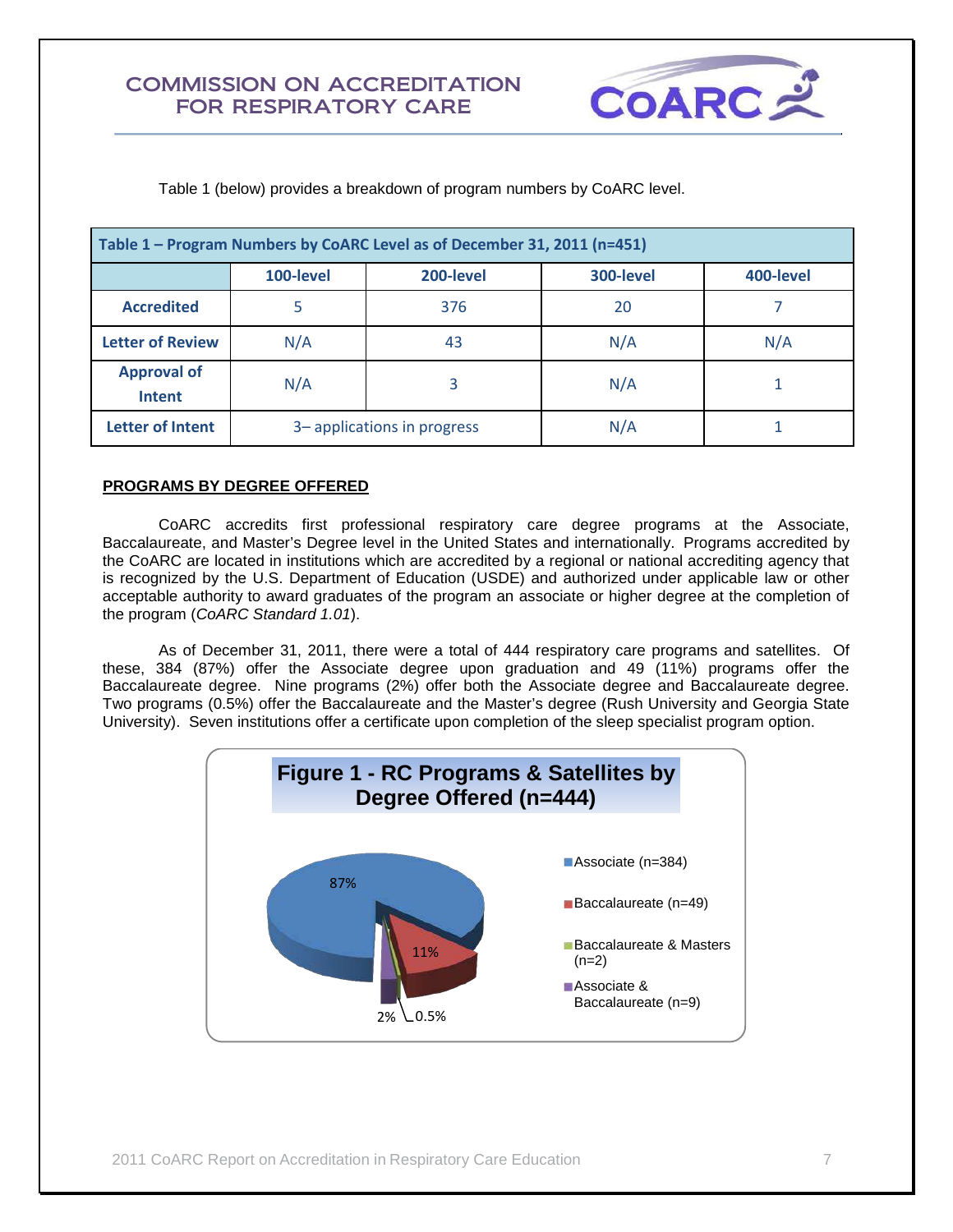

Table 1 (below) provides a breakdown of program numbers by CoARC level.

| Table 1 – Program Numbers by CoARC Level as of December 31, 2011 (n=451) |                                                  |                            |     |     |  |  |
|--------------------------------------------------------------------------|--------------------------------------------------|----------------------------|-----|-----|--|--|
|                                                                          | 300-level<br>100-level<br>200-level<br>400-level |                            |     |     |  |  |
| <b>Accredited</b>                                                        |                                                  | 376                        | 20  |     |  |  |
| <b>Letter of Review</b>                                                  | N/A                                              | 43                         | N/A | N/A |  |  |
| <b>Approval of</b><br><b>Intent</b>                                      | N/A                                              | 3                          | N/A |     |  |  |
| <b>Letter of Intent</b>                                                  |                                                  | 3-applications in progress | N/A |     |  |  |

## **PROGRAMS BY DEGREE OFFERED**

CoARC accredits first professional respiratory care degree programs at the Associate, Baccalaureate, and Master's Degree level in the United States and internationally. Programs accredited by the CoARC are located in institutions which are accredited by a regional or national accrediting agency that is recognized by the U.S. Department of Education (USDE) and authorized under applicable law or other acceptable authority to award graduates of the program an associate or higher degree at the completion of the program (*CoARC Standard 1.01*).

As of December 31, 2011, there were a total of 444 respiratory care programs and satellites. Of these, 384 (87%) offer the Associate degree upon graduation and 49 (11%) programs offer the Baccalaureate degree. Nine programs (2%) offer both the Associate degree and Baccalaureate degree. Two programs (0.5%) offer the Baccalaureate and the Master's degree (Rush University and Georgia State University). Seven institutions offer a certificate upon completion of the sleep specialist program option.

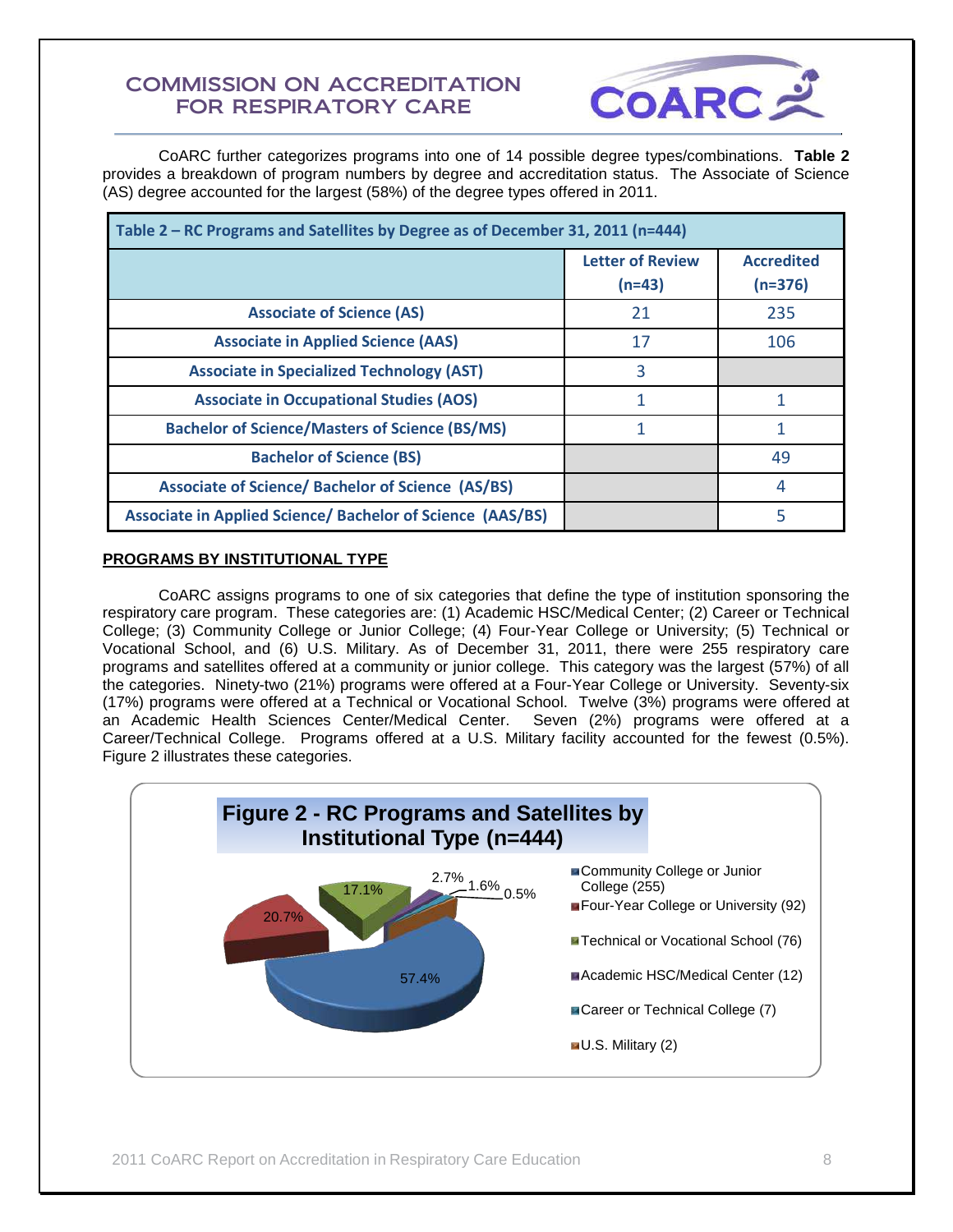

CoARC further categorizes programs into one of 14 possible degree types/combinations. **Table 2** provides a breakdown of program numbers by degree and accreditation status. The Associate of Science (AS) degree accounted for the largest (58%) of the degree types offered in 2011.

| Table 2 – RC Programs and Satellites by Degree as of December 31, 2011 (n=444) |                                     |                                |  |
|--------------------------------------------------------------------------------|-------------------------------------|--------------------------------|--|
|                                                                                | <b>Letter of Review</b><br>$(n=43)$ | <b>Accredited</b><br>$(n=376)$ |  |
| <b>Associate of Science (AS)</b>                                               | 21                                  | 235                            |  |
| <b>Associate in Applied Science (AAS)</b>                                      | 17                                  | 106                            |  |
| <b>Associate in Specialized Technology (AST)</b>                               | 3                                   |                                |  |
| <b>Associate in Occupational Studies (AOS)</b>                                 | 1                                   |                                |  |
| <b>Bachelor of Science/Masters of Science (BS/MS)</b>                          |                                     |                                |  |
| <b>Bachelor of Science (BS)</b>                                                |                                     | 49                             |  |
| <b>Associate of Science/ Bachelor of Science (AS/BS)</b>                       |                                     | 4                              |  |
| <b>Associate in Applied Science/ Bachelor of Science (AAS/BS)</b>              |                                     | 5                              |  |

## **PROGRAMS BY INSTITUTIONAL TYPE**

CoARC assigns programs to one of six categories that define the type of institution sponsoring the respiratory care program. These categories are: (1) Academic HSC/Medical Center; (2) Career or Technical College; (3) Community College or Junior College; (4) Four-Year College or University; (5) Technical or Vocational School, and (6) U.S. Military. As of December 31, 2011, there were 255 respiratory care programs and satellites offered at a community or junior college. This category was the largest (57%) of all the categories. Ninety-two (21%) programs were offered at a Four-Year College or University. Seventy-six (17%) programs were offered at a Technical or Vocational School. Twelve (3%) programs were offered at an Academic Health Sciences Center/Medical Center. Seven (2%) programs were offered at a Career/Technical College. Programs offered at a U.S. Military facility accounted for the fewest (0.5%). Figure 2 illustrates these categories.

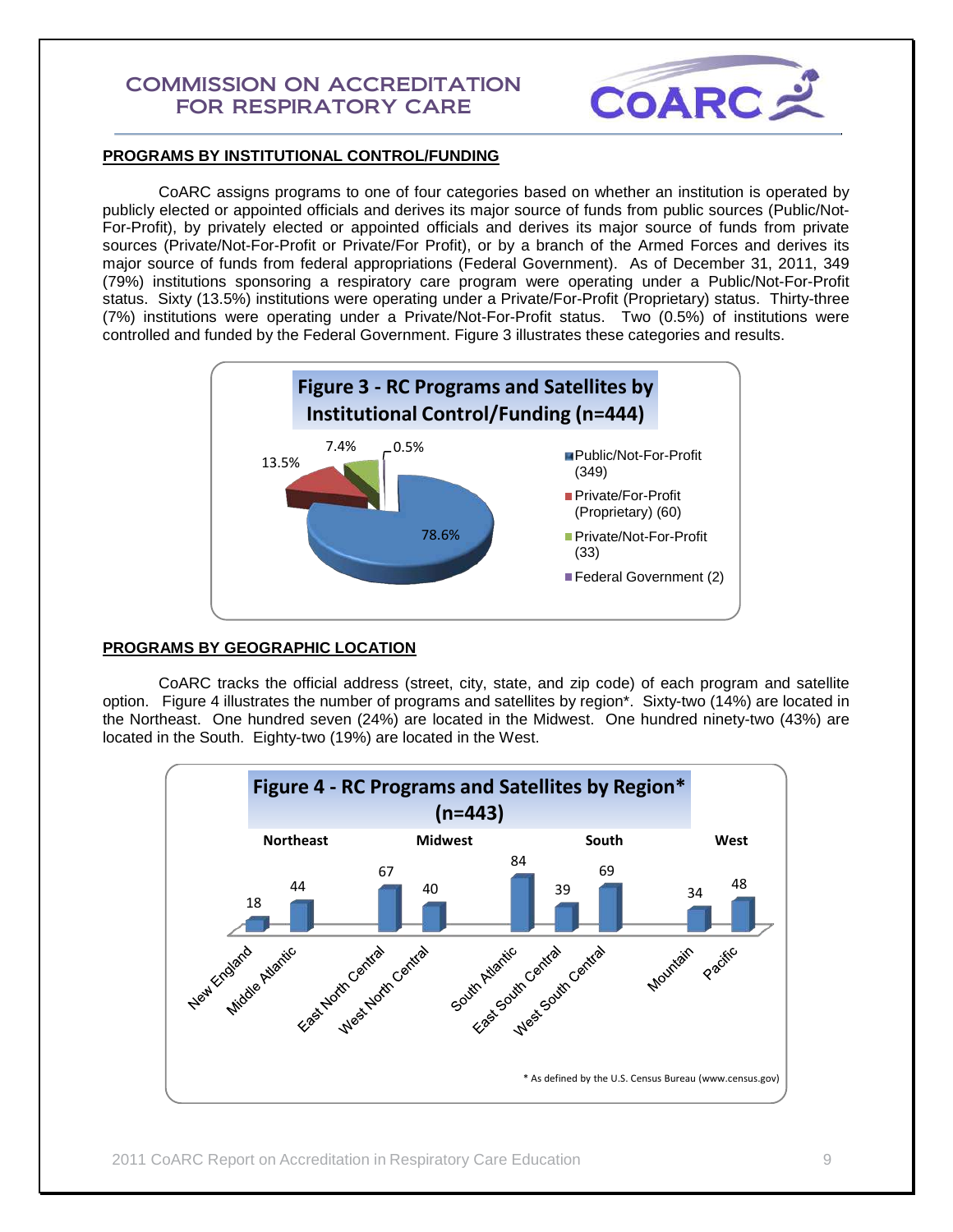

## **PROGRAMS BY INSTITUTIONAL CONTROL/FUNDING**

CoARC assigns programs to one of four categories based on whether an institution is operated by publicly elected or appointed officials and derives its major source of funds from public sources (Public/Not-For-Profit), by privately elected or appointed officials and derives its major source of funds from private sources (Private/Not-For-Profit or Private/For Profit), or by a branch of the Armed Forces and derives its major source of funds from federal appropriations (Federal Government). As of December 31, 2011, 349 (79%) institutions sponsoring a respiratory care program were operating under a Public/Not-For-Profit status. Sixty (13.5%) institutions were operating under a Private/For-Profit (Proprietary) status. Thirty-three (7%) institutions were operating under a Private/Not-For-Profit status. Two (0.5%) of institutions were controlled and funded by the Federal Government. Figure 3 illustrates these categories and results.



#### **PROGRAMS BY GEOGRAPHIC LOCATION**

CoARC tracks the official address (street, city, state, and zip code) of each program and satellite option. Figure 4 illustrates the number of programs and satellites by region\*. Sixty-two (14%) are located in the Northeast. One hundred seven (24%) are located in the Midwest. One hundred ninety-two (43%) are located in the South. Eighty-two (19%) are located in the West.

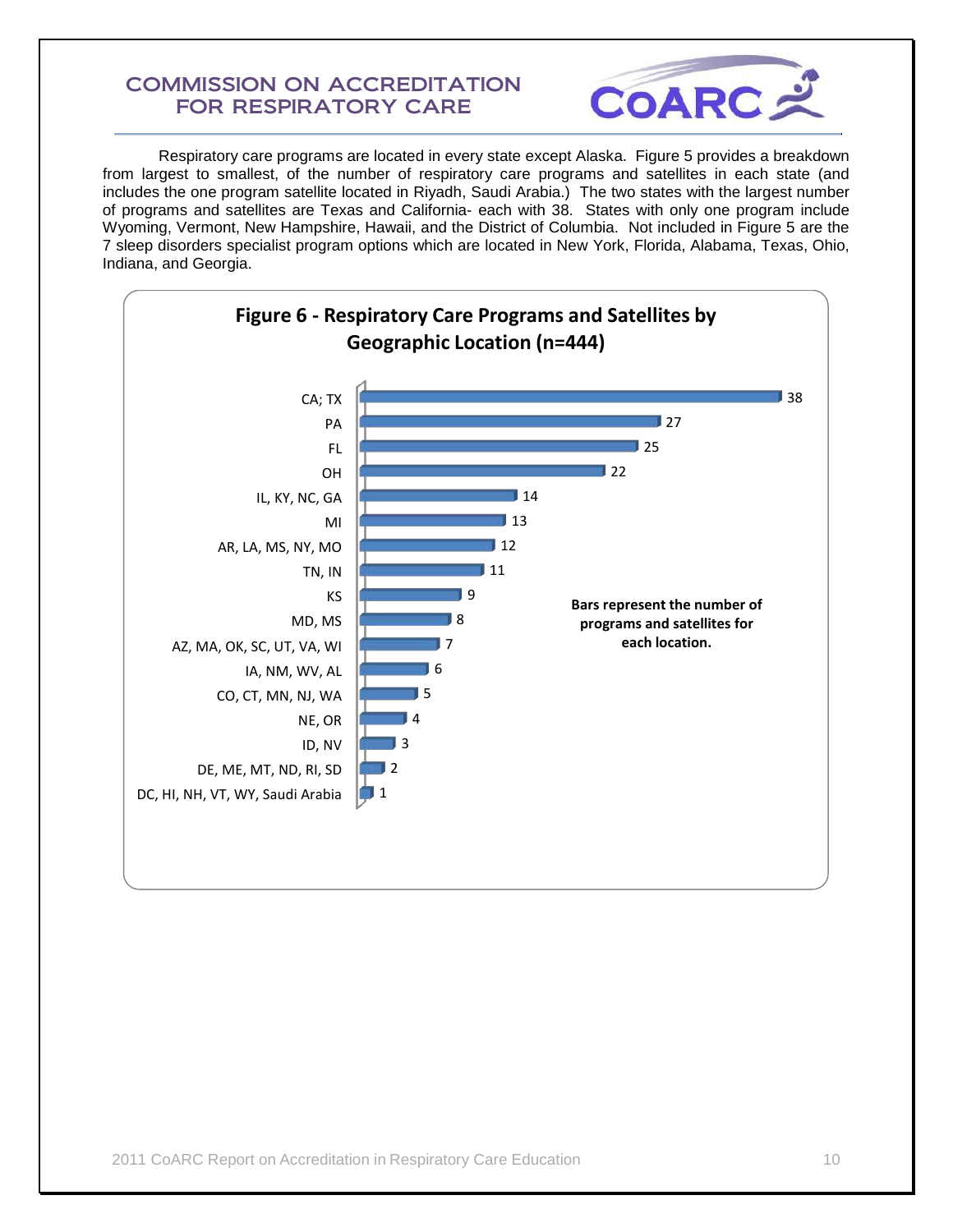

Respiratory care programs are located in every state except Alaska. Figure 5 provides a breakdown from largest to smallest, of the number of respiratory care programs and satellites in each state (and includes the one program satellite located in Riyadh, Saudi Arabia.) The two states with the largest number of programs and satellites are Texas and California- each with 38. States with only one program include Wyoming, Vermont, New Hampshire, Hawaii, and the District of Columbia. Not included in Figure 5 are the 7 sleep disorders specialist program options which are located in New York, Florida, Alabama, Texas, Ohio, Indiana, and Georgia.

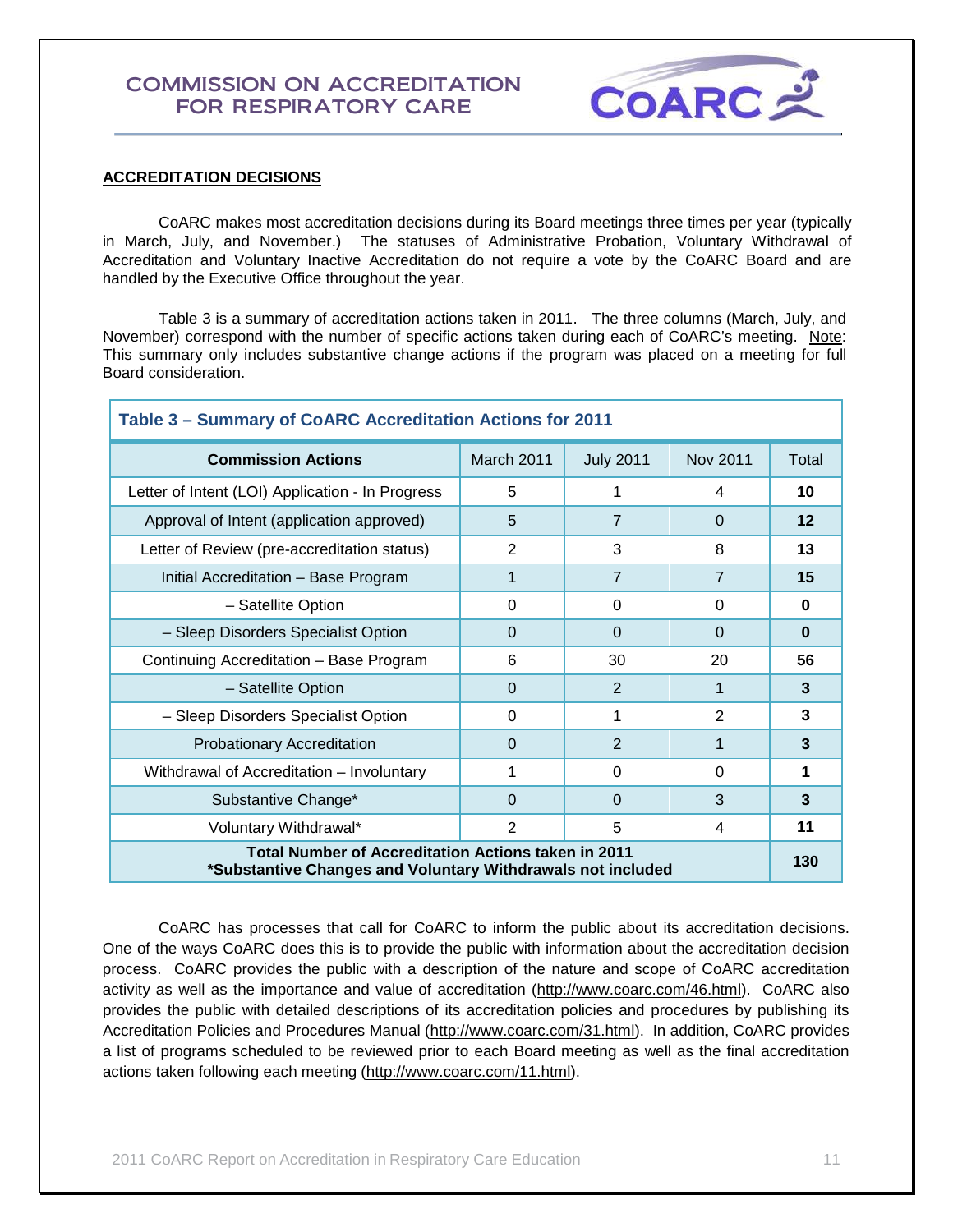

## **ACCREDITATION DECISIONS**

CoARC makes most accreditation decisions during its Board meetings three times per year (typically in March, July, and November.) The statuses of Administrative Probation, Voluntary Withdrawal of Accreditation and Voluntary Inactive Accreditation do not require a vote by the CoARC Board and are handled by the Executive Office throughout the year.

Table 3 is a summary of accreditation actions taken in 2011. The three columns (March, July, and November) correspond with the number of specific actions taken during each of CoARC's meeting. Note: This summary only includes substantive change actions if the program was placed on a meeting for full Board consideration.

| Table 3 - Summary of CoARC Accreditation Actions for 2011                                                                 |            |                  |                |          |  |
|---------------------------------------------------------------------------------------------------------------------------|------------|------------------|----------------|----------|--|
| <b>Commission Actions</b>                                                                                                 | March 2011 | <b>July 2011</b> | Nov 2011       | Total    |  |
| Letter of Intent (LOI) Application - In Progress                                                                          | 5          |                  | 4              | 10       |  |
| Approval of Intent (application approved)                                                                                 | 5          | $\overline{7}$   | $\Omega$       | 12       |  |
| Letter of Review (pre-accreditation status)                                                                               | 2          | 3                | 8              | 13       |  |
| Initial Accreditation - Base Program                                                                                      | 1          | $\overline{7}$   | $\overline{7}$ | 15       |  |
| - Satellite Option                                                                                                        | 0          | $\Omega$         | 0              | $\bf{0}$ |  |
| - Sleep Disorders Specialist Option                                                                                       | 0          | $\Omega$         | $\Omega$       | $\bf{0}$ |  |
| Continuing Accreditation - Base Program                                                                                   | 6          | 30               | 20             | 56       |  |
| - Satellite Option                                                                                                        | $\Omega$   | 2                | 1              | 3        |  |
| - Sleep Disorders Specialist Option                                                                                       | 0          | 1                | $\overline{2}$ | 3        |  |
| <b>Probationary Accreditation</b>                                                                                         | 0          | 2                | 1              | 3        |  |
| Withdrawal of Accreditation - Involuntary                                                                                 | 1          | $\Omega$         | $\Omega$       | 1        |  |
| Substantive Change*                                                                                                       | 0          | $\Omega$         | 3              | 3        |  |
| Voluntary Withdrawal*                                                                                                     | 2          | 5                | 4              | 11       |  |
| <b>Total Number of Accreditation Actions taken in 2011</b><br>*Substantive Changes and Voluntary Withdrawals not included |            |                  |                | 130      |  |

 CoARC has processes that call for CoARC to inform the public about its accreditation decisions. One of the ways CoARC does this is to provide the public with information about the accreditation decision process. CoARC provides the public with a description of the nature and scope of CoARC accreditation activity as well as the importance and value of accreditation [\(http://www.coarc.com/46.html\)](http://www.coarc.com/46.html). CoARC also provides the public with detailed descriptions of its accreditation policies and procedures by publishing its Accreditation Policies and Procedures Manual [\(http://www.coarc.com/31.html\)](http://www.coarc.com/31.html). In addition, CoARC provides a list of programs scheduled to be reviewed prior to each Board meeting as well as the final accreditation actions taken following each meeting [\(http://www.coarc.com/11.html\)](http://www.coarc.com/11.html).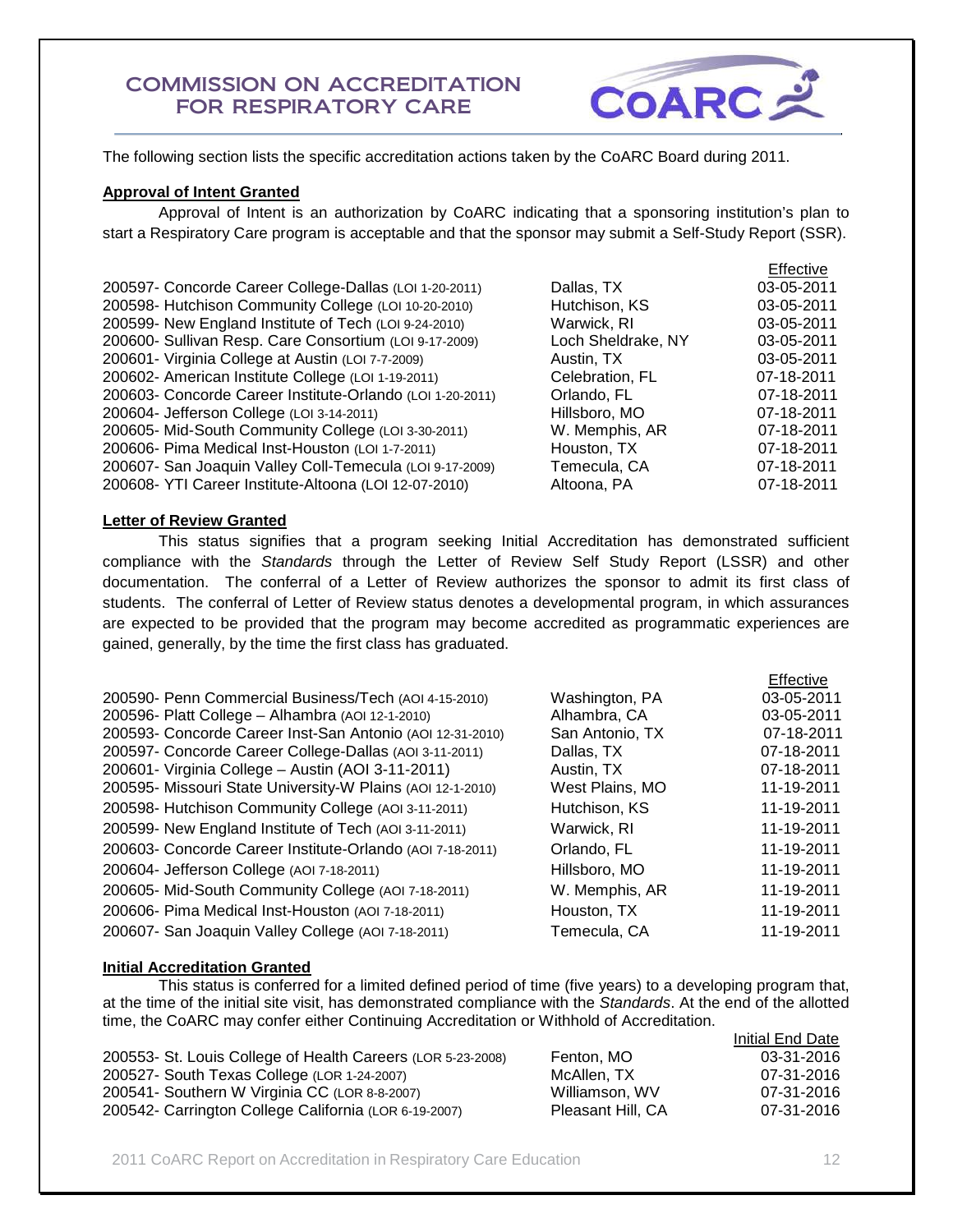

The following section lists the specific accreditation actions taken by the CoARC Board during 2011.

## **Approval of Intent Granted**

Approval of Intent is an authorization by CoARC indicating that a sponsoring institution's plan to start a Respiratory Care program is acceptable and that the sponsor may submit a Self-Study Report (SSR).

|                                                           |                    | Effective  |
|-----------------------------------------------------------|--------------------|------------|
| 200597- Concorde Career College-Dallas (LOI 1-20-2011)    | Dallas, TX         | 03-05-2011 |
| 200598- Hutchison Community College (LOI 10-20-2010)      | Hutchison, KS      | 03-05-2011 |
| 200599- New England Institute of Tech (LOI 9-24-2010)     | Warwick, RI        | 03-05-2011 |
| 200600- Sullivan Resp. Care Consortium (LOI 9-17-2009)    | Loch Sheldrake, NY | 03-05-2011 |
| 200601- Virginia College at Austin (LOI 7-7-2009)         | Austin, TX         | 03-05-2011 |
| 200602- American Institute College (LOI 1-19-2011)        | Celebration, FL    | 07-18-2011 |
| 200603- Concorde Career Institute-Orlando (LOI 1-20-2011) | Orlando, FL        | 07-18-2011 |
| 200604- Jefferson College (LOI 3-14-2011)                 | Hillsboro, MO      | 07-18-2011 |
| 200605- Mid-South Community College (LOI 3-30-2011)       | W. Memphis, AR     | 07-18-2011 |
| 200606- Pima Medical Inst-Houston (LOI 1-7-2011)          | Houston, TX        | 07-18-2011 |
| 200607- San Joaquin Valley Coll-Temecula (LOI 9-17-2009)  | Temecula, CA       | 07-18-2011 |
| 200608- YTI Career Institute-Altoona (LOI 12-07-2010)     | Altoona, PA        | 07-18-2011 |
|                                                           |                    |            |

## **Letter of Review Granted**

 This status signifies that a program seeking Initial Accreditation has demonstrated sufficient compliance with the *Standards* through the Letter of Review Self Study Report (LSSR) and other documentation. The conferral of a Letter of Review authorizes the sponsor to admit its first class of students. The conferral of Letter of Review status denotes a developmental program, in which assurances are expected to be provided that the program may become accredited as programmatic experiences are gained, generally, by the time the first class has graduated.

|                                                            |                 | <b>Effective</b> |
|------------------------------------------------------------|-----------------|------------------|
| 200590- Penn Commercial Business/Tech (AOI 4-15-2010)      | Washington, PA  | 03-05-2011       |
| 200596- Platt College - Alhambra (AOI 12-1-2010)           | Alhambra, CA    | 03-05-2011       |
| 200593- Concorde Career Inst-San Antonio (AOI 12-31-2010)  | San Antonio, TX | 07-18-2011       |
| 200597- Concorde Career College-Dallas (AOI 3-11-2011)     | Dallas, TX      | 07-18-2011       |
| 200601- Virginia College - Austin (AOI 3-11-2011)          | Austin, TX      | 07-18-2011       |
| 200595- Missouri State University-W Plains (AOI 12-1-2010) | West Plains, MO | 11-19-2011       |
| 200598- Hutchison Community College (AOI 3-11-2011)        | Hutchison, KS   | 11-19-2011       |
| 200599- New England Institute of Tech (AOI 3-11-2011)      | Warwick, RI     | 11-19-2011       |
| 200603- Concorde Career Institute-Orlando (AOI 7-18-2011)  | Orlando, FL     | 11-19-2011       |
| 200604- Jefferson College (AOI 7-18-2011)                  | Hillsboro, MO   | 11-19-2011       |
| 200605- Mid-South Community College (AOI 7-18-2011)        | W. Memphis, AR  | 11-19-2011       |
| 200606- Pima Medical Inst-Houston (AOI 7-18-2011)          | Houston, TX     | 11-19-2011       |
| 200607- San Joaquin Valley College (AOI 7-18-2011)         | Temecula, CA    | 11-19-2011       |

## **Initial Accreditation Granted**

This status is conferred for a limited defined period of time (five years) to a developing program that, at the time of the initial site visit, has demonstrated compliance with the *Standards*. At the end of the allotted time, the CoARC may confer either Continuing Accreditation or Withhold of Accreditation.

|                                                             |                   | Initial End Date |
|-------------------------------------------------------------|-------------------|------------------|
| 200553- St. Louis College of Health Careers (LOR 5-23-2008) | Fenton, MO        | 03-31-2016       |
| 200527- South Texas College (LOR 1-24-2007)                 | McAllen, TX       | 07-31-2016       |
| 200541- Southern W Virginia CC (LOR 8-8-2007)               | Williamson, WV    | 07-31-2016       |
| 200542- Carrington College California (LOR 6-19-2007)       | Pleasant Hill, CA | 07-31-2016       |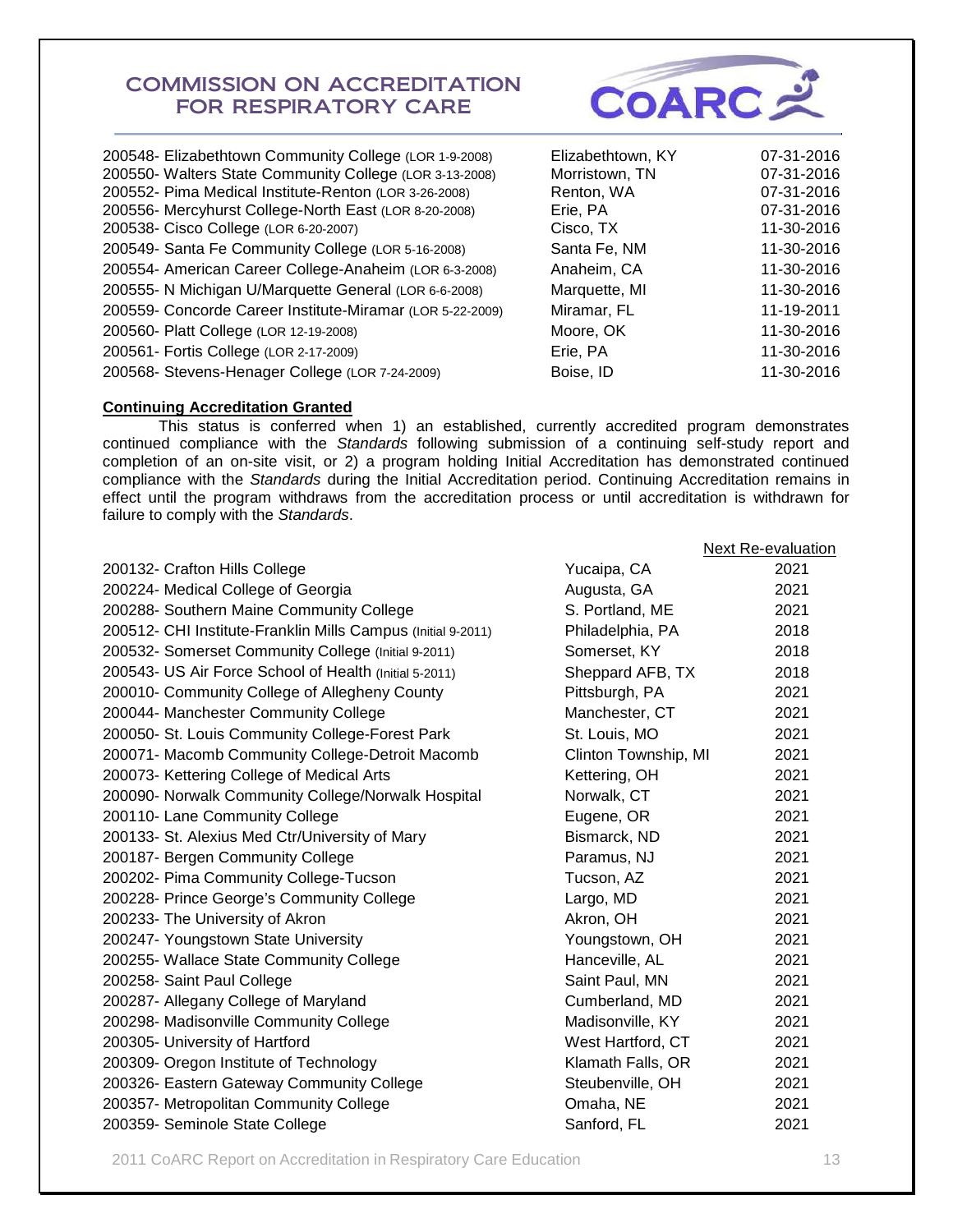

| 200548- Elizabethtown Community College (LOR 1-9-2008)    | Elizabethtown, KY | 07-31-2016 |
|-----------------------------------------------------------|-------------------|------------|
| 200550- Walters State Community College (LOR 3-13-2008)   | Morristown, TN    | 07-31-2016 |
| 200552- Pima Medical Institute-Renton (LOR 3-26-2008)     | Renton, WA        | 07-31-2016 |
| 200556- Mercyhurst College-North East (LOR 8-20-2008)     | Erie, PA          | 07-31-2016 |
| 200538- Cisco College (LOR 6-20-2007)                     | Cisco, TX         | 11-30-2016 |
| 200549- Santa Fe Community College (LOR 5-16-2008)        | Santa Fe, NM      | 11-30-2016 |
| 200554- American Career College-Anaheim (LOR 6-3-2008)    | Anaheim, CA       | 11-30-2016 |
| 200555- N Michigan U/Marquette General (LOR 6-6-2008)     | Marquette, MI     | 11-30-2016 |
| 200559- Concorde Career Institute-Miramar (LOR 5-22-2009) | Miramar, FL       | 11-19-2011 |
| 200560- Platt College (LOR 12-19-2008)                    | Moore, OK         | 11-30-2016 |
| 200561- Fortis College (LOR 2-17-2009)                    | Erie, PA          | 11-30-2016 |
| 200568- Stevens-Henager College (LOR 7-24-2009)           | Boise, ID         | 11-30-2016 |
|                                                           |                   |            |

## **Continuing Accreditation Granted**

 This status is conferred when 1) an established, currently accredited program demonstrates continued compliance with the *Standards* following submission of a continuing self-study report and completion of an on-site visit, or 2) a program holding Initial Accreditation has demonstrated continued compliance with the *Standards* during the Initial Accreditation period. Continuing Accreditation remains in effect until the program withdraws from the accreditation process or until accreditation is withdrawn for failure to comply with the *Standards*.

|                                                              |                      | <b>Next Re-evaluation</b> |
|--------------------------------------------------------------|----------------------|---------------------------|
| 200132- Crafton Hills College                                | Yucaipa, CA          | 2021                      |
| 200224- Medical College of Georgia                           | Augusta, GA          | 2021                      |
| 200288- Southern Maine Community College                     | S. Portland, ME      | 2021                      |
| 200512- CHI Institute-Franklin Mills Campus (Initial 9-2011) | Philadelphia, PA     | 2018                      |
| 200532- Somerset Community College (Initial 9-2011)          | Somerset, KY         | 2018                      |
| 200543- US Air Force School of Health (Initial 5-2011)       | Sheppard AFB, TX     | 2018                      |
| 200010- Community College of Allegheny County                | Pittsburgh, PA       | 2021                      |
| 200044- Manchester Community College                         | Manchester, CT       | 2021                      |
| 200050- St. Louis Community College-Forest Park              | St. Louis, MO        | 2021                      |
| 200071- Macomb Community College-Detroit Macomb              | Clinton Township, MI | 2021                      |
| 200073- Kettering College of Medical Arts                    | Kettering, OH        | 2021                      |
| 200090- Norwalk Community College/Norwalk Hospital           | Norwalk, CT          | 2021                      |
| 200110- Lane Community College                               | Eugene, OR           | 2021                      |
| 200133- St. Alexius Med Ctr/University of Mary               | Bismarck, ND         | 2021                      |
| 200187- Bergen Community College                             | Paramus, NJ          | 2021                      |
| 200202- Pima Community College-Tucson                        | Tucson, AZ           | 2021                      |
| 200228- Prince George's Community College                    | Largo, MD            | 2021                      |
| 200233- The University of Akron                              | Akron, OH            | 2021                      |
| 200247- Youngstown State University                          | Youngstown, OH       | 2021                      |
| 200255- Wallace State Community College                      | Hanceville, AL       | 2021                      |
| 200258- Saint Paul College                                   | Saint Paul, MN       | 2021                      |
| 200287- Allegany College of Maryland                         | Cumberland, MD       | 2021                      |
| 200298- Madisonville Community College                       | Madisonville, KY     | 2021                      |
| 200305- University of Hartford                               | West Hartford, CT    | 2021                      |
| 200309- Oregon Institute of Technology                       | Klamath Falls, OR    | 2021                      |
| 200326- Eastern Gateway Community College                    | Steubenville, OH     | 2021                      |
| 200357- Metropolitan Community College                       | Omaha, NE            | 2021                      |
| 200359- Seminole State College                               | Sanford, FL          | 2021                      |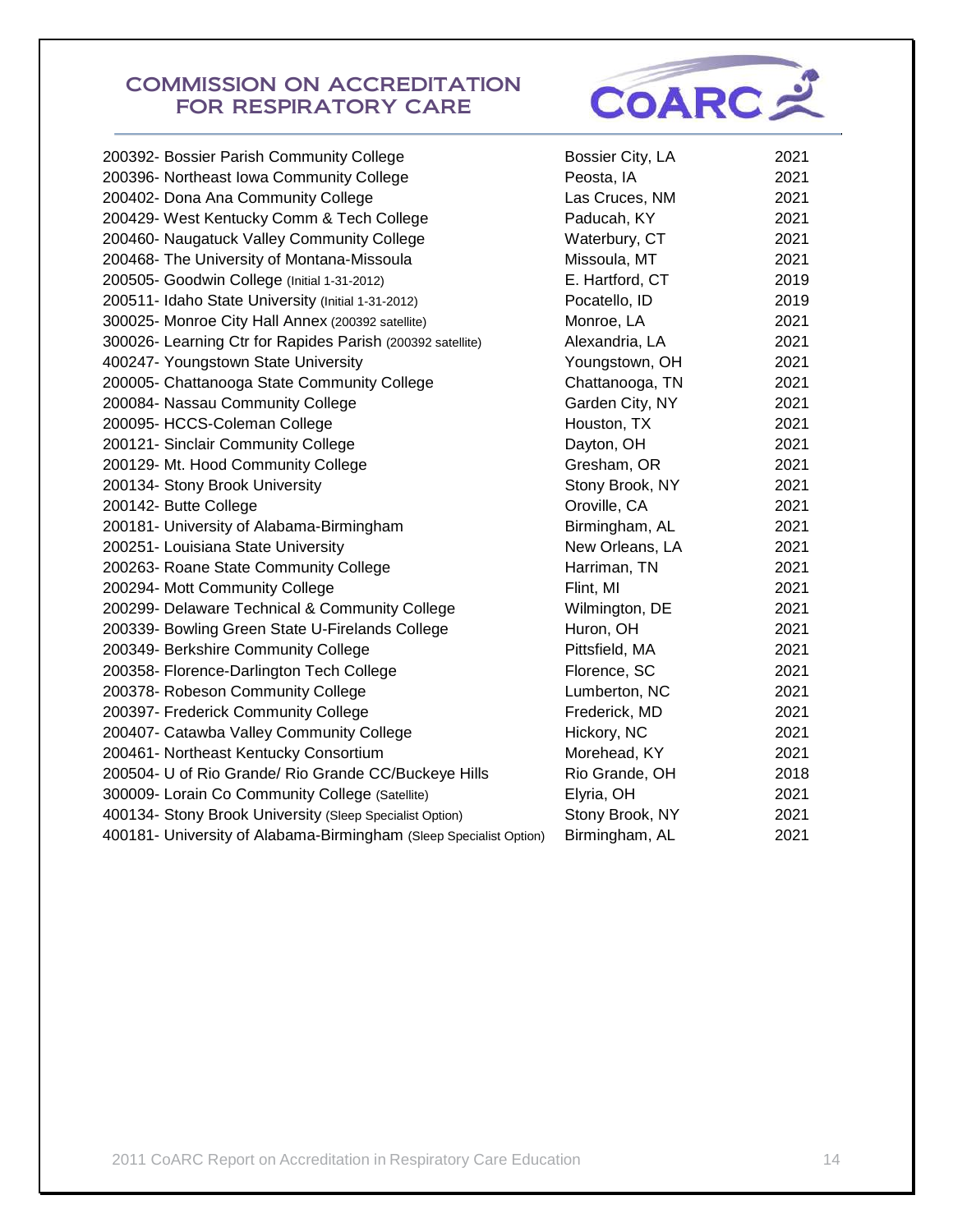

| 200392- Bossier Parish Community College                           | Bossier City, LA | 2021 |
|--------------------------------------------------------------------|------------------|------|
| 200396- Northeast Iowa Community College                           | Peosta, IA       | 2021 |
| 200402- Dona Ana Community College                                 | Las Cruces, NM   | 2021 |
| 200429- West Kentucky Comm & Tech College                          | Paducah, KY      | 2021 |
| 200460- Naugatuck Valley Community College                         | Waterbury, CT    | 2021 |
| 200468- The University of Montana-Missoula                         | Missoula, MT     | 2021 |
| 200505- Goodwin College (Initial 1-31-2012)                        | E. Hartford, CT  | 2019 |
| 200511- Idaho State University (Initial 1-31-2012)                 | Pocatello, ID    | 2019 |
| 300025- Monroe City Hall Annex (200392 satellite)                  | Monroe, LA       | 2021 |
| 300026- Learning Ctr for Rapides Parish (200392 satellite)         | Alexandria, LA   | 2021 |
| 400247- Youngstown State University                                | Youngstown, OH   | 2021 |
| 200005- Chattanooga State Community College                        | Chattanooga, TN  | 2021 |
| 200084- Nassau Community College                                   | Garden City, NY  | 2021 |
| 200095- HCCS-Coleman College                                       | Houston, TX      | 2021 |
| 200121- Sinclair Community College                                 | Dayton, OH       | 2021 |
| 200129- Mt. Hood Community College                                 | Gresham, OR      | 2021 |
| 200134- Stony Brook University                                     | Stony Brook, NY  | 2021 |
| 200142- Butte College                                              | Oroville, CA     | 2021 |
| 200181- University of Alabama-Birmingham                           | Birmingham, AL   | 2021 |
| 200251- Louisiana State University                                 | New Orleans, LA  | 2021 |
| 200263- Roane State Community College                              | Harriman, TN     | 2021 |
| 200294- Mott Community College                                     | Flint, MI        | 2021 |
| 200299- Delaware Technical & Community College                     | Wilmington, DE   | 2021 |
| 200339- Bowling Green State U-Firelands College                    | Huron, OH        | 2021 |
| 200349- Berkshire Community College                                | Pittsfield, MA   | 2021 |
| 200358- Florence-Darlington Tech College                           | Florence, SC     | 2021 |
| 200378- Robeson Community College                                  | Lumberton, NC    | 2021 |
| 200397- Frederick Community College                                | Frederick, MD    | 2021 |
| 200407- Catawba Valley Community College                           | Hickory, NC      | 2021 |
| 200461- Northeast Kentucky Consortium                              | Morehead, KY     | 2021 |
| 200504- U of Rio Grande/ Rio Grande CC/Buckeye Hills               | Rio Grande, OH   | 2018 |
| 300009- Lorain Co Community College (Satellite)                    | Elyria, OH       | 2021 |
| 400134- Stony Brook University (Sleep Specialist Option)           | Stony Brook, NY  | 2021 |
| 400181- University of Alabama-Birmingham (Sleep Specialist Option) | Birmingham, AL   | 2021 |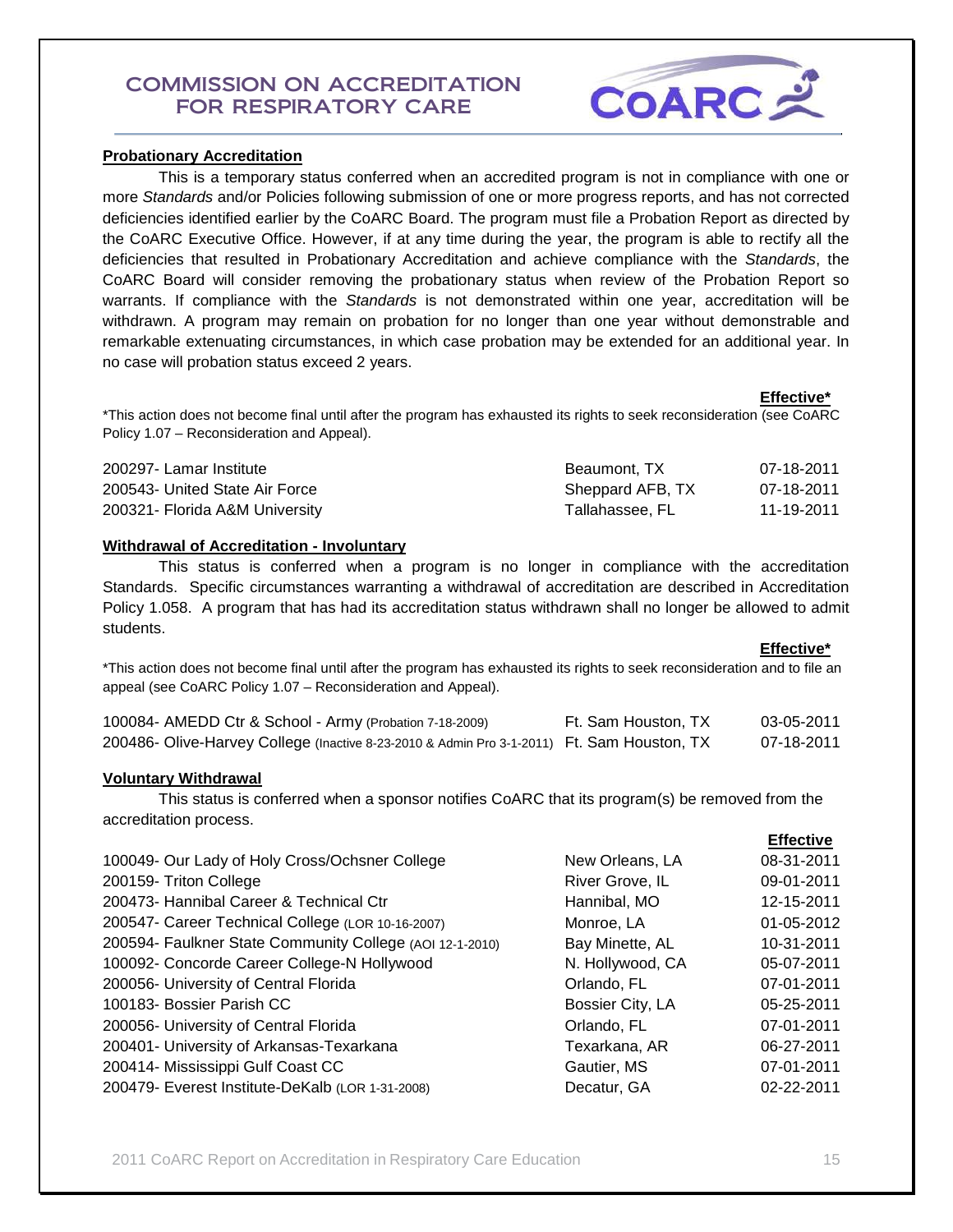

## **Probationary Accreditation**

 This is a temporary status conferred when an accredited program is not in compliance with one or more *Standards* and/or Policies following submission of one or more progress reports, and has not corrected deficiencies identified earlier by the CoARC Board. The program must file a Probation Report as directed by the CoARC Executive Office. However, if at any time during the year, the program is able to rectify all the deficiencies that resulted in Probationary Accreditation and achieve compliance with the *Standards*, the CoARC Board will consider removing the probationary status when review of the Probation Report so warrants. If compliance with the *Standards* is not demonstrated within one year, accreditation will be withdrawn. A program may remain on probation for no longer than one year without demonstrable and remarkable extenuating circumstances, in which case probation may be extended for an additional year. In no case will probation status exceed 2 years.

 **Effective\*** \*This action does not become final until after the program has exhausted its rights to seek reconsideration (see CoARC Policy 1.07 – Reconsideration and Appeal).

| 200297- Lamar Institute        | Beaumont, TX     | 07-18-2011 |
|--------------------------------|------------------|------------|
| 200543- United State Air Force | Sheppard AFB, TX | 07-18-2011 |
| 200321- Florida A&M University | Tallahassee. FL  | 11-19-2011 |

## **Withdrawal of Accreditation - Involuntary**

 This status is conferred when a program is no longer in compliance with the accreditation Standards. Specific circumstances warranting a withdrawal of accreditation are described in Accreditation Policy 1.058. A program that has had its accreditation status withdrawn shall no longer be allowed to admit students.

 **Effective\*** \*This action does not become final until after the program has exhausted its rights to seek reconsideration and to file an appeal (see CoARC Policy 1.07 – Reconsideration and Appeal).

| 100084- AMEDD Ctr & School - Army (Probation 7-18-2009)                                    | Ft. Sam Houston, TX | 03-05-2011 |
|--------------------------------------------------------------------------------------------|---------------------|------------|
| 200486- Olive-Harvey College (Inactive 8-23-2010 & Admin Pro 3-1-2011) Ft. Sam Houston, TX |                     | 07-18-2011 |

## **Voluntary Withdrawal**

 This status is conferred when a sponsor notifies CoARC that its program(s) be removed from the accreditation process.

|                                                          |                  | <b>Effective</b> |
|----------------------------------------------------------|------------------|------------------|
| 100049- Our Lady of Holy Cross/Ochsner College           | New Orleans, LA  | 08-31-2011       |
| 200159- Triton College                                   | River Grove, IL  | 09-01-2011       |
| 200473- Hannibal Career & Technical Ctr                  | Hannibal, MO     | 12-15-2011       |
| 200547- Career Technical College (LOR 10-16-2007)        | Monroe, LA       | 01-05-2012       |
| 200594- Faulkner State Community College (AOI 12-1-2010) | Bay Minette, AL  | 10-31-2011       |
| 100092- Concorde Career College-N Hollywood              | N. Hollywood, CA | 05-07-2011       |
| 200056- University of Central Florida                    | Orlando, FL      | 07-01-2011       |
| 100183- Bossier Parish CC                                | Bossier City, LA | 05-25-2011       |
| 200056- University of Central Florida                    | Orlando, FL      | 07-01-2011       |
| 200401- University of Arkansas-Texarkana                 | Texarkana, AR    | 06-27-2011       |
| 200414- Mississippi Gulf Coast CC                        | Gautier, MS      | 07-01-2011       |
| 200479- Everest Institute-DeKalb (LOR 1-31-2008)         | Decatur, GA      | 02-22-2011       |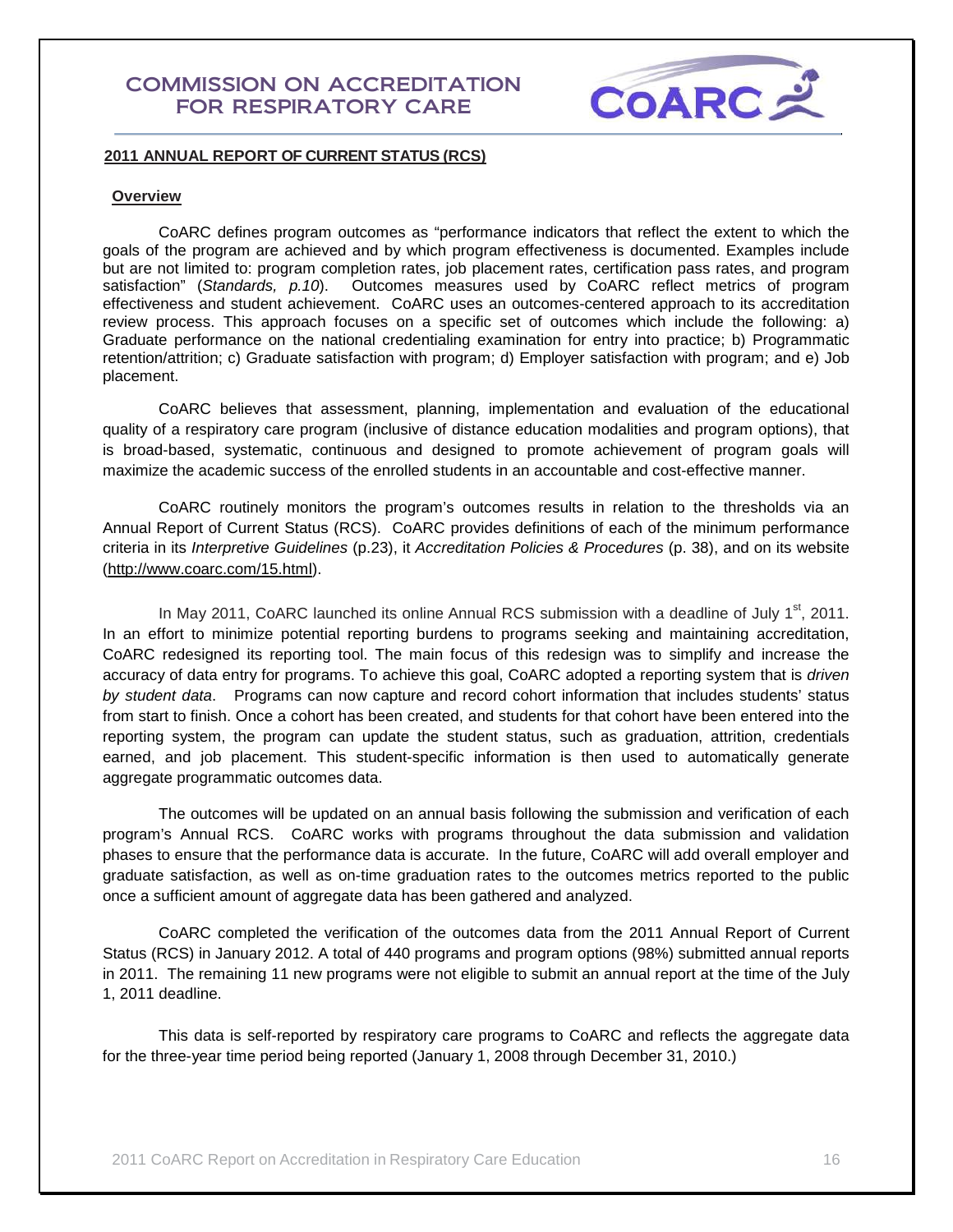

## **2011 ANNUAL REPORT OF CURRENT STATUS (RCS)**

#### **Overview**

CoARC defines program outcomes as "performance indicators that reflect the extent to which the goals of the program are achieved and by which program effectiveness is documented. Examples include but are not limited to: program completion rates, job placement rates, certification pass rates, and program satisfaction" (*Standards, p.10*). Outcomes measures used by CoARC reflect metrics of program effectiveness and student achievement. CoARC uses an outcomes-centered approach to its accreditation review process. This approach focuses on a specific set of outcomes which include the following: a) Graduate performance on the national credentialing examination for entry into practice; b) Programmatic retention/attrition; c) Graduate satisfaction with program; d) Employer satisfaction with program; and e) Job placement.

CoARC believes that assessment, planning, implementation and evaluation of the educational quality of a respiratory care program (inclusive of distance education modalities and program options), that is broad-based, systematic, continuous and designed to promote achievement of program goals will maximize the academic success of the enrolled students in an accountable and cost-effective manner.

CoARC routinely monitors the program's outcomes results in relation to the thresholds via an Annual Report of Current Status (RCS). CoARC provides definitions of each of the minimum performance criteria in its *Interpretive Guidelines* (p.23), it *Accreditation Policies & Procedures* (p. 38), and on its website [\(http://www.coarc.com/15.html\)](http://www.coarc.com/15.html).

In May 2011, CoARC launched its online Annual RCS submission with a deadline of July  $1<sup>st</sup>$ , 2011. In an effort to minimize potential reporting burdens to programs seeking and maintaining accreditation, CoARC redesigned its reporting tool. The main focus of this redesign was to simplify and increase the accuracy of data entry for programs. To achieve this goal, CoARC adopted a reporting system that is *driven by student data*. Programs can now capture and record cohort information that includes students' status from start to finish. Once a cohort has been created, and students for that cohort have been entered into the reporting system, the program can update the student status, such as graduation, attrition, credentials earned, and job placement. This student-specific information is then used to automatically generate aggregate programmatic outcomes data.

The outcomes will be updated on an annual basis following the submission and verification of each program's Annual RCS. CoARC works with programs throughout the data submission and validation phases to ensure that the performance data is accurate. In the future, CoARC will add overall employer and graduate satisfaction, as well as on-time graduation rates to the outcomes metrics reported to the public once a sufficient amount of aggregate data has been gathered and analyzed.

CoARC completed the verification of the outcomes data from the 2011 Annual Report of Current Status (RCS) in January 2012. A total of 440 programs and program options (98%) submitted annual reports in 2011. The remaining 11 new programs were not eligible to submit an annual report at the time of the July 1, 2011 deadline.

This data is self-reported by respiratory care programs to CoARC and reflects the aggregate data for the three-year time period being reported (January 1, 2008 through December 31, 2010.)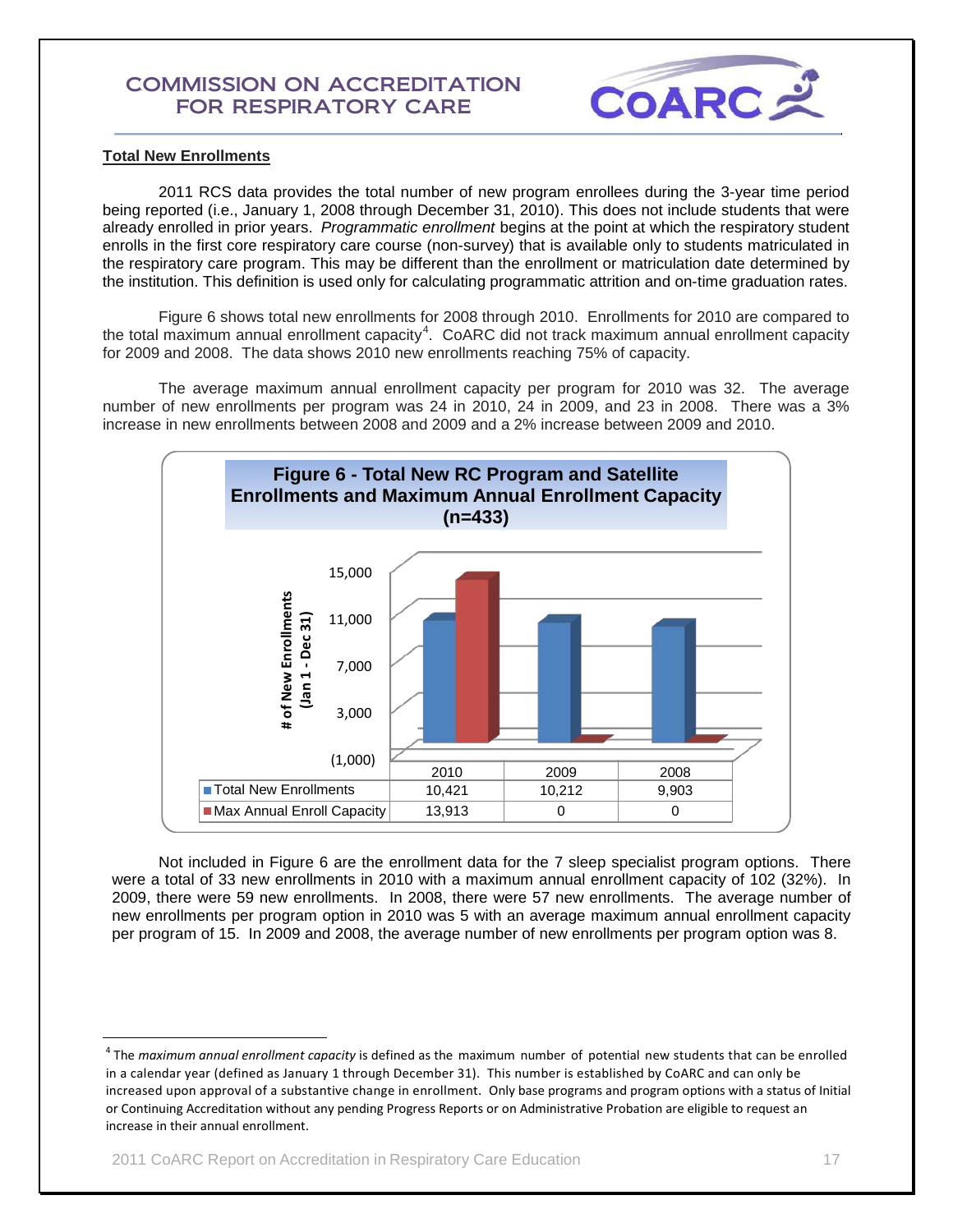

## **Total New Enrollments**

2011 RCS data provides the total number of new program enrollees during the 3-year time period being reported (i.e., January 1, 2008 through December 31, 2010). This does not include students that were already enrolled in prior years. *Programmatic enrollment* begins at the point at which the respiratory student enrolls in the first core respiratory care course (non-survey) that is available only to students matriculated in the respiratory care program. This may be different than the enrollment or matriculation date determined by the institution. This definition is used only for calculating programmatic attrition and on-time graduation rates.

Figure 6 shows total new enrollments for 2008 through 2010. Enrollments for 2010 are compared to the total maximum annual enrollment capacity<sup>[4](#page-16-0)</sup>. CoARC did not track maximum annual enrollment capacity for 2009 and 2008. The data shows 2010 new enrollments reaching 75% of capacity.

The average maximum annual enrollment capacity per program for 2010 was 32. The average number of new enrollments per program was 24 in 2010, 24 in 2009, and 23 in 2008. There was a 3% increase in new enrollments between 2008 and 2009 and a 2% increase between 2009 and 2010.



Not included in Figure 6 are the enrollment data for the 7 sleep specialist program options. There were a total of 33 new enrollments in 2010 with a maximum annual enrollment capacity of 102 (32%). In 2009, there were 59 new enrollments. In 2008, there were 57 new enrollments. The average number of new enrollments per program option in 2010 was 5 with an average maximum annual enrollment capacity per program of 15. In 2009 and 2008, the average number of new enrollments per program option was 8.

<span id="page-16-0"></span> <sup>4</sup> The *maximum annual enrollment capacity* is defined as the maximum number of potential new students that can be enrolled in a calendar year (defined as January 1 through December 31). This number is established by CoARC and can only be increased upon approval of a substantive change in enrollment. Only base programs and program options with a status of Initial or Continuing Accreditation without any pending Progress Reports or on Administrative Probation are eligible to request an increase in their annual enrollment.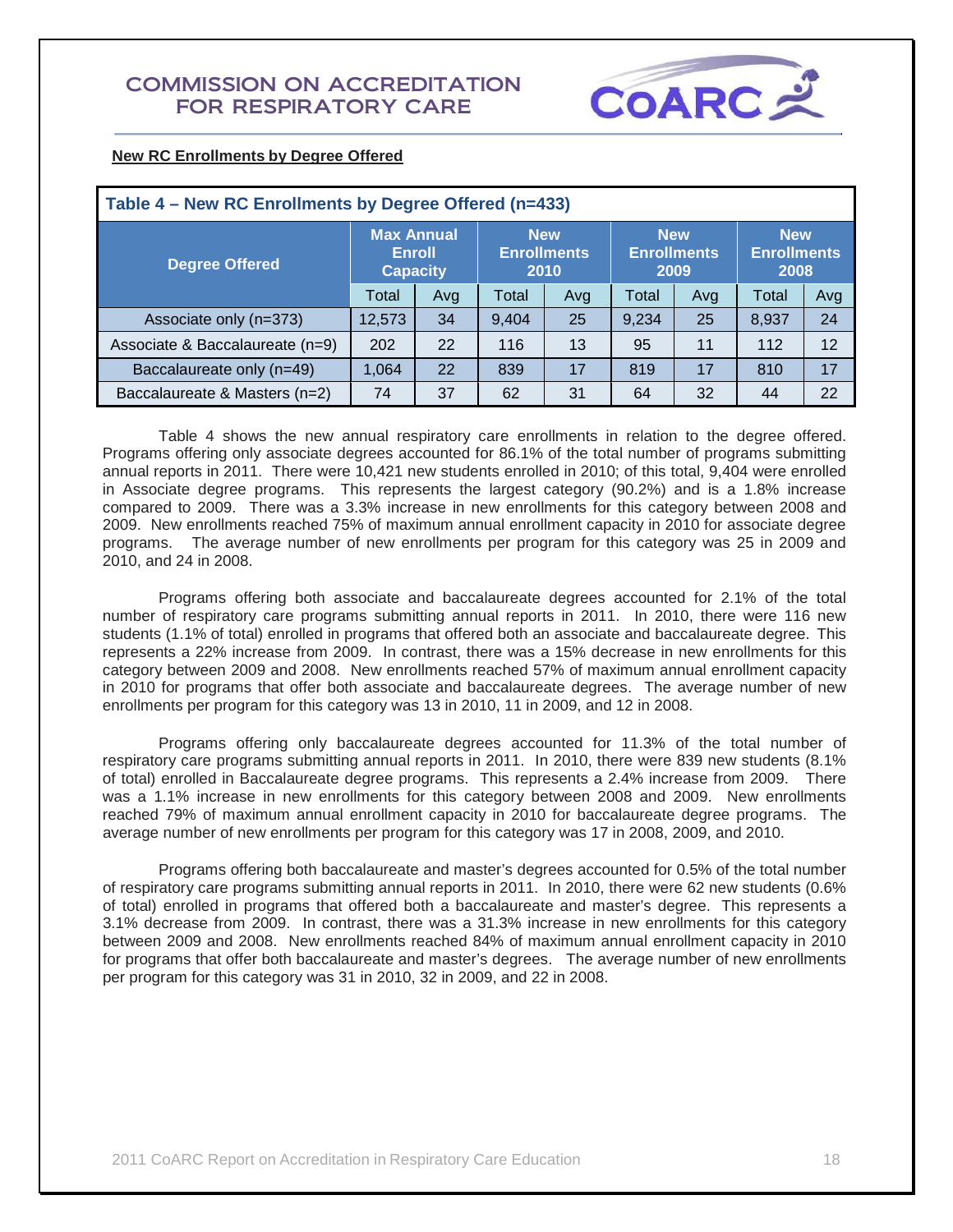

| <b>New RC Enrollments by Degree Offered</b> |
|---------------------------------------------|
|---------------------------------------------|

| Table 4 – New RC Enrollments by Degree Offered (n=433) |                                                                                                   |     |       |                 |                                          |                                          |       |     |  |  |
|--------------------------------------------------------|---------------------------------------------------------------------------------------------------|-----|-------|-----------------|------------------------------------------|------------------------------------------|-------|-----|--|--|
| <b>Degree Offered</b>                                  | <b>Max Annual</b><br><b>New</b><br><b>Enrollments</b><br><b>Enroll</b><br>2010<br><b>Capacity</b> |     |       |                 | <b>New</b><br><b>Enrollments</b><br>2009 | <b>New</b><br><b>Enrollments</b><br>2008 |       |     |  |  |
|                                                        | Total                                                                                             | Avg | Total | Avg             | Total                                    | Avg                                      | Total | Avg |  |  |
| Associate only (n=373)                                 | 12,573                                                                                            | 34  | 9.404 | 25              | 9,234                                    | 25                                       | 8,937 | 24  |  |  |
| Associate & Baccalaureate (n=9)                        | 202                                                                                               | 22  | 116   | 13              | 95                                       | 11                                       |       | 12  |  |  |
| Baccalaureate only (n=49)                              | 1,064                                                                                             | 22  | 839   | 17<br>819<br>17 |                                          | 810                                      | 17    |     |  |  |
| Baccalaureate & Masters (n=2)                          | 74                                                                                                | 37  | 62    | 31              | 64                                       | 32                                       | 44    | 22  |  |  |

Table 4 shows the new annual respiratory care enrollments in relation to the degree offered. Programs offering only associate degrees accounted for 86.1% of the total number of programs submitting annual reports in 2011. There were 10,421 new students enrolled in 2010; of this total, 9,404 were enrolled in Associate degree programs. This represents the largest category (90.2%) and is a 1.8% increase compared to 2009. There was a 3.3% increase in new enrollments for this category between 2008 and 2009. New enrollments reached 75% of maximum annual enrollment capacity in 2010 for associate degree programs. The average number of new enrollments per program for this category was 25 in 2009 and 2010, and 24 in 2008.

Programs offering both associate and baccalaureate degrees accounted for 2.1% of the total number of respiratory care programs submitting annual reports in 2011. In 2010, there were 116 new students (1.1% of total) enrolled in programs that offered both an associate and baccalaureate degree. This represents a 22% increase from 2009. In contrast, there was a 15% decrease in new enrollments for this category between 2009 and 2008. New enrollments reached 57% of maximum annual enrollment capacity in 2010 for programs that offer both associate and baccalaureate degrees. The average number of new enrollments per program for this category was 13 in 2010, 11 in 2009, and 12 in 2008.

Programs offering only baccalaureate degrees accounted for 11.3% of the total number of respiratory care programs submitting annual reports in 2011. In 2010, there were 839 new students (8.1% of total) enrolled in Baccalaureate degree programs. This represents a 2.4% increase from 2009. There was a 1.1% increase in new enrollments for this category between 2008 and 2009. New enrollments reached 79% of maximum annual enrollment capacity in 2010 for baccalaureate degree programs. The average number of new enrollments per program for this category was 17 in 2008, 2009, and 2010.

Programs offering both baccalaureate and master's degrees accounted for 0.5% of the total number of respiratory care programs submitting annual reports in 2011. In 2010, there were 62 new students (0.6% of total) enrolled in programs that offered both a baccalaureate and master's degree. This represents a 3.1% decrease from 2009. In contrast, there was a 31.3% increase in new enrollments for this category between 2009 and 2008. New enrollments reached 84% of maximum annual enrollment capacity in 2010 for programs that offer both baccalaureate and master's degrees. The average number of new enrollments per program for this category was 31 in 2010, 32 in 2009, and 22 in 2008.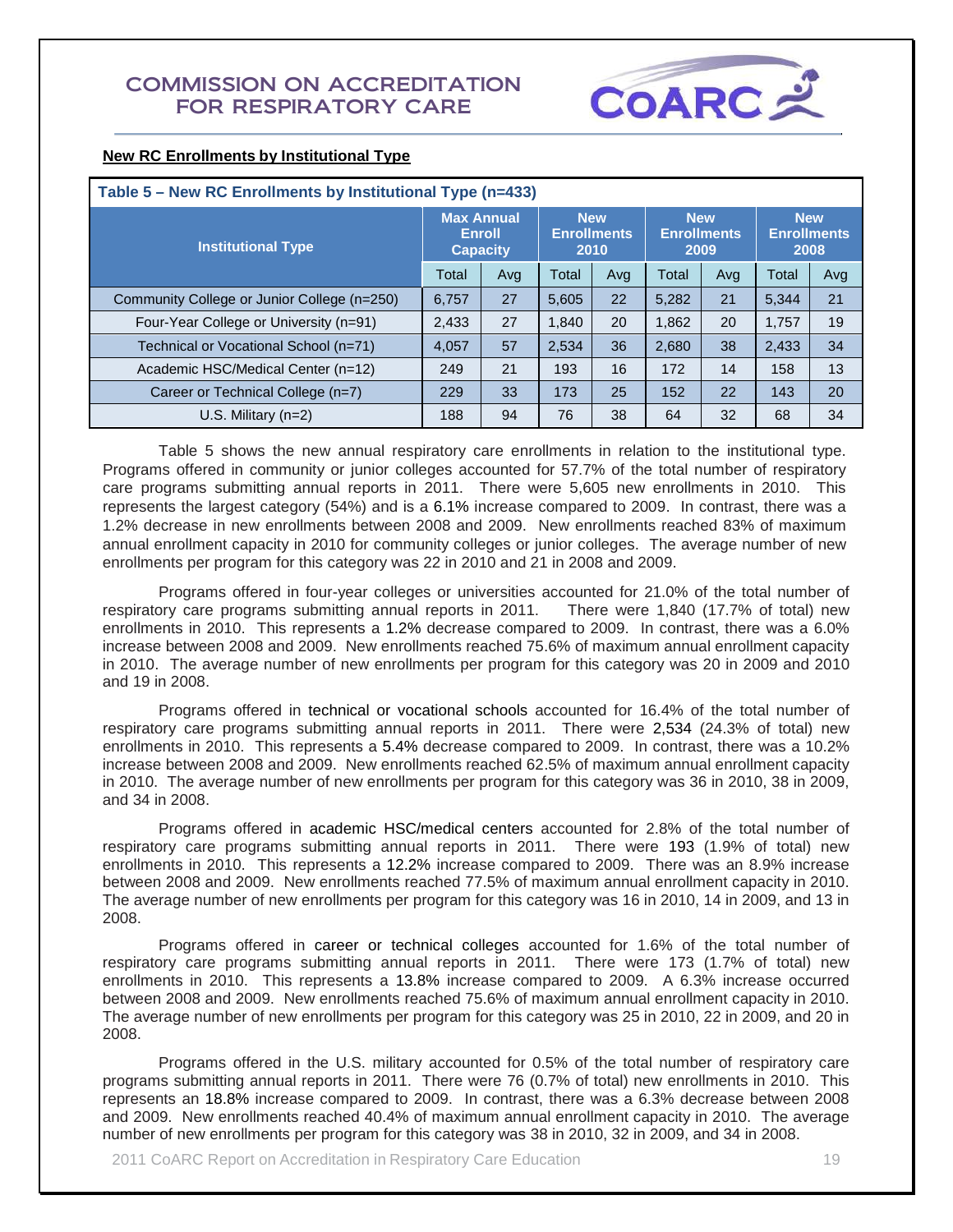

## **New RC Enrollments by Institutional Type**

| Table 5 - New RC Enrollments by Institutional Type (n=433) |                                    |                 |                                          |     |            |                            |                                          |     |  |
|------------------------------------------------------------|------------------------------------|-----------------|------------------------------------------|-----|------------|----------------------------|------------------------------------------|-----|--|
| <b>Institutional Type</b>                                  | <b>Max Annual</b><br><b>Enroll</b> | <b>Capacity</b> | <b>New</b><br><b>Enrollments</b><br>2010 |     | <b>New</b> | <b>Enrollments</b><br>2009 | <b>New</b><br><b>Enrollments</b><br>2008 |     |  |
|                                                            | Total                              | Avg             | Total                                    | Ava | Total      | Avg                        | Total                                    | Avg |  |
| Community College or Junior College (n=250)                | 6.757                              | 27              | 5.605                                    | 22  | 5.282      | 21                         | 5.344                                    | 21  |  |
| Four-Year College or University (n=91)                     | 2,433                              | 27              | 1.840                                    | 20  | 1.862      | 20                         | 1.757                                    | 19  |  |
| Technical or Vocational School (n=71)                      | 4.057                              | 57              | 2.534                                    | 36  | 2.680      | 38                         | 2.433                                    | 34  |  |
| Academic HSC/Medical Center (n=12)                         | 249                                | 21              | 193                                      | 16  | 172        | 14                         | 158                                      | 13  |  |
| Career or Technical College (n=7)                          | 229                                | 33              | 173                                      | 25  | 152        | 22                         | 143                                      | 20  |  |
| U.S. Military $(n=2)$                                      | 188                                | 94              | 76                                       | 38  | 64         | 32                         | 68                                       | 34  |  |

Table 5 shows the new annual respiratory care enrollments in relation to the institutional type. Programs offered in community or junior colleges accounted for 57.7% of the total number of respiratory care programs submitting annual reports in 2011. There were 5,605 new enrollments in 2010. This represents the largest category (54%) and is a 6.1% increase compared to 2009. In contrast, there was a 1.2% decrease in new enrollments between 2008 and 2009. New enrollments reached 83% of maximum annual enrollment capacity in 2010 for community colleges or junior colleges. The average number of new enrollments per program for this category was 22 in 2010 and 21 in 2008 and 2009.

Programs offered in four-year colleges or universities accounted for 21.0% of the total number of respiratory care programs submitting annual reports in 2011. There were 1,840 (17.7% of total) new enrollments in 2010. This represents a 1.2% decrease compared to 2009. In contrast, there was a 6.0% increase between 2008 and 2009. New enrollments reached 75.6% of maximum annual enrollment capacity in 2010. The average number of new enrollments per program for this category was 20 in 2009 and 2010 and 19 in 2008.

Programs offered in technical or vocational schools accounted for 16.4% of the total number of respiratory care programs submitting annual reports in 2011. There were 2,534 (24.3% of total) new enrollments in 2010. This represents a 5.4% decrease compared to 2009. In contrast, there was a 10.2% increase between 2008 and 2009. New enrollments reached 62.5% of maximum annual enrollment capacity in 2010. The average number of new enrollments per program for this category was 36 in 2010, 38 in 2009, and 34 in 2008.

Programs offered in academic HSC/medical centers accounted for 2.8% of the total number of respiratory care programs submitting annual reports in 2011. There were 193 (1.9% of total) new enrollments in 2010. This represents a 12.2% increase compared to 2009. There was an 8.9% increase between 2008 and 2009. New enrollments reached 77.5% of maximum annual enrollment capacity in 2010. The average number of new enrollments per program for this category was 16 in 2010, 14 in 2009, and 13 in 2008.

Programs offered in career or technical colleges accounted for 1.6% of the total number of respiratory care programs submitting annual reports in 2011. There were 173 (1.7% of total) new enrollments in 2010. This represents a 13.8% increase compared to 2009. A 6.3% increase occurred between 2008 and 2009. New enrollments reached 75.6% of maximum annual enrollment capacity in 2010. The average number of new enrollments per program for this category was 25 in 2010, 22 in 2009, and 20 in 2008.

Programs offered in the U.S. military accounted for 0.5% of the total number of respiratory care programs submitting annual reports in 2011. There were 76 (0.7% of total) new enrollments in 2010. This represents an 18.8% increase compared to 2009. In contrast, there was a 6.3% decrease between 2008 and 2009. New enrollments reached 40.4% of maximum annual enrollment capacity in 2010. The average number of new enrollments per program for this category was 38 in 2010, 32 in 2009, and 34 in 2008.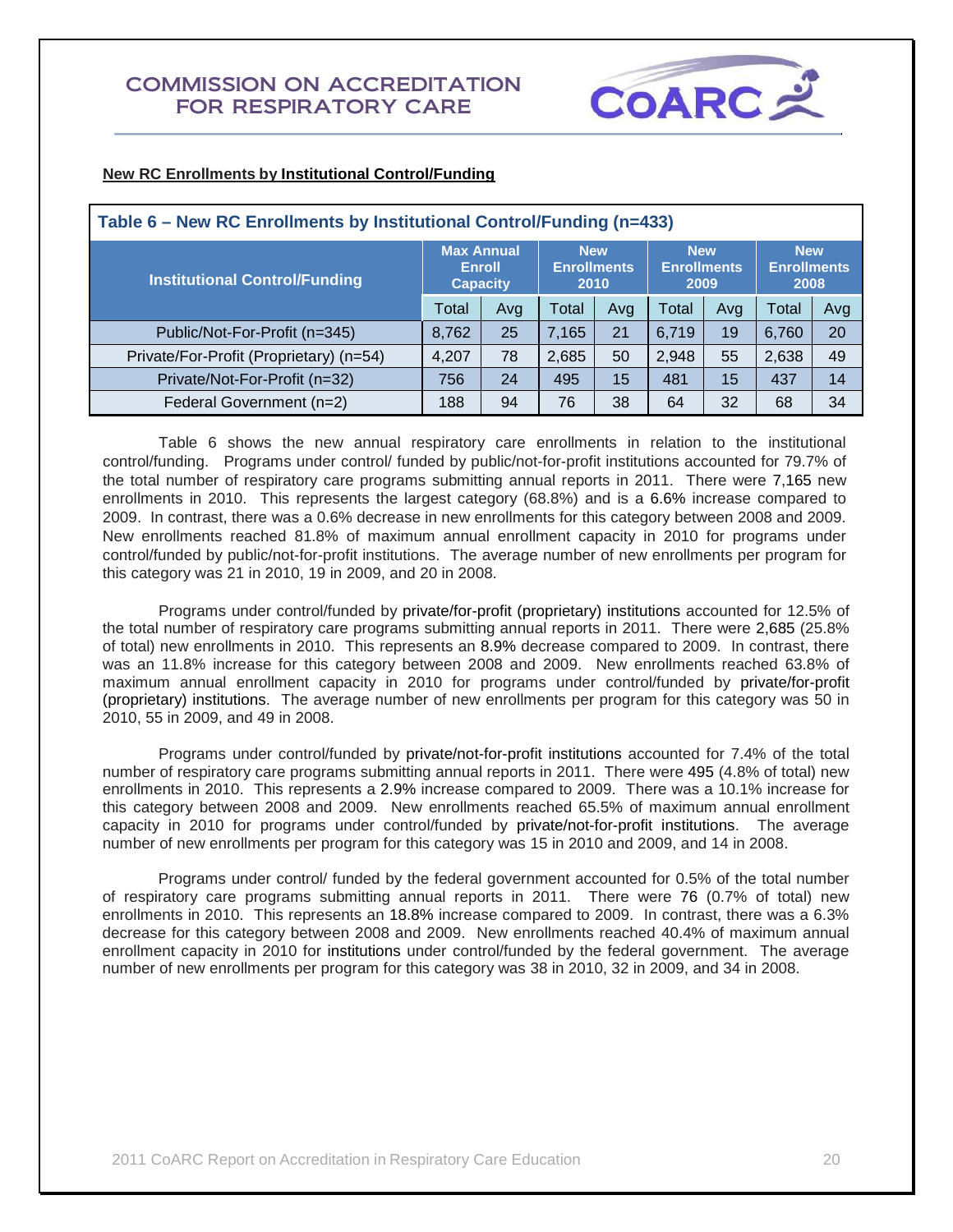

## **New RC Enrollments by Institutional Control/Funding**

| Table 6 – New RC Enrollments by Institutional Control/Funding (n=433) |                   |                                  |                                          |     |                                                                                      |     |       |     |  |  |
|-----------------------------------------------------------------------|-------------------|----------------------------------|------------------------------------------|-----|--------------------------------------------------------------------------------------|-----|-------|-----|--|--|
| <b>Institutional Control/Funding</b>                                  | <b>Max Annual</b> | <b>Enroll</b><br><b>Capacity</b> | <b>New</b><br><b>Enrollments</b><br>2010 |     | <b>New</b><br><b>New</b><br><b>Enrollments</b><br><b>Enrollments</b><br>2009<br>2008 |     |       |     |  |  |
|                                                                       |                   | Avg                              | Total                                    | Avg | Total                                                                                | Avg | Total | Avg |  |  |
| Public/Not-For-Profit (n=345)                                         | 8,762             | 25                               | 7.165                                    | 21  | 6.719                                                                                | 19  | 6,760 | 20  |  |  |
| Private/For-Profit (Proprietary) (n=54)                               | 4,207             | 78                               | 2,685                                    | 50  | 2,948                                                                                | 55  | 2,638 | 49  |  |  |
| Private/Not-For-Profit (n=32)                                         | 756               | 24                               | 495                                      | 15  | 481                                                                                  | 15  | 437   | 14  |  |  |
| Federal Government (n=2)                                              | 188               | 94                               | 76                                       | 38  | 64                                                                                   | 32  | 68    | 34  |  |  |

Table 6 shows the new annual respiratory care enrollments in relation to the institutional control/funding. Programs under control/ funded by public/not-for-profit institutions accounted for 79.7% of the total number of respiratory care programs submitting annual reports in 2011. There were 7,165 new enrollments in 2010. This represents the largest category (68.8%) and is a 6.6% increase compared to 2009. In contrast, there was a 0.6% decrease in new enrollments for this category between 2008 and 2009. New enrollments reached 81.8% of maximum annual enrollment capacity in 2010 for programs under control/funded by public/not-for-profit institutions. The average number of new enrollments per program for this category was 21 in 2010, 19 in 2009, and 20 in 2008.

Programs under control/funded by private/for-profit (proprietary) institutions accounted for 12.5% of the total number of respiratory care programs submitting annual reports in 2011. There were 2,685 (25.8% of total) new enrollments in 2010. This represents an 8.9% decrease compared to 2009. In contrast, there was an 11.8% increase for this category between 2008 and 2009. New enrollments reached 63.8% of maximum annual enrollment capacity in 2010 for programs under control/funded by private/for-profit (proprietary) institutions. The average number of new enrollments per program for this category was 50 in 2010, 55 in 2009, and 49 in 2008.

Programs under control/funded by private/not-for-profit institutions accounted for 7.4% of the total number of respiratory care programs submitting annual reports in 2011. There were 495 (4.8% of total) new enrollments in 2010. This represents a 2.9% increase compared to 2009. There was a 10.1% increase for this category between 2008 and 2009. New enrollments reached 65.5% of maximum annual enrollment capacity in 2010 for programs under control/funded by private/not-for-profit institutions. The average number of new enrollments per program for this category was 15 in 2010 and 2009, and 14 in 2008.

Programs under control/ funded by the federal government accounted for 0.5% of the total number of respiratory care programs submitting annual reports in 2011. There were 76 (0.7% of total) new enrollments in 2010. This represents an 18.8% increase compared to 2009. In contrast, there was a 6.3% decrease for this category between 2008 and 2009. New enrollments reached 40.4% of maximum annual enrollment capacity in 2010 for institutions under control/funded by the federal government. The average number of new enrollments per program for this category was 38 in 2010, 32 in 2009, and 34 in 2008.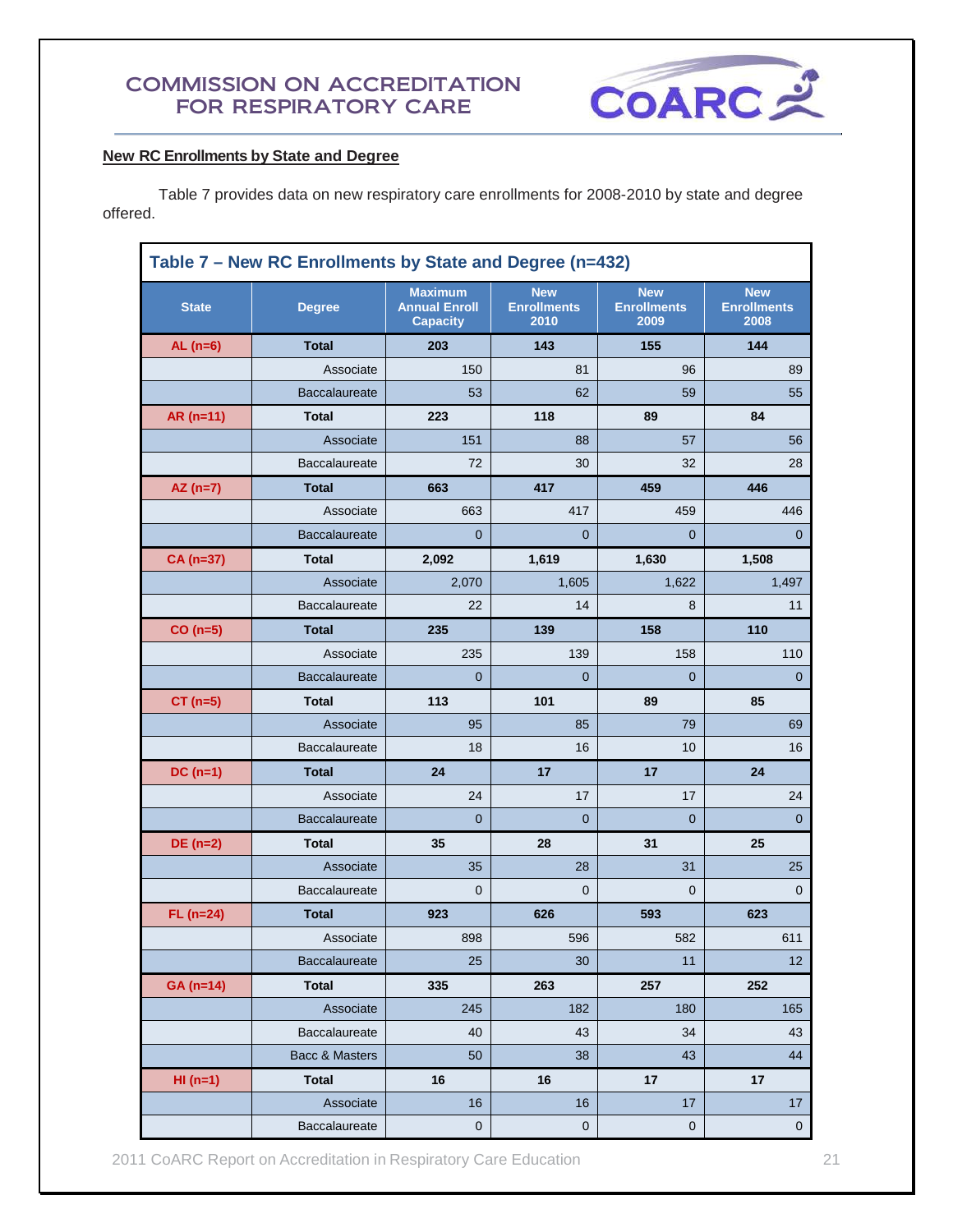

## **New RC Enrollments by State and Degree**

Table 7 provides data on new respiratory care enrollments for 2008-2010 by state and degree offered.

|              | Table 7 - New RC Enrollments by State and Degree (n=432) |                                                           |                                          |                                          |                                          |  |  |  |  |
|--------------|----------------------------------------------------------|-----------------------------------------------------------|------------------------------------------|------------------------------------------|------------------------------------------|--|--|--|--|
| <b>State</b> | <b>Degree</b>                                            | <b>Maximum</b><br><b>Annual Enroll</b><br><b>Capacity</b> | <b>New</b><br><b>Enrollments</b><br>2010 | <b>New</b><br><b>Enrollments</b><br>2009 | <b>New</b><br><b>Enrollments</b><br>2008 |  |  |  |  |
| AL $(n=6)$   | <b>Total</b>                                             | 203                                                       | 143                                      | 155                                      | 144                                      |  |  |  |  |
|              | Associate                                                | 150                                                       | 81                                       | 96                                       | 89                                       |  |  |  |  |
|              | Baccalaureate                                            | 53                                                        | 62                                       | 59                                       | 55                                       |  |  |  |  |
| $AR(n=11)$   | <b>Total</b>                                             | 223                                                       | 118                                      | 89                                       | 84                                       |  |  |  |  |
|              | Associate                                                | 151                                                       | 88                                       | 57                                       | 56                                       |  |  |  |  |
|              | Baccalaureate                                            | 72                                                        | 30                                       | 32                                       | 28                                       |  |  |  |  |
| $AZ(n=7)$    | <b>Total</b>                                             | 663                                                       | 417                                      | 459                                      | 446                                      |  |  |  |  |
|              | Associate                                                | 663                                                       | 417                                      | 459                                      | 446                                      |  |  |  |  |
|              | <b>Baccalaureate</b>                                     | $\Omega$                                                  | $\Omega$                                 | $\mathbf 0$                              | 0                                        |  |  |  |  |
| CA (n=37)    | <b>Total</b>                                             | 2,092                                                     | 1,619                                    | 1,630                                    | 1,508                                    |  |  |  |  |
|              | Associate                                                | 2,070                                                     | 1,605                                    | 1,622                                    | 1,497                                    |  |  |  |  |
|              | <b>Baccalaureate</b>                                     | 22                                                        | 14                                       | 8                                        | 11                                       |  |  |  |  |
| $CO(n=5)$    | <b>Total</b>                                             | 235                                                       | 139                                      | 158                                      | 110                                      |  |  |  |  |
|              | Associate                                                | 235                                                       | 139                                      | 158                                      | 110                                      |  |  |  |  |
|              | Baccalaureate                                            | 0                                                         | $\mathbf 0$                              | $\mathbf 0$                              | 0                                        |  |  |  |  |
| $CT (n=5)$   | <b>Total</b>                                             | 113                                                       | 101                                      | 89                                       | 85                                       |  |  |  |  |
|              | Associate                                                | 95                                                        | 85                                       | 79                                       | 69                                       |  |  |  |  |
|              | <b>Baccalaureate</b>                                     | 18                                                        | 16                                       | 10                                       | 16                                       |  |  |  |  |
| $DC(n=1)$    | <b>Total</b>                                             | 24                                                        | 17                                       | 17                                       | 24                                       |  |  |  |  |
|              | Associate                                                | 24                                                        | 17                                       | 17                                       | 24                                       |  |  |  |  |
|              | Baccalaureate                                            | 0                                                         | $\mathbf 0$                              | $\mathbf 0$                              | $\mathbf{0}$                             |  |  |  |  |
| $DE(n=2)$    | <b>Total</b>                                             | 35                                                        | 28                                       | 31                                       | 25                                       |  |  |  |  |
|              | Associate                                                | 35                                                        | 28                                       | 31                                       | 25                                       |  |  |  |  |
|              | <b>Baccalaureate</b>                                     | 0                                                         | 0                                        | 0                                        | 0                                        |  |  |  |  |
| $FL (n=24)$  | <b>Total</b>                                             | 923                                                       | 626                                      | 593                                      | 623                                      |  |  |  |  |
|              | Associate                                                | 898                                                       | 596                                      | 582                                      | 611                                      |  |  |  |  |
|              | Baccalaureate                                            | 25                                                        | 30                                       | 11                                       | 12                                       |  |  |  |  |
| $GA(n=14)$   | <b>Total</b>                                             | 335                                                       | 263                                      | 257                                      | 252                                      |  |  |  |  |
|              | Associate                                                | 245                                                       | 182                                      | 180                                      | 165                                      |  |  |  |  |
|              | Baccalaureate                                            | 40                                                        | 43                                       | 34                                       | 43                                       |  |  |  |  |
|              | Bacc & Masters                                           | 50                                                        | 38                                       | 43                                       | 44                                       |  |  |  |  |
| $HI(n=1)$    | <b>Total</b>                                             | 16                                                        | 16                                       | 17                                       | 17                                       |  |  |  |  |
|              | Associate                                                | 16                                                        | 16                                       | 17                                       | 17                                       |  |  |  |  |
|              | Baccalaureate                                            | $\pmb{0}$                                                 | $\pmb{0}$                                | $\pmb{0}$                                | $\pmb{0}$                                |  |  |  |  |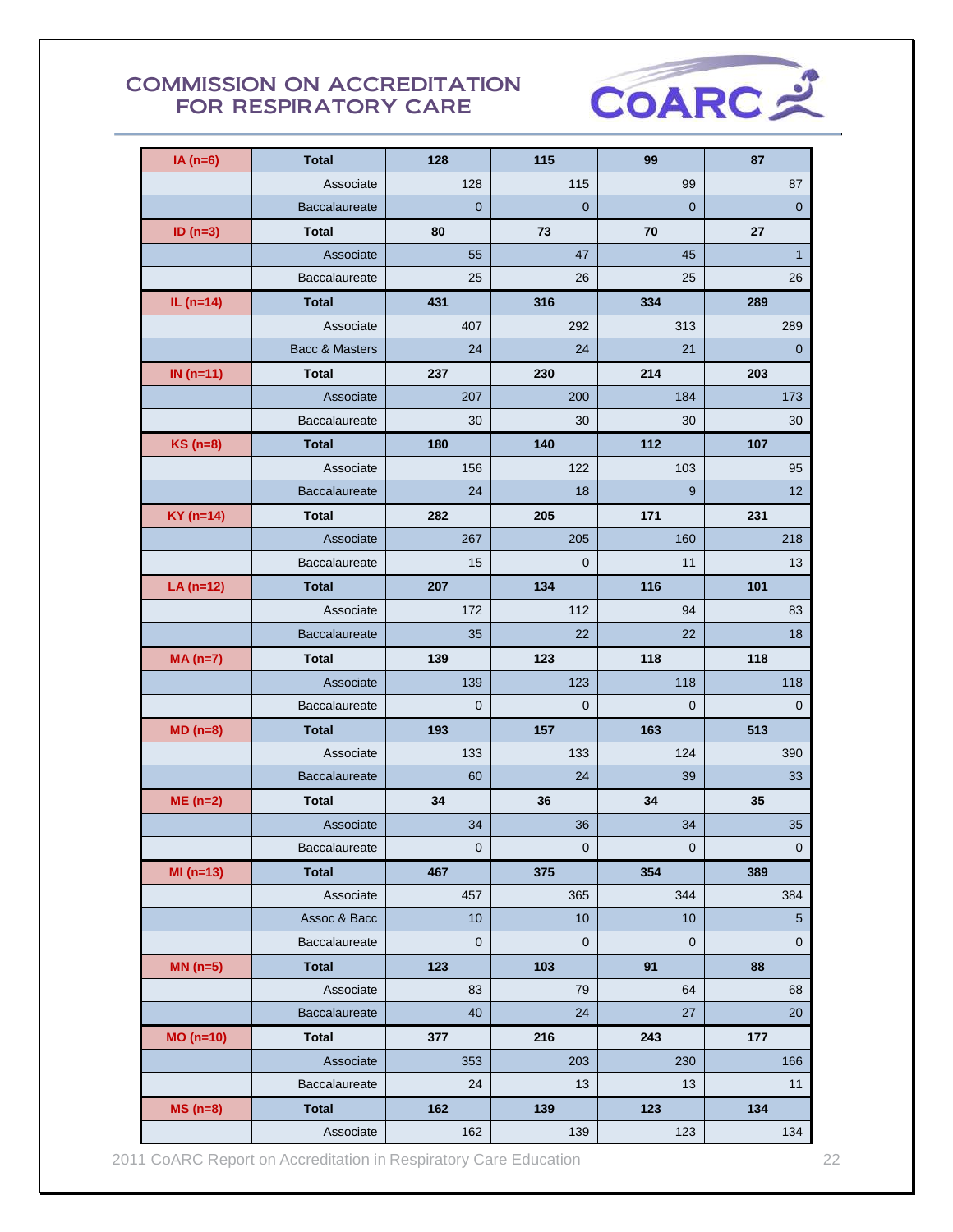

| $IA(n=6)$       | <b>Total</b>         | 128            | 115         | 99           | 87                  |
|-----------------|----------------------|----------------|-------------|--------------|---------------------|
|                 | Associate            | 128            | 115         | 99           | 87                  |
|                 | <b>Baccalaureate</b> | $\overline{0}$ | $\mathbf 0$ | $\mathbf{0}$ | $\mathbf 0$         |
| ID $(n=3)$      | <b>Total</b>         | 80             | 73          | 70           | 27                  |
|                 | Associate            | 55             | 47          | 45           | $\mathbf{1}$        |
|                 | Baccalaureate        | 25             | 26          | 25           | 26                  |
| IL $(n=14)$     | <b>Total</b>         | 431            | 316         | 334          | 289                 |
|                 | Associate            | 407            | 292         | 313          | 289                 |
|                 | Bacc & Masters       | 24             | 24          | 21           | $\mathbf 0$         |
| IN $(n=11)$     | <b>Total</b>         | 237            | 230         | 214          | 203                 |
|                 | Associate            | 207            | 200         | 184          | 173                 |
|                 | Baccalaureate        | 30             | 30          | 30           | 30                  |
| <b>KS</b> (n=8) | <b>Total</b>         | 180            | 140         | 112          | 107                 |
|                 | Associate            | 156            | 122         | 103          | 95                  |
|                 | <b>Baccalaureate</b> | 24             | 18          | 9            | 12                  |
| $KY$ (n=14)     | <b>Total</b>         | 282            | 205         | 171          | 231                 |
|                 | Associate            | 267            | 205         | 160          | 218                 |
|                 | Baccalaureate        | 15             | $\mathbf 0$ | 11           | 13                  |
| $LA(n=12)$      | <b>Total</b>         | 207            | 134         | 116          | 101                 |
|                 | Associate            | 172            | 112         | 94           | 83                  |
|                 | Baccalaureate        | 35             | 22          | 22           | 18                  |
|                 |                      |                |             |              |                     |
| $MA(n=7)$       | <b>Total</b>         | 139            | 123         | 118          | 118                 |
|                 | Associate            | 139            | 123         | 118          | 118                 |
|                 | <b>Baccalaureate</b> | $\overline{0}$ | $\mathbf 0$ | $\mathbf 0$  | 0                   |
| $MD(n=8)$       | <b>Total</b>         | 193            | 157         | 163          | 513                 |
|                 | Associate            | 133            | 133         | 124          | 390                 |
|                 | Baccalaureate        | 60             | 24          | 39           | 33                  |
| $ME(n=2)$       | <b>Total</b>         | 34             | 36          | 34           | 35                  |
|                 | Associate            | 34             | 36          | 34           | 35                  |
|                 | Baccalaureate        | $\overline{0}$ | $\pmb{0}$   | $\mathbf 0$  | $\mathsf{O}\xspace$ |
| $MI(n=13)$      | <b>Total</b>         | 467            | 375         | 354          | 389                 |
|                 | Associate            | 457            | 365         | 344          | 384                 |
|                 | Assoc & Bacc         | 10             | 10          | 10           | $\sqrt{5}$          |
|                 | Baccalaureate        | 0              | $\mathbf 0$ | 0            | $\pmb{0}$           |
| $MN(n=5)$       | <b>Total</b>         | 123            | 103         | 91           | 88                  |
|                 | Associate            | 83             | 79          | 64           | 68                  |
|                 | Baccalaureate        | 40             | 24          | 27           | 20                  |
| $MO(n=10)$      | <b>Total</b>         | 377            | 216         | 243          | 177                 |
|                 | Associate            | 353            | 203         | 230          | 166                 |
|                 | Baccalaureate        | 24             | 13          | 13           | 11                  |
| $MS(n=8)$       | <b>Total</b>         | 162            | 139         | 123          | 134                 |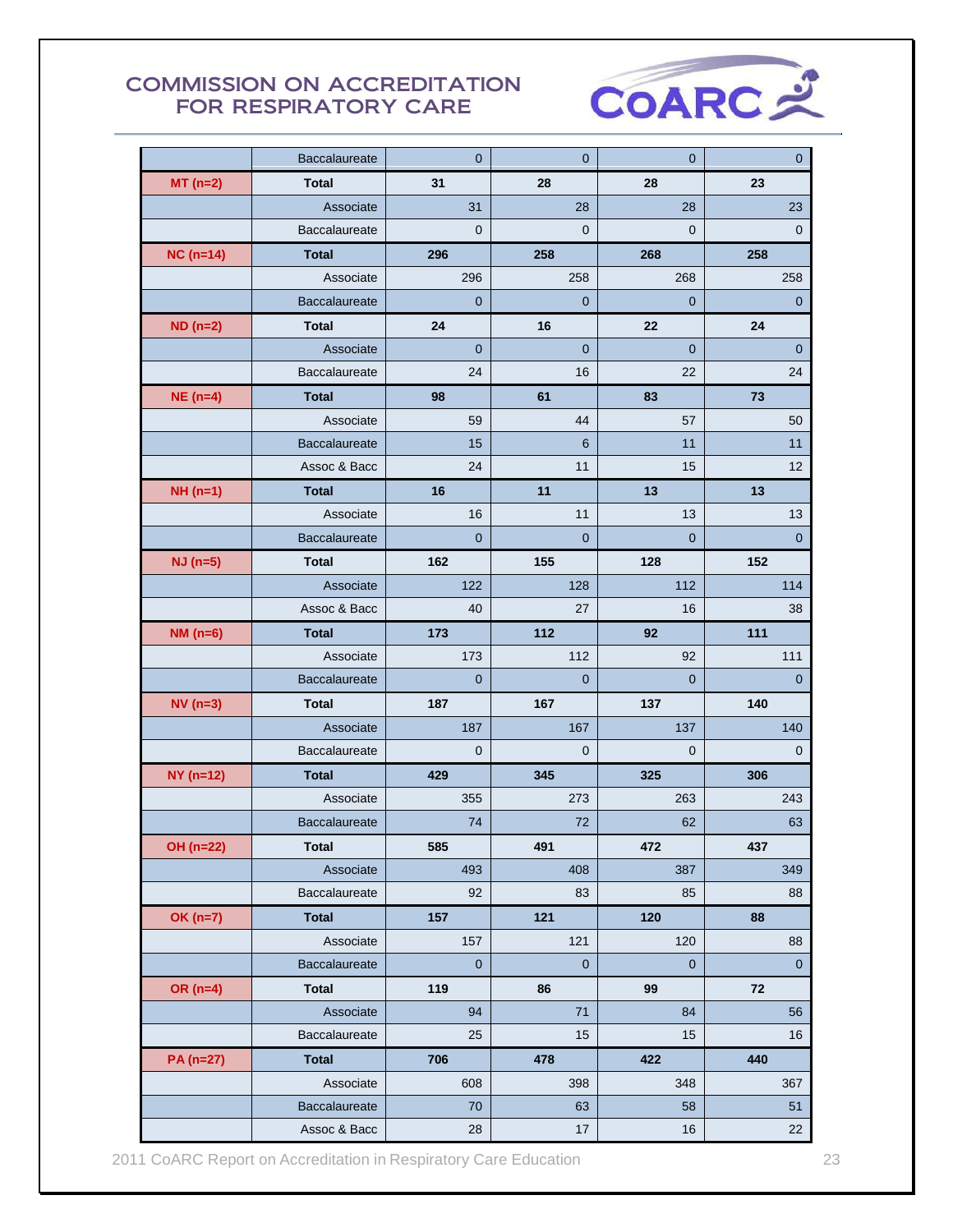

|                 | Baccalaureate        | $\mathbf{0}$   | $\overline{0}$ | 0              | $\overline{0}$ |
|-----------------|----------------------|----------------|----------------|----------------|----------------|
| $MT(n=2)$       | <b>Total</b>         | 31             | 28             | 28             | 23             |
|                 | Associate            | 31             | 28             | 28             | 23             |
|                 | Baccalaureate        | $\mathbf{0}$   | $\mathbf 0$    | $\mathbf 0$    | 0              |
| $NC(n=14)$      | <b>Total</b>         | 296            | 258            | 268            | 258            |
|                 | Associate            | 296            | 258            | 268            | 258            |
|                 | <b>Baccalaureate</b> | $\mathbf 0$    | $\mathbf 0$    | 0              | $\mathbf 0$    |
| $ND($ n=2 $)$   | <b>Total</b>         | 24             | 16             | 22             | 24             |
|                 | Associate            | $\mathbf{0}$   | 0              | $\overline{0}$ | $\mathbf 0$    |
|                 | <b>Baccalaureate</b> | 24             | 16             | 22             | 24             |
| $NE(n=4)$       | <b>Total</b>         | 98             | 61             | 83             | 73             |
|                 | Associate            | 59             | 44             | 57             | 50             |
|                 | Baccalaureate        | 15             | 6              | 11             | 11             |
|                 | Assoc & Bacc         | 24             | 11             | 15             | 12             |
| $NH(n=1)$       | <b>Total</b>         | 16             | 11             | 13             | 13             |
|                 | Associate            | 16             | 11             | 13             | 13             |
|                 | Baccalaureate        | $\overline{0}$ | $\overline{0}$ | $\mathbf 0$    | $\mathbf 0$    |
| $NJ$ (n=5)      | <b>Total</b>         | 162            | 155            | 128            | 152            |
|                 | Associate            | 122            | 128            | 112            | 114            |
|                 | Assoc & Bacc         | 40             | 27             | 16             | 38             |
| <b>NM</b> (n=6) | <b>Total</b>         | 173            | 112            | 92             | 111            |
|                 | Associate            | 173            | 112            | 92             | 111            |
|                 | <b>Baccalaureate</b> | $\mathbf{0}$   | $\overline{0}$ | $\overline{0}$ | $\overline{0}$ |
| $NV(n=3)$       | <b>Total</b>         | 187            | 167            | 137            | 140            |
|                 | Associate            | 187            | 167            | 137            | 140            |
|                 | <b>Baccalaureate</b> | $\mathbf{0}$   | 0              | $\mathbf 0$    | $\mathbf 0$    |
| $NY(n=12)$      | <b>Total</b>         | 429            | 345            | 325            | 306            |
|                 | Associate            | 355            | 273            | 263            | 243            |
|                 | Baccalaureate        | 74             | 72             | 62             | 63             |
| OH (n=22)       | <b>Total</b>         | 585            | 491            | 472            | 437            |
|                 | Associate            | 493            | 408            | 387            | 349            |
|                 | Baccalaureate        | 92             | 83             | 85             | 88             |
| <b>OK (n=7)</b> | <b>Total</b>         | 157            | 121            | 120            | 88             |
|                 | Associate            | 157            | 121            | 120            | 88             |
|                 | Baccalaureate        | $\mathbf 0$    | $\mathbf 0$    | $\mathbf 0$    | $\mathbf{0}$   |
| OR $(n=4)$      | <b>Total</b>         | 119            | 86             | 99             | 72             |
|                 | Associate            | 94             | 71             | 84             | 56             |
|                 | <b>Baccalaureate</b> | 25             | 15             | 15             | 16             |
| PA (n=27)       | <b>Total</b>         | 706            | 478            | 422            | 440            |
|                 | Associate            | 608            | 398            | 348            | 367            |
|                 | Baccalaureate        | 70             | 63             | 58             | 51             |
|                 | Assoc & Bacc         | 28             | 17             | 16             | 22             |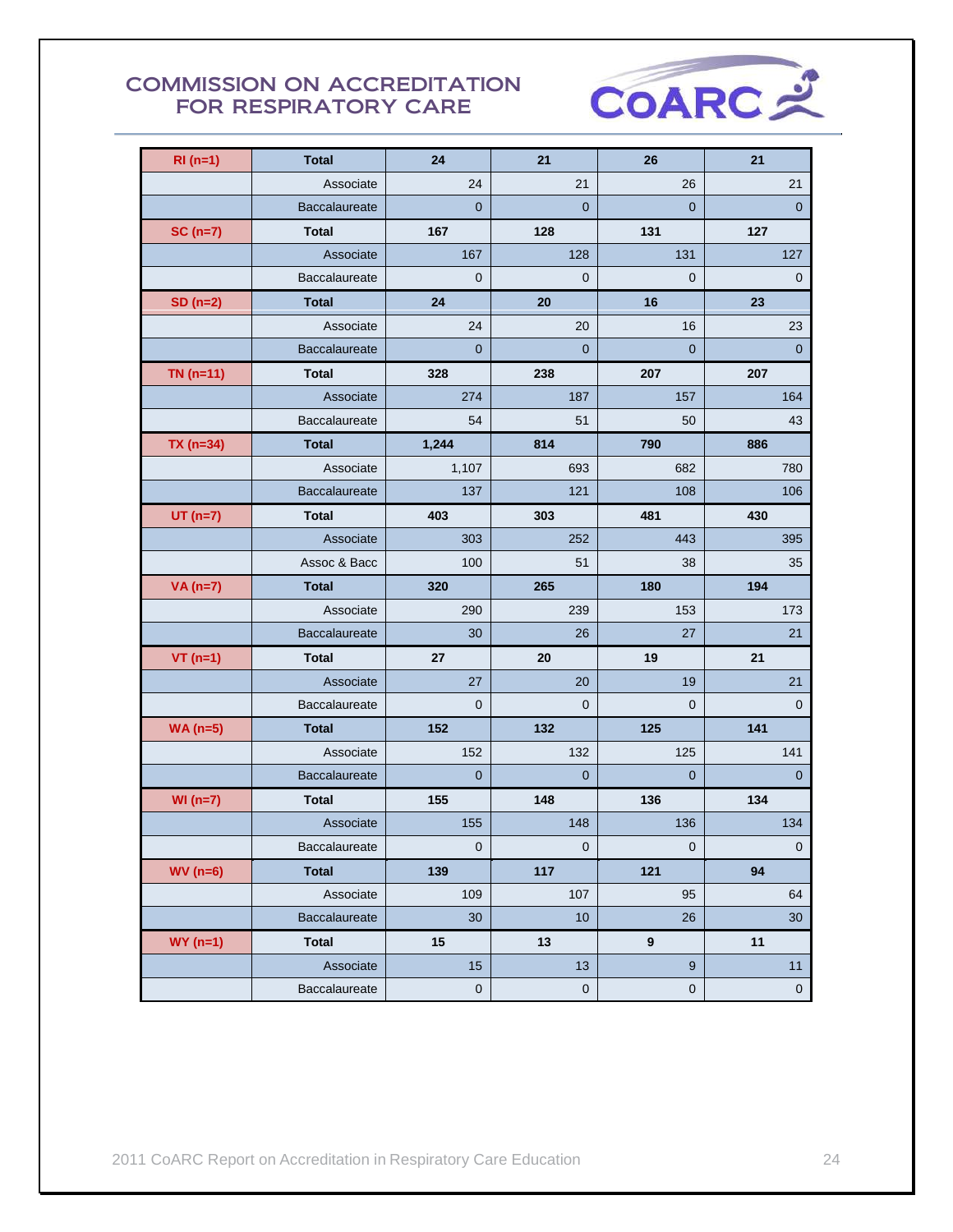

| $RI(n=1)$   | <b>Total</b>         | 24             | 21                  | 26               | 21             |
|-------------|----------------------|----------------|---------------------|------------------|----------------|
|             | Associate            | 24             | 21                  | 26               | 21             |
|             | <b>Baccalaureate</b> | $\overline{0}$ | $\overline{0}$      | $\mathbf 0$      | $\mathbf 0$    |
| $SC(n=7)$   | <b>Total</b>         | 167            | 128                 | 131              | 127            |
|             | Associate            | 167            | 128                 | 131              | 127            |
|             | Baccalaureate        | $\mathbf 0$    | $\mathbf 0$         | $\mathbf 0$      | $\mathbf 0$    |
| $SD(n=2)$   | <b>Total</b>         | 24             | 20                  | 16               | 23             |
|             | Associate            | 24             | 20                  | 16               | 23             |
|             | Baccalaureate        | $\mathbf{0}$   | $\overline{0}$      | $\mathbf{0}$     | $\overline{0}$ |
| $TN($ n=11) | <b>Total</b>         | 328            | 238                 | 207              | 207            |
|             | Associate            | 274            | 187                 | 157              | 164            |
|             | <b>Baccalaureate</b> | 54             | 51                  | 50               | 43             |
| $TX(n=34)$  | <b>Total</b>         | 1,244          | 814                 | 790              | 886            |
|             | Associate            | 1,107          | 693                 | 682              | 780            |
|             | Baccalaureate        | 137            | 121                 | 108              | 106            |
| $UT(n=7)$   | <b>Total</b>         | 403            | 303                 | 481              | 430            |
|             | Associate            | 303            | 252                 | 443              | 395            |
|             | Assoc & Bacc         | 100            | 51                  | 38               | 35             |
| $VA(n=7)$   | <b>Total</b>         | 320            | 265                 | 180              | 194            |
|             | Associate            | 290            | 239                 | 153              | 173            |
|             | <b>Baccalaureate</b> | 30             | 26                  | 27               | 21             |
| $VT$ (n=1)  | <b>Total</b>         | 27             | 20                  | 19               | 21             |
|             | Associate            | 27             | 20                  | 19               | 21             |
|             | Baccalaureate        | $\mathbf 0$    | $\mathbf{0}$        | $\overline{0}$   | $\mathbf 0$    |
| $WA(n=5)$   | <b>Total</b>         | 152            | 132                 | 125              | 141            |
|             | Associate            | 152            | 132                 | 125              | 141            |
|             | <b>Baccalaureate</b> | $\mathbf{0}$   | $\overline{0}$      | $\mathbf{0}$     | $\overline{0}$ |
| $WI(n=7)$   | <b>Total</b>         | 155            | 148                 | 136              | 134            |
|             | Associate            | 155            | 148                 | 136              | 134            |
|             | Baccalaureate        | $\pmb{0}$      | $\mathsf{O}\xspace$ | $\mathbf 0$      | $\pmb{0}$      |
| $WV(n=6)$   | <b>Total</b>         | 139            | 117                 | 121              | 94             |
|             | Associate            | 109            | 107                 | 95               | 64             |
|             | Baccalaureate        | 30             | 10                  | 26               | 30             |
| $WY(n=1)$   | <b>Total</b>         | 15             | 13                  | $\boldsymbol{9}$ | 11             |
|             | Associate            | 15             | 13                  | $\boldsymbol{9}$ | 11             |
|             | Baccalaureate        | $\pmb{0}$      | $\pmb{0}$           | $\pmb{0}$        | $\mathbf 0$    |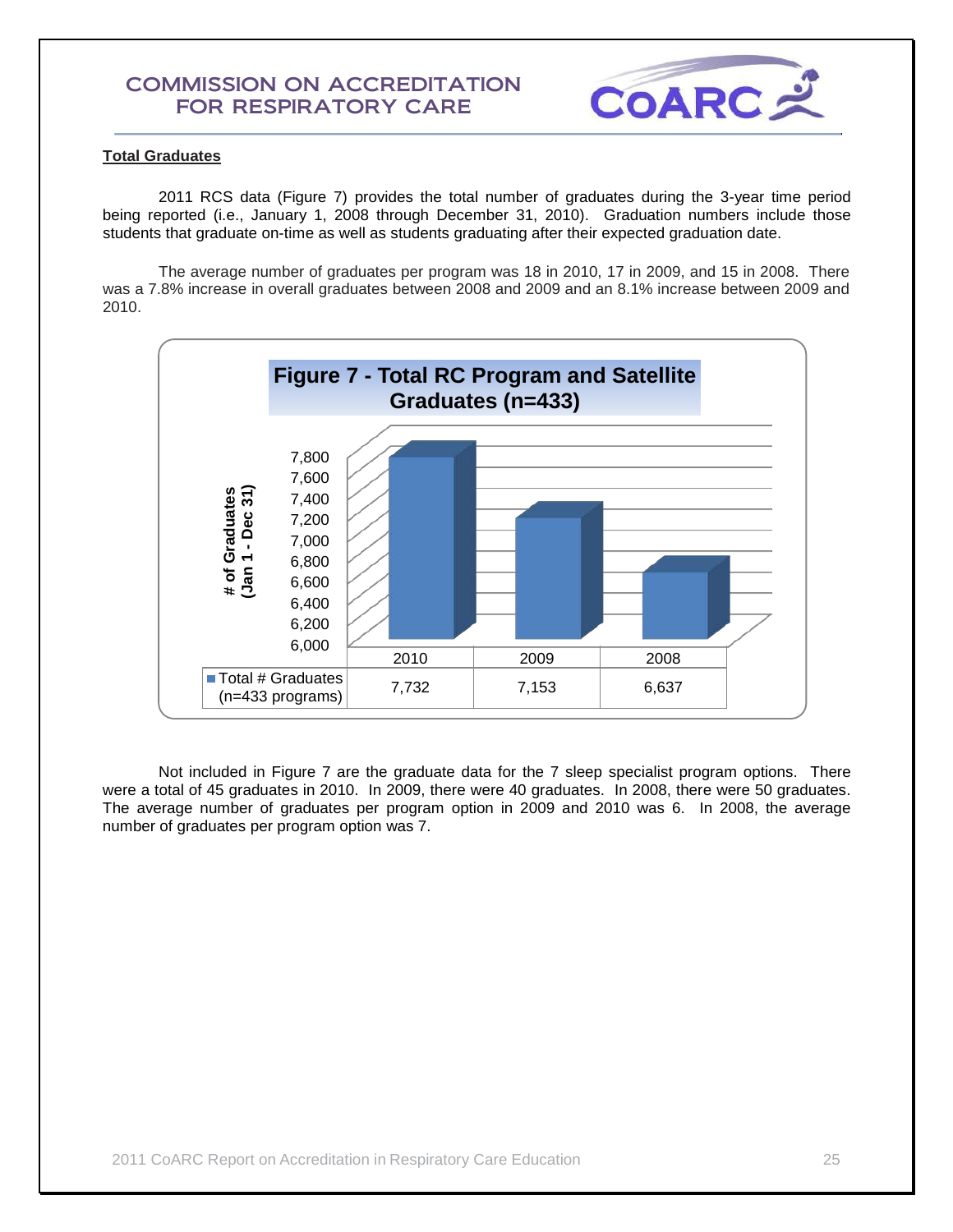

## **Total Graduates**

2011 RCS data (Figure 7) provides the total number of graduates during the 3-year time period being reported (i.e., January 1, 2008 through December 31, 2010). Graduation numbers include those students that graduate on-time as well as students graduating after their expected graduation date.

The average number of graduates per program was 18 in 2010, 17 in 2009, and 15 in 2008. There was a 7.8% increase in overall graduates between 2008 and 2009 and an 8.1% increase between 2009 and 2010.



Not included in Figure 7 are the graduate data for the 7 sleep specialist program options. There were a total of 45 graduates in 2010. In 2009, there were 40 graduates. In 2008, there were 50 graduates. The average number of graduates per program option in 2009 and 2010 was 6. In 2008, the average number of graduates per program option was 7.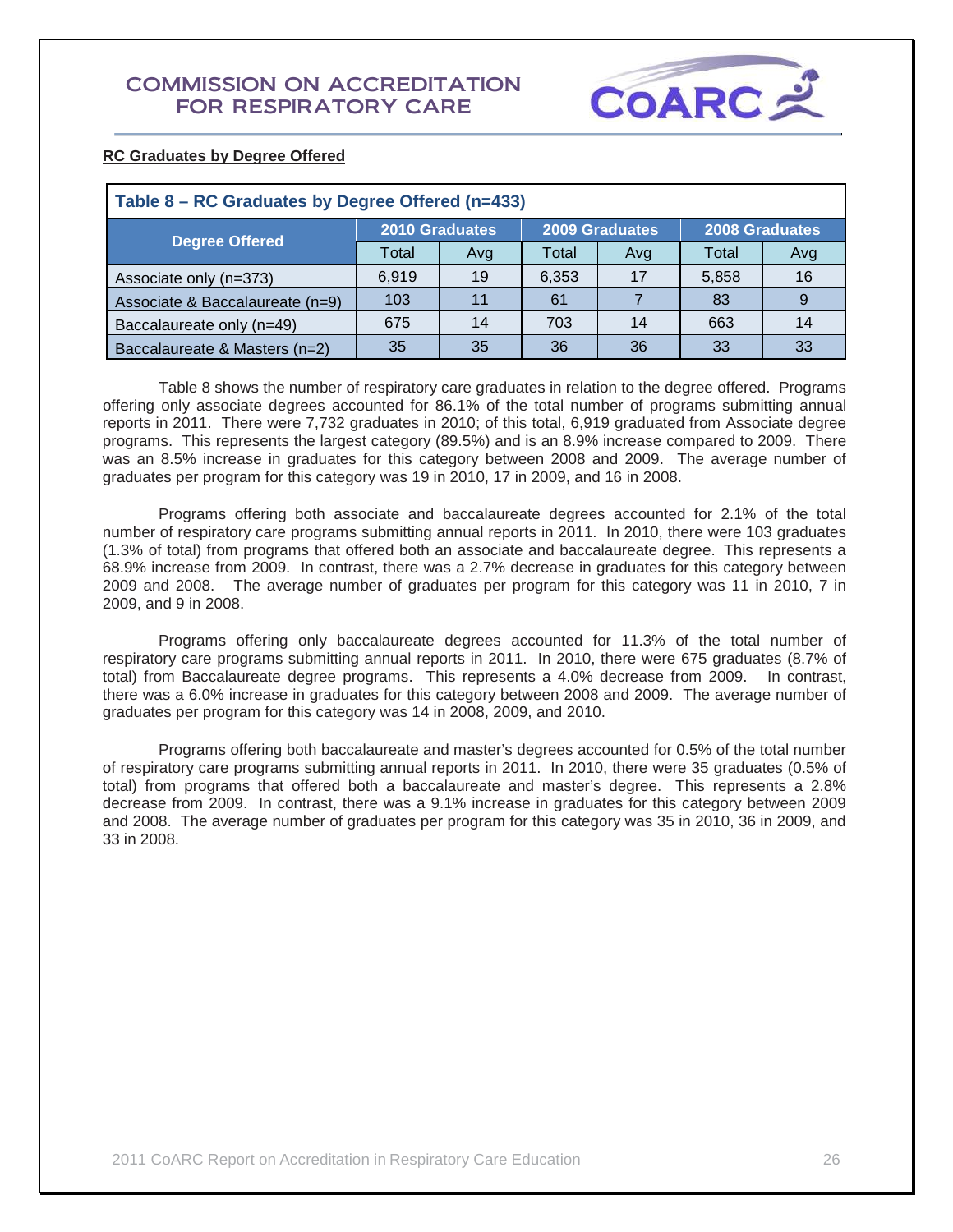

## **RC Graduates by Degree Offered**

| Table 8 – RC Graduates by Degree Offered (n=433) |       |                       |       |                       |       |                       |  |  |  |
|--------------------------------------------------|-------|-----------------------|-------|-----------------------|-------|-----------------------|--|--|--|
| <b>Degree Offered</b>                            |       | <b>2010 Graduates</b> |       | <b>2009 Graduates</b> |       | <b>2008 Graduates</b> |  |  |  |
|                                                  | Total | Avg                   | Total | Avg                   | Total | Avg                   |  |  |  |
| Associate only (n=373)                           | 6.919 | 19                    | 6,353 | 17                    | 5,858 | 16                    |  |  |  |
| Associate & Baccalaureate (n=9)                  | 103   | 11                    | 61    |                       | 83    | 9                     |  |  |  |
| Baccalaureate only (n=49)                        | 675   | 14                    | 703   | 14                    | 663   | 14                    |  |  |  |
| Baccalaureate & Masters (n=2)                    | 35    | 35                    | 36    | 36                    | 33    | 33                    |  |  |  |

Table 8 shows the number of respiratory care graduates in relation to the degree offered. Programs offering only associate degrees accounted for 86.1% of the total number of programs submitting annual reports in 2011. There were 7,732 graduates in 2010; of this total, 6,919 graduated from Associate degree programs. This represents the largest category (89.5%) and is an 8.9% increase compared to 2009. There was an 8.5% increase in graduates for this category between 2008 and 2009. The average number of graduates per program for this category was 19 in 2010, 17 in 2009, and 16 in 2008.

Programs offering both associate and baccalaureate degrees accounted for 2.1% of the total number of respiratory care programs submitting annual reports in 2011. In 2010, there were 103 graduates (1.3% of total) from programs that offered both an associate and baccalaureate degree. This represents a 68.9% increase from 2009. In contrast, there was a 2.7% decrease in graduates for this category between 2009 and 2008. The average number of graduates per program for this category was 11 in 2010, 7 in 2009, and 9 in 2008.

Programs offering only baccalaureate degrees accounted for 11.3% of the total number of respiratory care programs submitting annual reports in 2011. In 2010, there were 675 graduates (8.7% of total) from Baccalaureate degree programs. This represents a 4.0% decrease from 2009. In contrast, there was a 6.0% increase in graduates for this category between 2008 and 2009. The average number of graduates per program for this category was 14 in 2008, 2009, and 2010.

Programs offering both baccalaureate and master's degrees accounted for 0.5% of the total number of respiratory care programs submitting annual reports in 2011. In 2010, there were 35 graduates (0.5% of total) from programs that offered both a baccalaureate and master's degree. This represents a 2.8% decrease from 2009. In contrast, there was a 9.1% increase in graduates for this category between 2009 and 2008. The average number of graduates per program for this category was 35 in 2010, 36 in 2009, and 33 in 2008.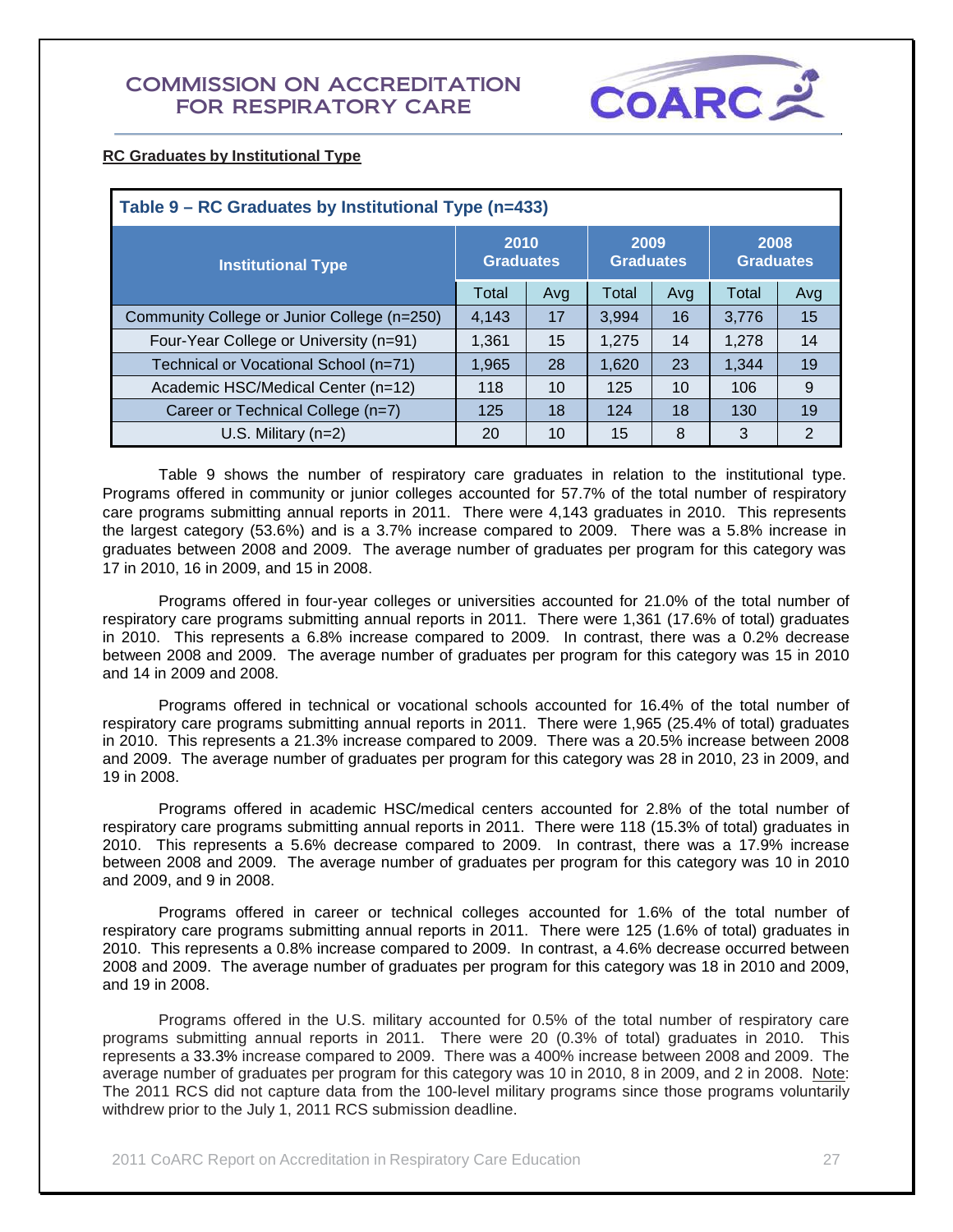

## **RC Graduates by Institutional Type**

| Table 9 – RC Graduates by Institutional Type (n=433) |                          |     |                          |     |                          |     |  |  |
|------------------------------------------------------|--------------------------|-----|--------------------------|-----|--------------------------|-----|--|--|
| <b>Institutional Type</b>                            | 2010<br><b>Graduates</b> |     | 2009<br><b>Graduates</b> |     | 2008<br><b>Graduates</b> |     |  |  |
|                                                      | Total                    | Avg | Total                    | Avg | Total                    | Avg |  |  |
| Community College or Junior College (n=250)          | 4.143                    | 17  | 3,994                    | 16  | 3.776                    | 15  |  |  |
| Four-Year College or University (n=91)               | 1,361                    | 15  | 1,275                    | 14  | 1.278                    | 14  |  |  |
| Technical or Vocational School (n=71)                | 1,965                    | 28  | 1,620                    | 23  | 1.344                    | 19  |  |  |
| Academic HSC/Medical Center (n=12)                   | 118                      | 10  | 125                      | 10  | 106                      | 9   |  |  |
| Career or Technical College (n=7)                    | 125                      | 18  | 124                      | 18  | 130                      | 19  |  |  |
| U.S. Military $(n=2)$                                | 20                       | 10  | 15                       | 8   | 3                        | 2   |  |  |

Table 9 shows the number of respiratory care graduates in relation to the institutional type. Programs offered in community or junior colleges accounted for 57.7% of the total number of respiratory care programs submitting annual reports in 2011. There were 4,143 graduates in 2010. This represents the largest category (53.6%) and is a 3.7% increase compared to 2009. There was a 5.8% increase in graduates between 2008 and 2009. The average number of graduates per program for this category was 17 in 2010, 16 in 2009, and 15 in 2008.

Programs offered in four-year colleges or universities accounted for 21.0% of the total number of respiratory care programs submitting annual reports in 2011. There were 1,361 (17.6% of total) graduates in 2010. This represents a 6.8% increase compared to 2009. In contrast, there was a 0.2% decrease between 2008 and 2009. The average number of graduates per program for this category was 15 in 2010 and 14 in 2009 and 2008.

Programs offered in technical or vocational schools accounted for 16.4% of the total number of respiratory care programs submitting annual reports in 2011. There were 1,965 (25.4% of total) graduates in 2010. This represents a 21.3% increase compared to 2009. There was a 20.5% increase between 2008 and 2009. The average number of graduates per program for this category was 28 in 2010, 23 in 2009, and 19 in 2008.

Programs offered in academic HSC/medical centers accounted for 2.8% of the total number of respiratory care programs submitting annual reports in 2011. There were 118 (15.3% of total) graduates in 2010. This represents a 5.6% decrease compared to 2009. In contrast, there was a 17.9% increase between 2008 and 2009. The average number of graduates per program for this category was 10 in 2010 and 2009, and 9 in 2008.

Programs offered in career or technical colleges accounted for 1.6% of the total number of respiratory care programs submitting annual reports in 2011. There were 125 (1.6% of total) graduates in 2010. This represents a 0.8% increase compared to 2009. In contrast, a 4.6% decrease occurred between 2008 and 2009. The average number of graduates per program for this category was 18 in 2010 and 2009, and 19 in 2008.

Programs offered in the U.S. military accounted for 0.5% of the total number of respiratory care programs submitting annual reports in 2011. There were 20 (0.3% of total) graduates in 2010. This represents a 33.3% increase compared to 2009. There was a 400% increase between 2008 and 2009. The average number of graduates per program for this category was 10 in 2010, 8 in 2009, and 2 in 2008. Note: The 2011 RCS did not capture data from the 100-level military programs since those programs voluntarily withdrew prior to the July 1, 2011 RCS submission deadline.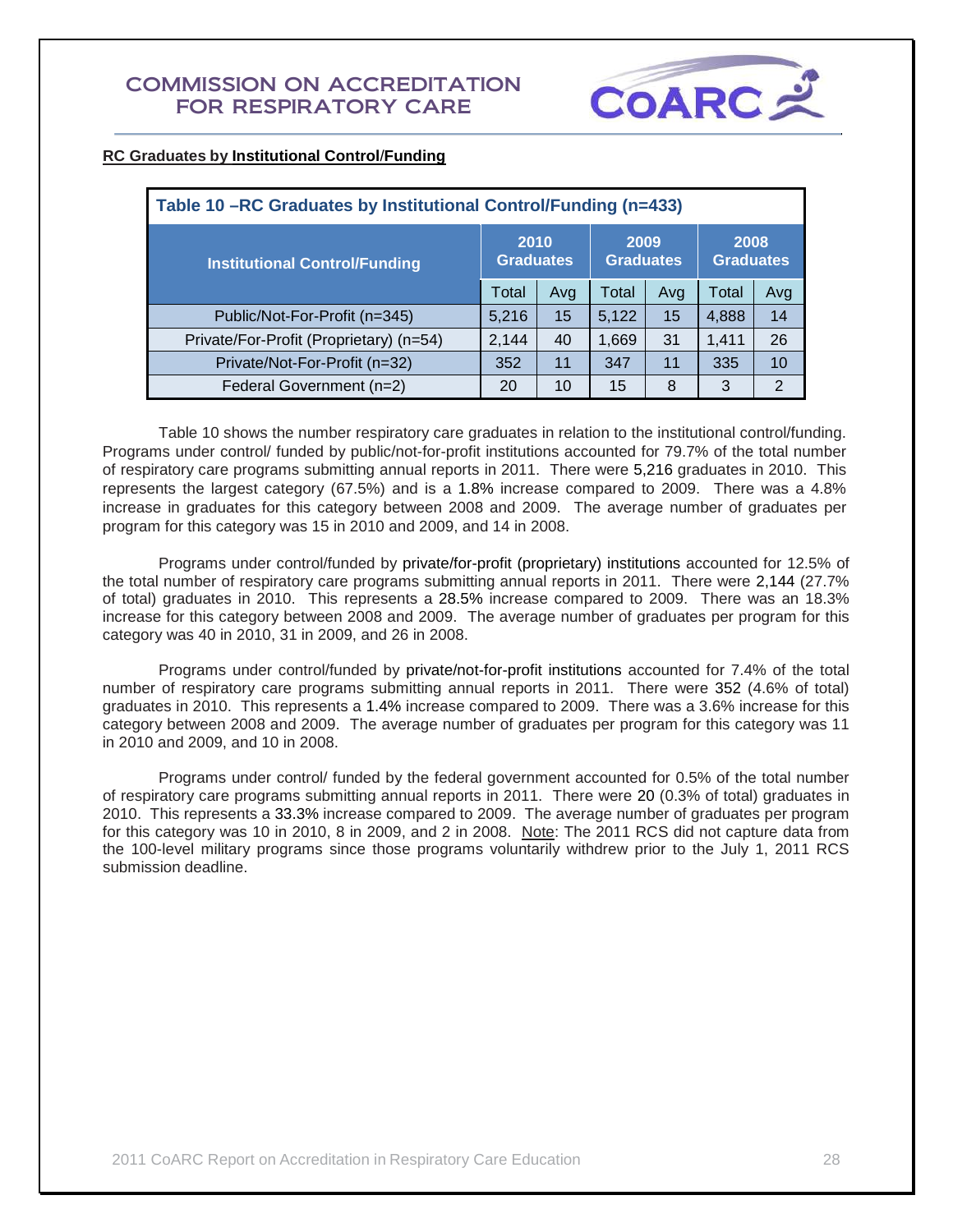

## **RC Graduates by Institutional Control**/**Funding**

| Table 10 –RC Graduates by Institutional Control/Funding (n=433) |       |                          |                          |                          |       |     |  |  |  |
|-----------------------------------------------------------------|-------|--------------------------|--------------------------|--------------------------|-------|-----|--|--|--|
| <b>Institutional Control/Funding</b>                            |       | 2010<br><b>Graduates</b> | 2009<br><b>Graduates</b> | 2008<br><b>Graduates</b> |       |     |  |  |  |
|                                                                 |       | Avg                      | Total                    | Avg                      | Total | Avg |  |  |  |
| Public/Not-For-Profit (n=345)                                   | 5,216 | 15                       | 5,122                    | 15                       | 4,888 | 14  |  |  |  |
| Private/For-Profit (Proprietary) (n=54)                         | 2,144 | 40                       | 1,669                    | 31                       | 1,411 | 26  |  |  |  |
| Private/Not-For-Profit (n=32)                                   | 352   | 11                       | 347                      | 11                       | 335   | 10  |  |  |  |
| Federal Government (n=2)                                        | 20    | 10                       | 15                       | 8                        | 3     | 2   |  |  |  |

Table 10 shows the number respiratory care graduates in relation to the institutional control/funding. Programs under control/ funded by public/not-for-profit institutions accounted for 79.7% of the total number of respiratory care programs submitting annual reports in 2011. There were 5,216 graduates in 2010. This represents the largest category (67.5%) and is a 1.8% increase compared to 2009. There was a 4.8% increase in graduates for this category between 2008 and 2009. The average number of graduates per program for this category was 15 in 2010 and 2009, and 14 in 2008.

Programs under control/funded by private/for-profit (proprietary) institutions accounted for 12.5% of the total number of respiratory care programs submitting annual reports in 2011. There were 2,144 (27.7% of total) graduates in 2010. This represents a 28.5% increase compared to 2009. There was an 18.3% increase for this category between 2008 and 2009. The average number of graduates per program for this category was 40 in 2010, 31 in 2009, and 26 in 2008.

Programs under control/funded by private/not-for-profit institutions accounted for 7.4% of the total number of respiratory care programs submitting annual reports in 2011. There were 352 (4.6% of total) graduates in 2010. This represents a 1.4% increase compared to 2009. There was a 3.6% increase for this category between 2008 and 2009. The average number of graduates per program for this category was 11 in 2010 and 2009, and 10 in 2008.

Programs under control/ funded by the federal government accounted for 0.5% of the total number of respiratory care programs submitting annual reports in 2011. There were 20 (0.3% of total) graduates in 2010. This represents a 33.3% increase compared to 2009. The average number of graduates per program for this category was 10 in 2010, 8 in 2009, and 2 in 2008. Note: The 2011 RCS did not capture data from the 100-level military programs since those programs voluntarily withdrew prior to the July 1, 2011 RCS submission deadline.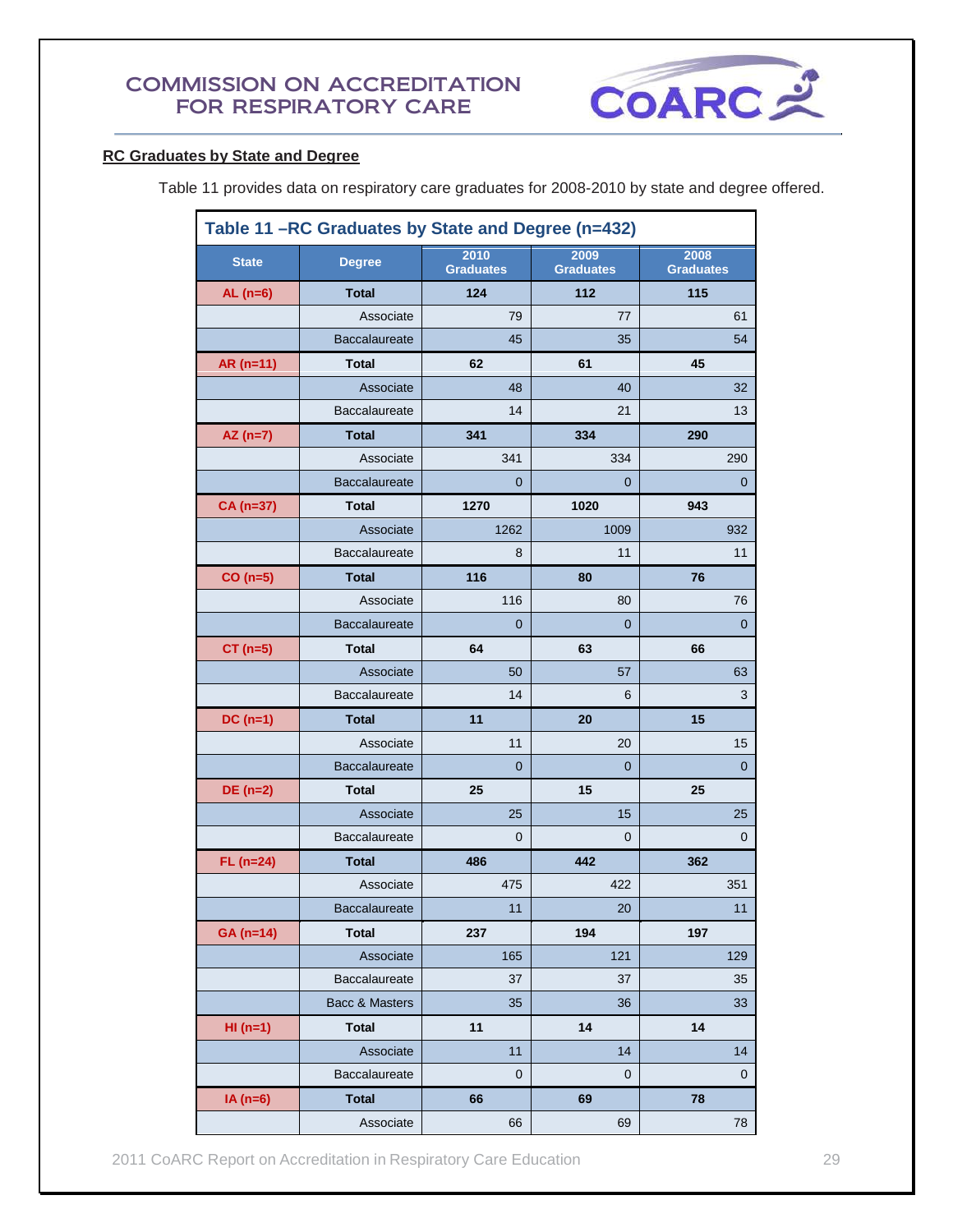

## **RC Graduates by State and Degree**

Table 11 provides data on respiratory care graduates for 2008-2010 by state and degree offered.

| Table 11 -RC Graduates by State and Degree (n=432) |                      |                          |                          |                          |  |  |
|----------------------------------------------------|----------------------|--------------------------|--------------------------|--------------------------|--|--|
| <b>State</b>                                       | <b>Degree</b>        | 2010<br><b>Graduates</b> | 2009<br><b>Graduates</b> | 2008<br><b>Graduates</b> |  |  |
| AL $(n=6)$                                         | <b>Total</b>         | 124                      | 112                      | 115                      |  |  |
|                                                    | Associate            | 79                       | 77                       | 61                       |  |  |
|                                                    | <b>Baccalaureate</b> | 45                       | 35                       | 54                       |  |  |
| $AR(n=11)$                                         | <b>Total</b>         | 62                       | 61                       | 45                       |  |  |
|                                                    | Associate            | 48                       | 40                       | 32                       |  |  |
|                                                    | Baccalaureate        | 14                       | 21                       | 13                       |  |  |
| $AZ(n=7)$                                          | <b>Total</b>         | 341                      | 334                      | 290                      |  |  |
|                                                    | Associate            | 341                      | 334                      | 290                      |  |  |
|                                                    | <b>Baccalaureate</b> | 0                        | 0                        | 0                        |  |  |
| CA (n=37)                                          | <b>Total</b>         | 1270                     | 1020                     | 943                      |  |  |
|                                                    | Associate            | 1262                     | 1009                     | 932                      |  |  |
|                                                    | Baccalaureate        | 8                        | 11                       | 11                       |  |  |
| $CO(n=5)$                                          | <b>Total</b>         | 116                      | 80                       | 76                       |  |  |
|                                                    | Associate            | 116                      | 80                       | 76                       |  |  |
|                                                    | <b>Baccalaureate</b> | 0                        | $\mathbf 0$              | $\mathbf 0$              |  |  |
| $CT (n=5)$                                         | <b>Total</b>         | 64                       | 63                       | 66                       |  |  |
|                                                    | Associate            | 50                       | 57                       | 63                       |  |  |
|                                                    | Baccalaureate        | 14                       | 6                        | 3                        |  |  |
| $DC(n=1)$                                          | <b>Total</b>         | 11                       | 20                       | 15                       |  |  |
|                                                    | Associate            | 11                       | 20                       | 15                       |  |  |
|                                                    | <b>Baccalaureate</b> | 0                        | $\mathbf 0$              | $\mathbf 0$              |  |  |
| $DE(n=2)$                                          | <b>Total</b>         | 25                       | 15                       | 25                       |  |  |
|                                                    | Associate            | 25                       | 15                       | 25                       |  |  |
|                                                    | Baccalaureate        | 0                        | 0                        | 0                        |  |  |
| $FL (n=24)$                                        | <b>Total</b>         | 486                      | 442                      | 362                      |  |  |
|                                                    | Associate            | 475                      | 422                      | 351                      |  |  |
|                                                    | Baccalaureate        | 11                       | $20\,$                   | 11                       |  |  |
| GA (n=14)                                          | <b>Total</b>         | 237                      | 194                      | 197                      |  |  |
|                                                    | Associate            | 165                      | 121                      | 129                      |  |  |
|                                                    | Baccalaureate        | 37                       | 37                       | 35                       |  |  |
|                                                    | Bacc & Masters       | 35                       | 36                       | 33                       |  |  |
| $HI(n=1)$                                          | <b>Total</b>         | 11                       | 14                       | 14                       |  |  |
|                                                    | Associate            | 11                       | 14                       | 14                       |  |  |
|                                                    | Baccalaureate        | $\mathbf 0$              | $\mathbf 0$              | $\mathbf 0$              |  |  |
| $IA(n=6)$                                          | <b>Total</b>         | 66                       | 69                       | 78                       |  |  |
|                                                    | Associate            | 66                       | 69                       | 78                       |  |  |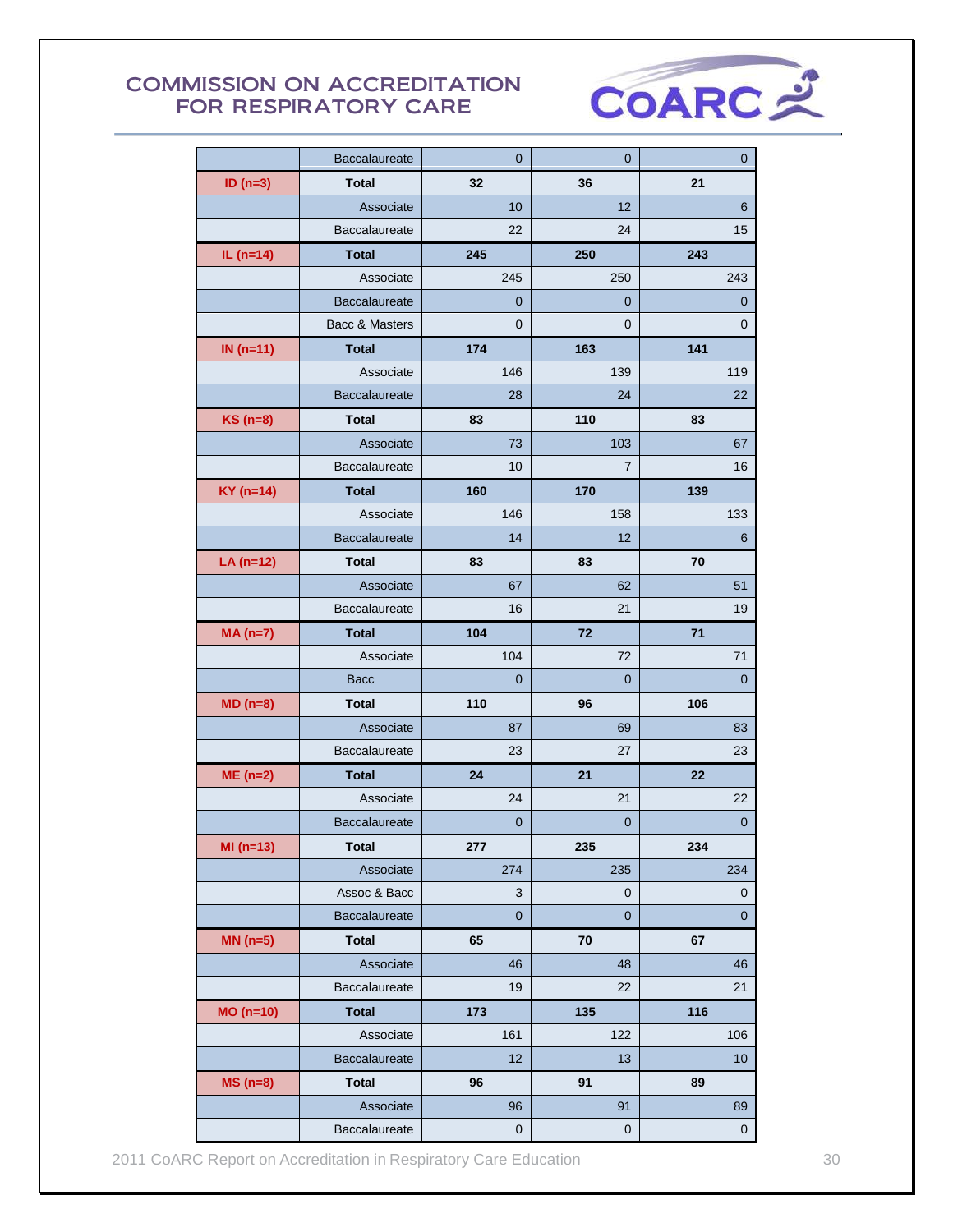

|             | <b>Baccalaureate</b> | $\mathbf 0$    | 0                | 0              |
|-------------|----------------------|----------------|------------------|----------------|
| ID $(n=3)$  | <b>Total</b>         | 32             | 36               | 21             |
|             | Associate            | 10             | 12               | 6              |
|             | Baccalaureate        | 22             | 24               | 15             |
| IL $(n=14)$ | <b>Total</b>         | 245            | 250              | 243            |
|             | Associate            | 245            | 250              | 243            |
|             | <b>Baccalaureate</b> | 0              | 0                | 0              |
|             | Bacc & Masters       | $\overline{0}$ | 0                | 0              |
| IN $(n=11)$ | <b>Total</b>         | 174            | 163              | 141            |
|             | Associate            | 146            | 139              | 119            |
|             | <b>Baccalaureate</b> | 28             | 24               | 22             |
| KS (n=8)    | <b>Total</b>         | 83             | 110              | 83             |
|             | Associate            | 73             | 103              | 67             |
|             | Baccalaureate        | 10             | $\overline{7}$   | 16             |
| $KY$ (n=14) | <b>Total</b>         | 160            | 170              | 139            |
|             | Associate            | 146            | 158              | 133            |
|             | <b>Baccalaureate</b> | 14             | 12               | 6              |
| $LA (n=12)$ | <b>Total</b>         | 83             | 83               | 70             |
|             | Associate            | 67             | 62               | 51             |
|             | Baccalaureate        | 16             | 21               | 19             |
| $MA(n=7)$   | <b>Total</b>         | 104            | 72               | 71             |
|             | Associate            | 104            | 72               | 71             |
|             | <b>Bacc</b>          | $\overline{0}$ | $\overline{0}$   | $\overline{0}$ |
| $MD(n=8)$   | <b>Total</b>         | 110            | 96               | 106            |
|             | Associate            | 87             | 69               | 83             |
|             | Baccalaureate        | 23             | 27               | 23             |
| $ME(n=2)$   | <b>Total</b>         | 24             | 21               | 22             |
|             | Associate            | 24             | 21               | 22             |
|             | <b>Baccalaureate</b> | 0              | 0                | 0              |
| $MI(n=13)$  | <b>Total</b>         | 277            | 235              | 234            |
|             | Associate            | 274            | 235              | 234            |
|             | Assoc & Bacc         | 3              | $\mathbf 0$      | 0              |
|             | Baccalaureate        | $\mathbf 0$    | 0                | $\mathbf 0$    |
| $MN(n=5)$   | <b>Total</b>         | 65             | 70               | 67             |
|             | Associate            | 46             | 48               | 46             |
|             | Baccalaureate        | 19             | 22               | 21             |
| $MO(n=10)$  | <b>Total</b>         | 173            | 135              | 116            |
|             | Associate            | 161            | 122              | 106            |
|             | Baccalaureate        | 12             | 13               | 10             |
| $MS(n=8)$   | <b>Total</b>         | 96             | 91               | 89             |
|             | Associate            | 96             | 91               | 89             |
|             | Baccalaureate        | 0              | $\boldsymbol{0}$ | 0              |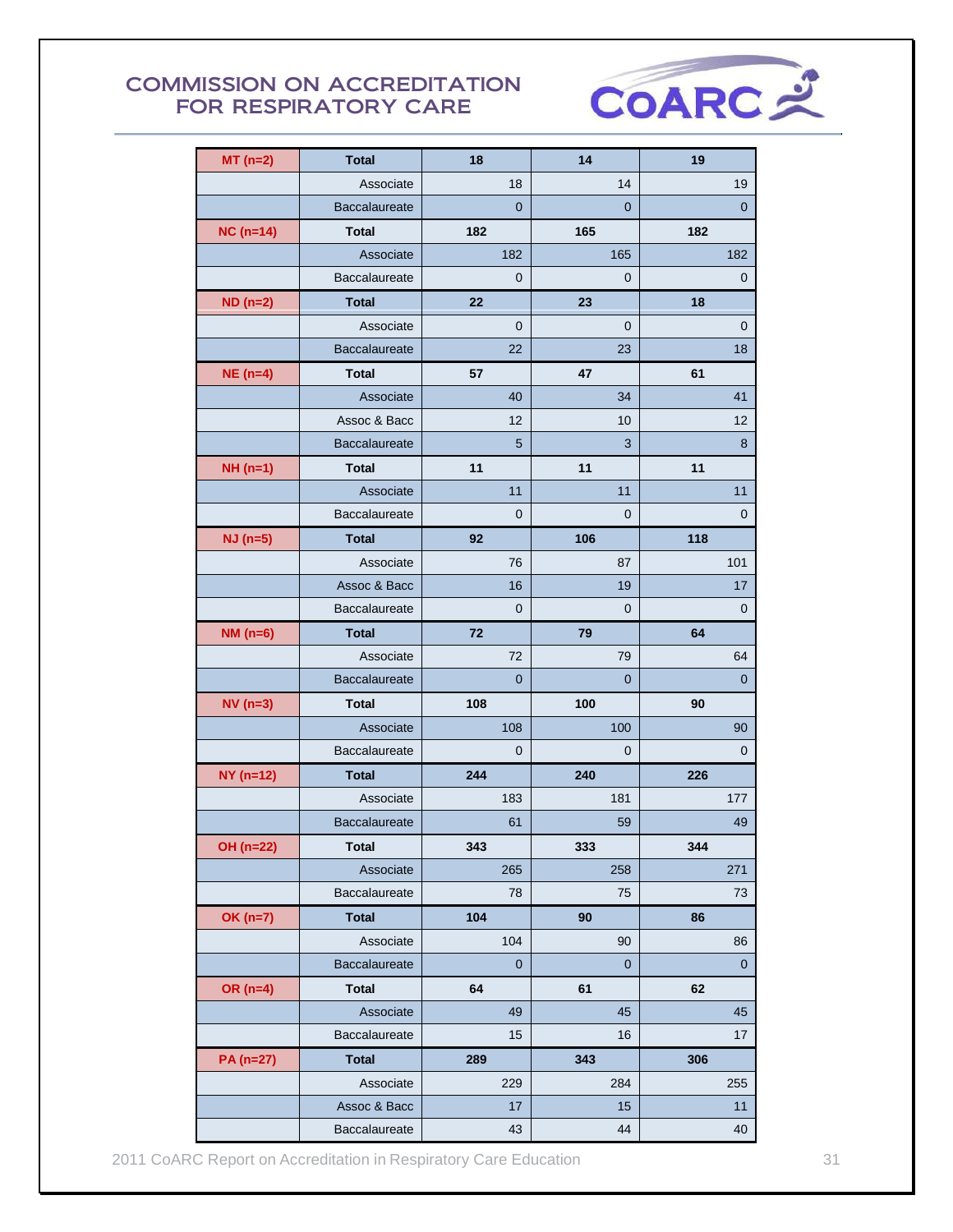

| $MT(n=2)$      | <b>Total</b>         | 18             | 14             | 19          |
|----------------|----------------------|----------------|----------------|-------------|
|                | Associate            | 18             | 14             | 19          |
|                | <b>Baccalaureate</b> | $\overline{0}$ | $\overline{0}$ | $\mathbf 0$ |
| $NC(n=14)$     | <b>Total</b>         | 182            | 165            | 182         |
|                | Associate            | 182            | 165            | 182         |
|                | Baccalaureate        | $\mathbf 0$    | 0              | 0           |
| $ND(n=2)$      | <b>Total</b>         | 22             | 23             | 18          |
|                | Associate            | $\mathbf{0}$   | 0              | 0           |
|                | Baccalaureate        | 22             | 23             | 18          |
| $NE(n=4)$      | <b>Total</b>         | 57             | 47             | 61          |
|                | Associate            | 40             | 34             | 41          |
|                | Assoc & Bacc         | 12             | 10             | 12          |
|                | Baccalaureate        | 5              | 3              | 8           |
| $NH(n=1)$      | <b>Total</b>         | 11             | 11             | 11          |
|                | Associate            | 11             | 11             | 11          |
|                | Baccalaureate        | $\overline{0}$ | 0              | 0           |
| $NJ$ (n=5)     | <b>Total</b>         | 92             | 106            | 118         |
|                | Associate            | 76             | 87             | 101         |
|                | Assoc & Bacc         | 16             | 19             | 17          |
|                | Baccalaureate        | $\overline{0}$ | 0              | 0           |
| $NM(n=6)$      | <b>Total</b>         | 72             | 79             | 64          |
|                | Associate            | 72             | 79             | 64          |
|                | Baccalaureate        | $\overline{0}$ | $\overline{0}$ | $\mathbf 0$ |
| $NV(n=3)$      | <b>Total</b>         | 108            | 100            | 90          |
|                | Associate            | 108            | 100            | 90          |
|                | Baccalaureate        | $\mathbf 0$    | 0              | 0           |
| $NY($ n=12 $)$ | <b>Total</b>         | 244            | 240            | 226         |
|                | Associate            | 183            | 181            | 177         |
|                | <b>Baccalaureate</b> | 61             | 59             | 49          |
| OH (n=22)      | <b>Total</b>         | 343            | 333            | 344         |
|                | Associate            | 265            | 258            | 271         |
|                | Baccalaureate        | 78             | 75             | 73          |
| $OK(n=7)$      | <b>Total</b>         | 104            | 90             | 86          |
|                | Associate            | 104            | 90             | 86          |
|                | Baccalaureate        | $\pmb{0}$      | $\pmb{0}$      | $\mathbf 0$ |
| OR $(n=4)$     | <b>Total</b>         | 64             | 61             | 62          |
|                | Associate            | 49             | 45             | 45          |
|                | Baccalaureate        | 15             | 16             | 17          |
| PA (n=27)      | <b>Total</b>         | 289            | 343            | 306         |
|                | Associate            | 229            | 284            | 255         |
|                | Assoc & Bacc         | 17             | 15             | 11          |
|                | Baccalaureate        | 43             | 44             | 40          |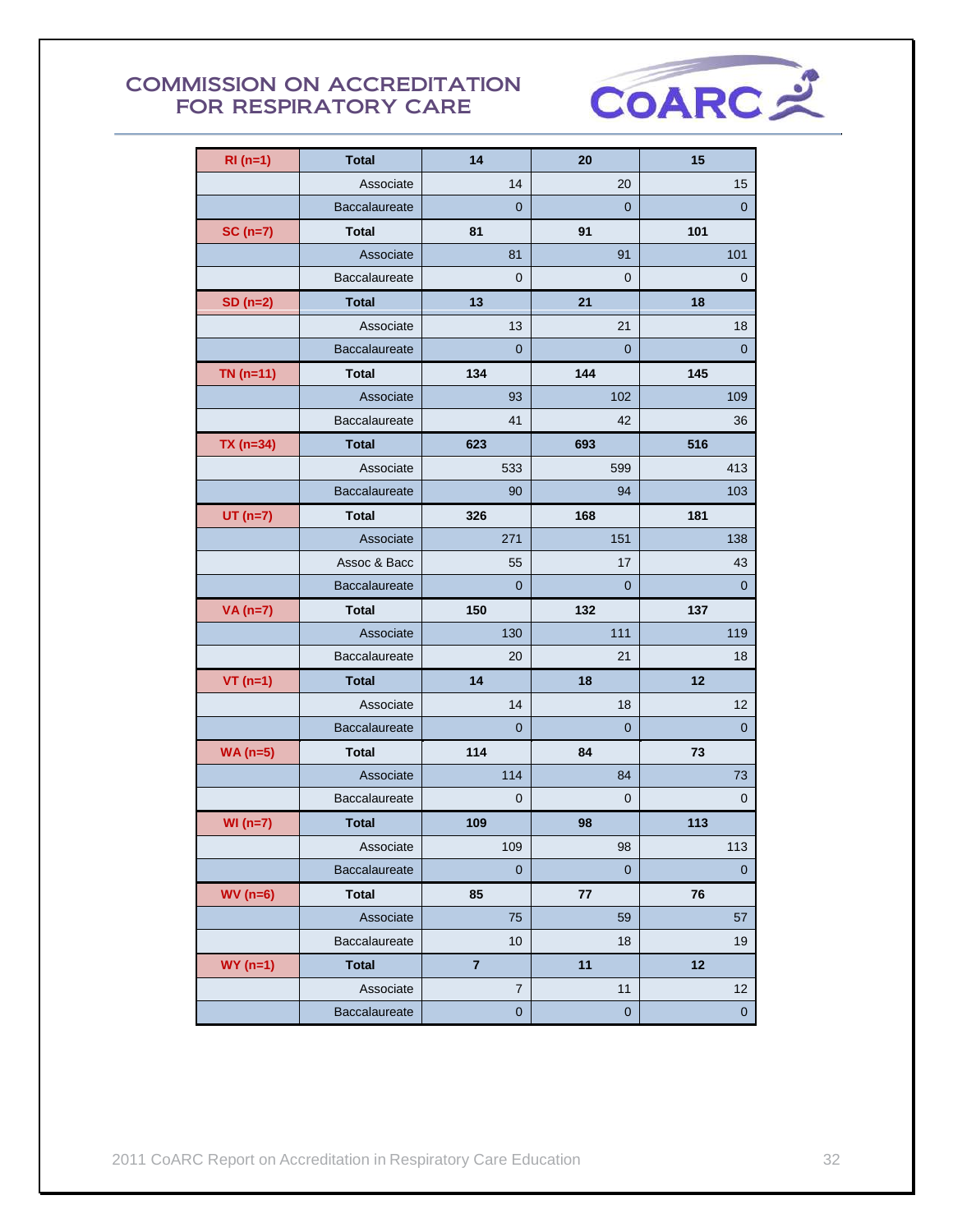

| $RI(n=1)$   | <b>Total</b>         | 14             | 20             | 15          |
|-------------|----------------------|----------------|----------------|-------------|
|             | Associate            | 14             | 20             | 15          |
|             | Baccalaureate        | $\mathbf 0$    | $\mathbf 0$    | $\pmb{0}$   |
| $SC(n=7)$   | <b>Total</b>         | 81             | 91             | 101         |
|             | Associate            | 81             | 91             | 101         |
|             | Baccalaureate        | $\mathbf 0$    | $\mathbf 0$    | 0           |
| $SD(n=2)$   | <b>Total</b>         | 13             | 21             | 18          |
|             | Associate            | 13             | 21             | 18          |
|             | Baccalaureate        | $\overline{0}$ | $\overline{0}$ | $\mathbf 0$ |
| $TN$ (n=11) | <b>Total</b>         | 134            | 144            | 145         |
|             | Associate            | 93             | 102            | 109         |
|             | Baccalaureate        | 41             | 42             | 36          |
| $TX$ (n=34) | <b>Total</b>         | 623            | 693            | 516         |
|             | Associate            | 533            | 599            | 413         |
|             | Baccalaureate        | 90             | 94             | 103         |
| $UT(n=7)$   | <b>Total</b>         | 326            | 168            | 181         |
|             | Associate            | 271            | 151            | 138         |
|             | Assoc & Bacc         | 55             | 17             | 43          |
|             | Baccalaureate        | $\overline{0}$ | $\overline{0}$ | 0           |
| $VA(n=7)$   | <b>Total</b>         | 150            | 132            | 137         |
|             | Associate            | 130            | 111            | 119         |
|             | Baccalaureate        | 20             | 21             | 18          |
| $VT(n=1)$   | <b>Total</b>         | 14             | 18             | 12          |
|             | Associate            | 14             | 18             | 12          |
|             | <b>Baccalaureate</b> | 0              | 0              | 0           |
| $WA(n=5)$   | <b>Total</b>         | 114            | 84             | 73          |
|             | Associate            | 114            | 84             | 73          |
|             | Baccalaureate        | $\overline{0}$ | 0              | 0           |
| $WI(n=7)$   | <b>Total</b>         | 109            | 98             | 113         |
|             | Associate            | 109            | 98             | 113         |
|             | Baccalaureate        | $\mathbf 0$    | $\pmb{0}$      | $\mathbf 0$ |
| $WV(n=6)$   | <b>Total</b>         | 85             | $77\,$         | 76          |
|             | Associate            | 75             | 59             | 57          |
|             | Baccalaureate        | 10             | 18             | 19          |
| $WY(n=1)$   | <b>Total</b>         | $\overline{7}$ | 11             | 12          |
|             | Associate            | $\overline{7}$ | 11             | 12          |
|             | Baccalaureate        | $\pmb{0}$      | $\pmb{0}$      | $\pmb{0}$   |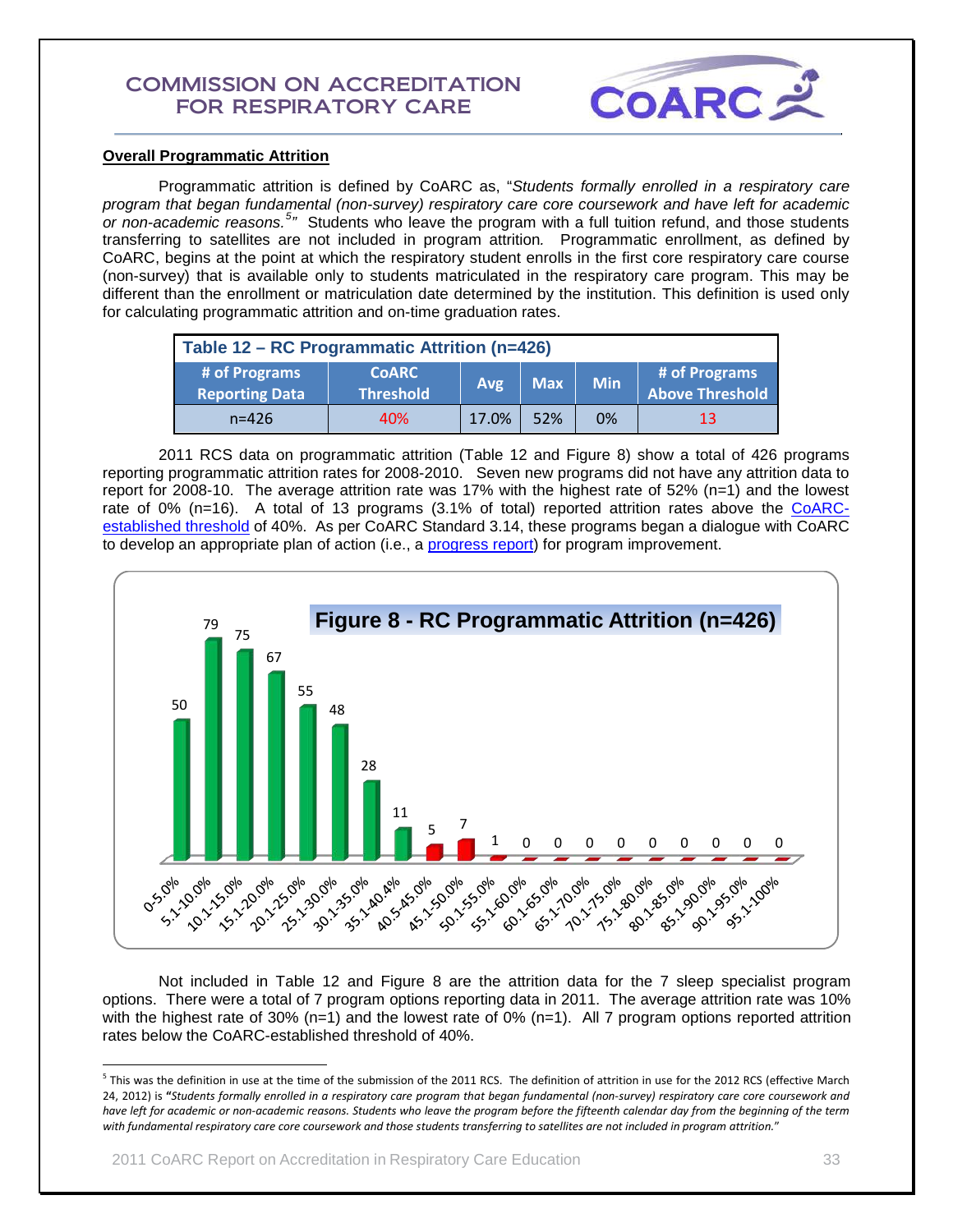

## **Overall Programmatic Attrition**

Programmatic attrition is defined by CoARC as, "*Students formally enrolled in a respiratory care program that began fundamental (non-survey) respiratory care core coursework and have left for academic*  or non-academic reasons.<sup>[5](#page-32-0)</sup><sup>*"*</sup> Students who leave the program with a full tuition refund, and those students transferring to satellites are not included in program attrition*.* Programmatic enrollment, as defined by CoARC, begins at the point at which the respiratory student enrolls in the first core respiratory care course (non-survey) that is available only to students matriculated in the respiratory care program. This may be different than the enrollment or matriculation date determined by the institution. This definition is used only for calculating programmatic attrition and on-time graduation rates.

| Table 12 – RC Programmatic Attrition (n=426) |                                  |       |            |            |                                         |
|----------------------------------------------|----------------------------------|-------|------------|------------|-----------------------------------------|
| # of Programs<br><b>Reporting Data</b>       | <b>CoARC</b><br><b>Threshold</b> | Avg   | <b>Max</b> | <b>Min</b> | # of Programs<br><b>Above Threshold</b> |
| $n = 426$                                    | 40%                              | 17.0% | 52%        | 0%         | 13                                      |

2011 RCS data on programmatic attrition (Table 12 and Figure 8) show a total of 426 programs reporting programmatic attrition rates for 2008-2010. Seven new programs did not have any attrition data to report for 2008-10. The average attrition rate was 17% with the highest rate of 52% (n=1) and the lowest rate of 0% (n=16). A total of 13 programs (3.1% of total) reported attrition rates above the [CoARC](http://www.coarc.com/15.html)[established threshold](http://www.coarc.com/15.html) of 40%. As per CoARC Standard 3.14, these programs began a dialogue with CoARC to develop an appropriate plan of action (i.e., a [progress report\)](http://www.coarc.com/57.html) for program improvement.



 Not included in Table 12 and Figure 8 are the attrition data for the 7 sleep specialist program options. There were a total of 7 program options reporting data in 2011. The average attrition rate was 10% with the highest rate of 30% (n=1) and the lowest rate of 0% (n=1). All 7 program options reported attrition rates below the CoARC-established threshold of 40%.

<span id="page-32-0"></span> $5$  This was the definition in use at the time of the submission of the 2011 RCS. The definition of attrition in use for the 2012 RCS (effective March 24, 2012) is **"***Students formally enrolled in a respiratory care program that began fundamental (non-survey) respiratory care core coursework and have left for academic or non-academic reasons. Students who leave the program before the fifteenth calendar day from the beginning of the term with fundamental respiratory care core coursework and those students transferring to satellites are not included in program attrition.*"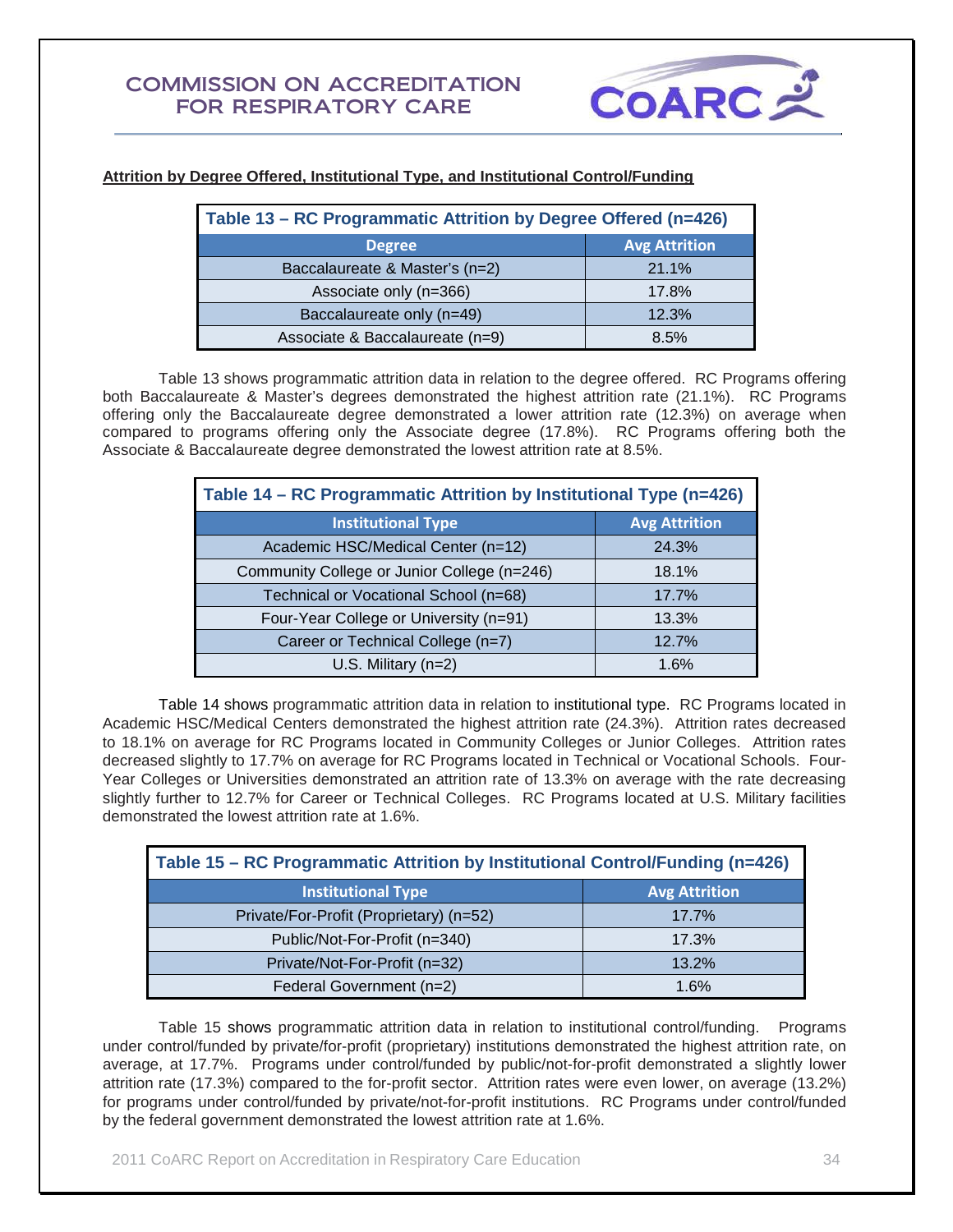

| Table 13 – RC Programmatic Attrition by Degree Offered (n=426) |                      |  |  |  |
|----------------------------------------------------------------|----------------------|--|--|--|
| <b>Degree</b>                                                  | <b>Avg Attrition</b> |  |  |  |
| Baccalaureate & Master's (n=2)                                 | 21.1%                |  |  |  |
| Associate only (n=366)                                         | 17.8%                |  |  |  |
| Baccalaureate only (n=49)                                      | 12.3%                |  |  |  |
| Associate & Baccalaureate (n=9)                                | 8.5%                 |  |  |  |

## **Attrition by Degree Offered, Institutional Type, and Institutional Control/Funding**

Table 13 shows programmatic attrition data in relation to the degree offered. RC Programs offering both Baccalaureate & Master's degrees demonstrated the highest attrition rate (21.1%). RC Programs offering only the Baccalaureate degree demonstrated a lower attrition rate (12.3%) on average when compared to programs offering only the Associate degree (17.8%). RC Programs offering both the Associate & Baccalaureate degree demonstrated the lowest attrition rate at 8.5%.

| Table 14 - RC Programmatic Attrition by Institutional Type (n=426) |                      |  |  |  |
|--------------------------------------------------------------------|----------------------|--|--|--|
| <b>Institutional Type</b>                                          | <b>Avg Attrition</b> |  |  |  |
| Academic HSC/Medical Center (n=12)                                 | 24.3%                |  |  |  |
| Community College or Junior College (n=246)                        | 18.1%                |  |  |  |
| Technical or Vocational School (n=68)                              | 17.7%                |  |  |  |
| Four-Year College or University (n=91)                             | 13.3%                |  |  |  |
| Career or Technical College (n=7)                                  | 12.7%                |  |  |  |
| $U.S.$ Military (n=2)                                              | 1.6%                 |  |  |  |

Table 14 shows programmatic attrition data in relation to institutional type. RC Programs located in Academic HSC/Medical Centers demonstrated the highest attrition rate (24.3%). Attrition rates decreased to 18.1% on average for RC Programs located in Community Colleges or Junior Colleges. Attrition rates decreased slightly to 17.7% on average for RC Programs located in Technical or Vocational Schools. Four-Year Colleges or Universities demonstrated an attrition rate of 13.3% on average with the rate decreasing slightly further to 12.7% for Career or Technical Colleges. RC Programs located at U.S. Military facilities demonstrated the lowest attrition rate at 1.6%.

| Table 15 – RC Programmatic Attrition by Institutional Control/Funding (n=426) |                      |  |  |  |
|-------------------------------------------------------------------------------|----------------------|--|--|--|
| <b>Institutional Type</b>                                                     | <b>Avg Attrition</b> |  |  |  |
| Private/For-Profit (Proprietary) (n=52)                                       | 17.7%                |  |  |  |
| Public/Not-For-Profit (n=340)                                                 | 17.3%                |  |  |  |
| Private/Not-For-Profit (n=32)                                                 | 13.2%                |  |  |  |
| Federal Government (n=2)                                                      | 1.6%                 |  |  |  |

Table 15 shows programmatic attrition data in relation to institutional control/funding. Programs under control/funded by private/for-profit (proprietary) institutions demonstrated the highest attrition rate, on average, at 17.7%. Programs under control/funded by public/not-for-profit demonstrated a slightly lower attrition rate (17.3%) compared to the for-profit sector. Attrition rates were even lower, on average (13.2%) for programs under control/funded by private/not-for-profit institutions. RC Programs under control/funded by the federal government demonstrated the lowest attrition rate at 1.6%.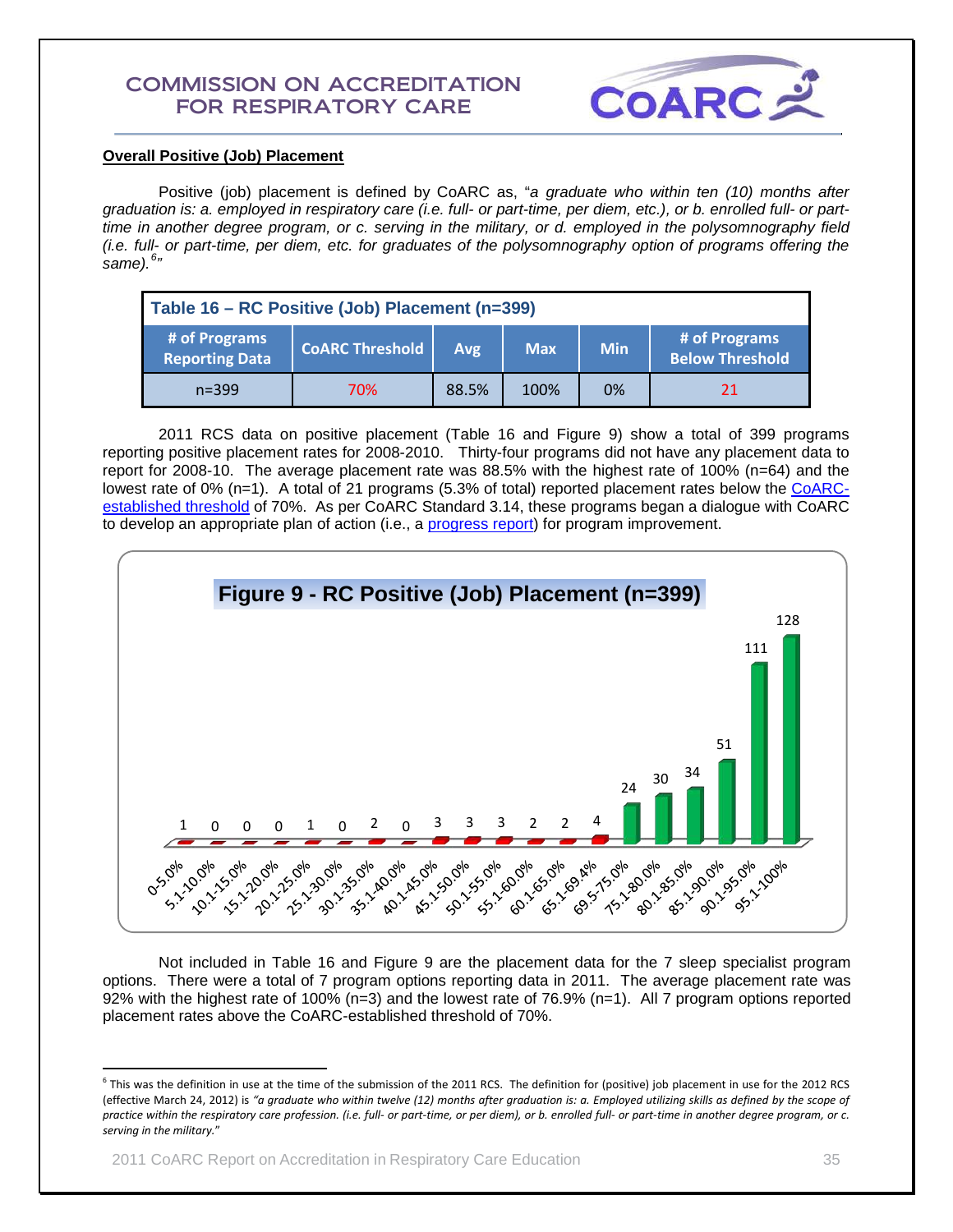

## **Overall Positive (Job) Placement**

Positive (job) placement is defined by CoARC as, "*a graduate who within ten (10) months after graduation is: a. employed in respiratory care (i.e. full- or part-time, per diem, etc.), or b. enrolled full- or parttime in another degree program, or c. serving in the military, or d. employed in the polysomnography field (i.e. full- or part-time, per diem, etc. for graduates of the polysomnography option of programs offering the same).[6](#page-34-0) "*

| Table 16 - RC Positive (Job) Placement (n=399) |                        |       |            |            |                                         |
|------------------------------------------------|------------------------|-------|------------|------------|-----------------------------------------|
| # of Programs<br><b>Reporting Data</b>         | <b>COARC Threshold</b> | Avg   | <b>Max</b> | <b>Min</b> | # of Programs<br><b>Below Threshold</b> |
| $n = 399$                                      | 70%                    | 88.5% | 100%       | 0%         | 21                                      |

2011 RCS data on positive placement (Table 16 and Figure 9) show a total of 399 programs reporting positive placement rates for 2008-2010. Thirty-four programs did not have any placement data to report for 2008-10. The average placement rate was 88.5% with the highest rate of 100% (n=64) and the lowest rate of 0% (n=1). A total of 21 programs (5.3% of total) reported placement rates below the [CoARC](http://www.coarc.com/15.html)[established threshold](http://www.coarc.com/15.html) of 70%. As per CoARC Standard 3.14, these programs began a dialogue with CoARC to develop an appropriate plan of action (i.e., a [progress report\)](http://www.coarc.com/57.html) for program improvement.



Not included in Table 16 and Figure 9 are the placement data for the 7 sleep specialist program options. There were a total of 7 program options reporting data in 2011. The average placement rate was 92% with the highest rate of 100% (n=3) and the lowest rate of 76.9% (n=1). All 7 program options reported placement rates above the CoARC-established threshold of 70%.

<span id="page-34-0"></span> $6$  This was the definition in use at the time of the submission of the 2011 RCS. The definition for (positive) job placement in use for the 2012 RCS (effective March 24, 2012) is *"a graduate who within twelve (12) months after graduation is: a. Employed utilizing skills as defined by the scope of practice within the respiratory care profession. (i.e. full- or part-time, or per diem), or b. enrolled full- or part-time in another degree program, or c. serving in the military.*"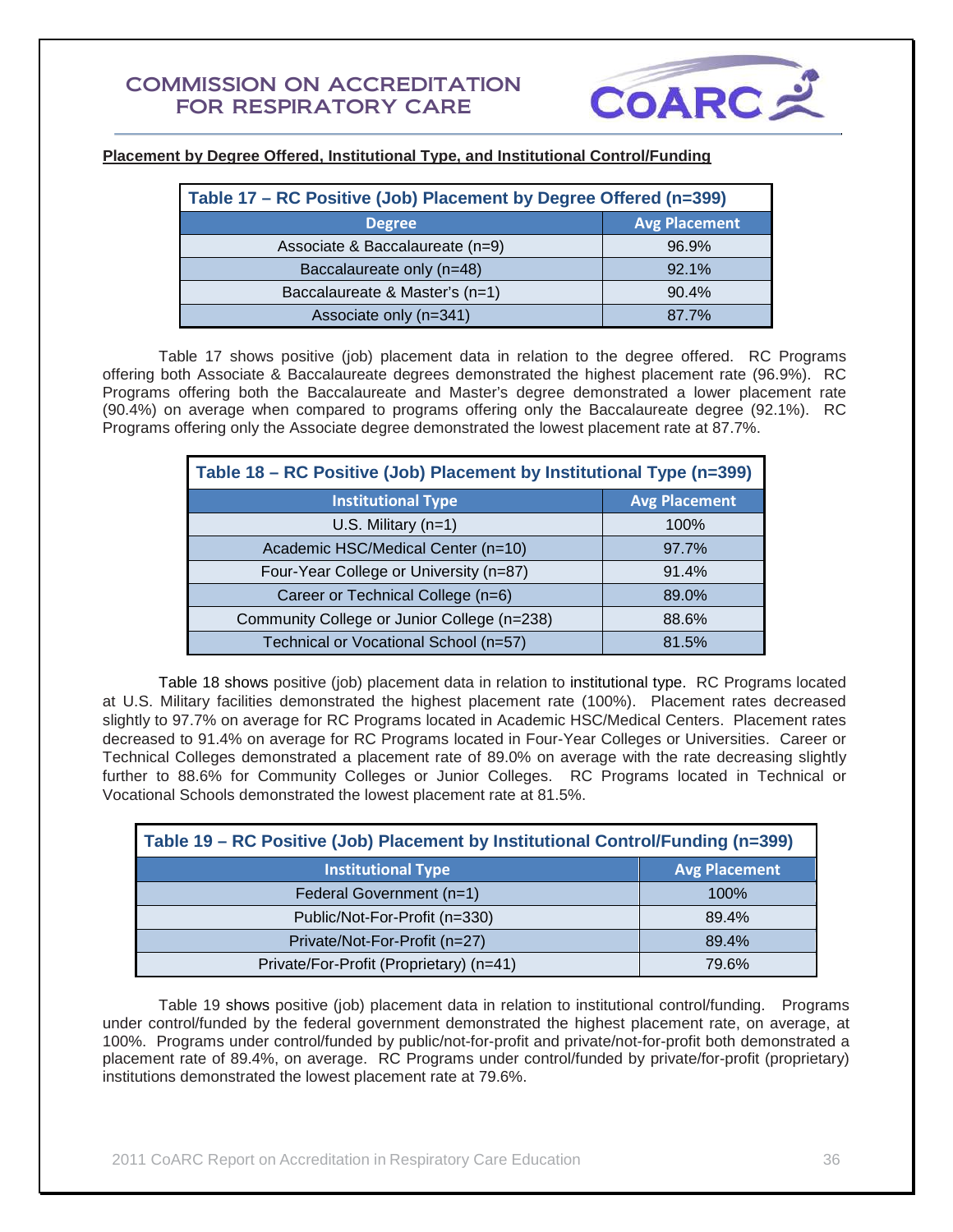

## **Placement by Degree Offered, Institutional Type, and Institutional Control/Funding**

| Table 17 – RC Positive (Job) Placement by Degree Offered (n=399) |                      |  |  |  |
|------------------------------------------------------------------|----------------------|--|--|--|
| <b>Degree</b>                                                    | <b>Avg Placement</b> |  |  |  |
| Associate & Baccalaureate (n=9)                                  | 96.9%                |  |  |  |
| Baccalaureate only (n=48)                                        | 92.1%                |  |  |  |
| Baccalaureate & Master's (n=1)                                   | 90.4%                |  |  |  |
| Associate only (n=341)                                           | 87.7%                |  |  |  |

Table 17 shows positive (job) placement data in relation to the degree offered. RC Programs offering both Associate & Baccalaureate degrees demonstrated the highest placement rate (96.9%). RC Programs offering both the Baccalaureate and Master's degree demonstrated a lower placement rate (90.4%) on average when compared to programs offering only the Baccalaureate degree (92.1%). RC Programs offering only the Associate degree demonstrated the lowest placement rate at 87.7%.

| Table 18 – RC Positive (Job) Placement by Institutional Type (n=399) |                      |  |  |  |
|----------------------------------------------------------------------|----------------------|--|--|--|
| <b>Institutional Type</b>                                            | <b>Avg Placement</b> |  |  |  |
| U.S. Military $(n=1)$                                                | 100%                 |  |  |  |
| Academic HSC/Medical Center (n=10)                                   | 97.7%                |  |  |  |
| Four-Year College or University (n=87)                               | 91.4%                |  |  |  |
| Career or Technical College (n=6)                                    | 89.0%                |  |  |  |
| Community College or Junior College (n=238)                          | 88.6%                |  |  |  |
| Technical or Vocational School (n=57)                                | 81.5%                |  |  |  |

Table 18 shows positive (job) placement data in relation to institutional type. RC Programs located at U.S. Military facilities demonstrated the highest placement rate (100%). Placement rates decreased slightly to 97.7% on average for RC Programs located in Academic HSC/Medical Centers. Placement rates decreased to 91.4% on average for RC Programs located in Four-Year Colleges or Universities. Career or Technical Colleges demonstrated a placement rate of 89.0% on average with the rate decreasing slightly further to 88.6% for Community Colleges or Junior Colleges. RC Programs located in Technical or Vocational Schools demonstrated the lowest placement rate at 81.5%.

| Table 19 – RC Positive (Job) Placement by Institutional Control/Funding (n=399) |                      |  |  |  |
|---------------------------------------------------------------------------------|----------------------|--|--|--|
| <b>Institutional Type</b>                                                       | <b>Avg Placement</b> |  |  |  |
| Federal Government (n=1)                                                        | 100%                 |  |  |  |
| Public/Not-For-Profit (n=330)                                                   | 89.4%                |  |  |  |
| Private/Not-For-Profit (n=27)                                                   | 89.4%                |  |  |  |
| Private/For-Profit (Proprietary) (n=41)                                         | 79.6%                |  |  |  |

 Table 19 shows positive (job) placement data in relation to institutional control/funding. Programs under control/funded by the federal government demonstrated the highest placement rate, on average, at 100%. Programs under control/funded by public/not-for-profit and private/not-for-profit both demonstrated a placement rate of 89.4%, on average. RC Programs under control/funded by private/for-profit (proprietary) institutions demonstrated the lowest placement rate at 79.6%.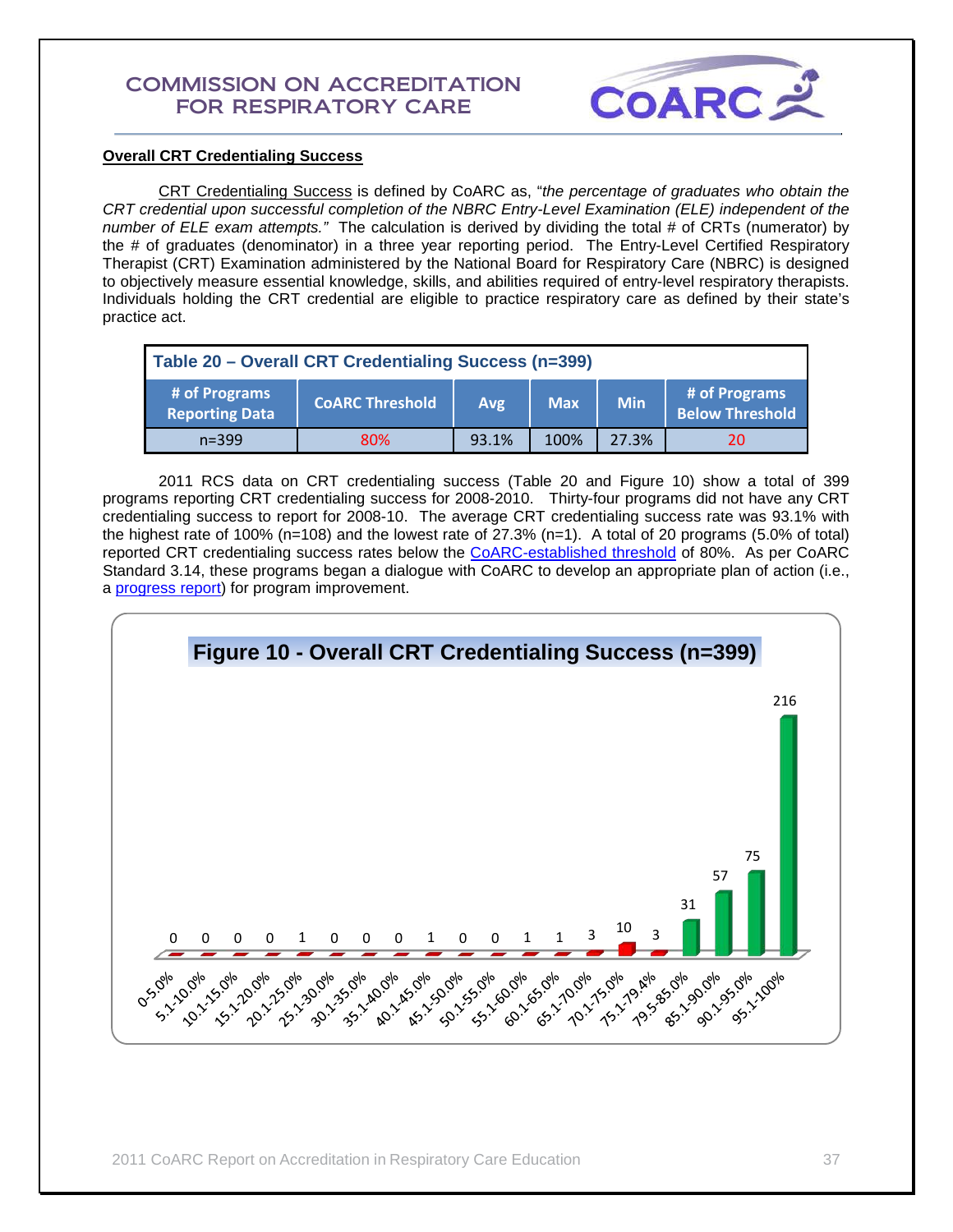

## **Overall CRT Credentialing Success**

 CRT Credentialing Success is defined by CoARC as, "*the percentage of graduates who obtain the CRT credential upon successful completion of the NBRC Entry-Level Examination (ELE) independent of the number of ELE exam attempts."* The calculation is derived by dividing the total # of CRTs (numerator) by the # of graduates (denominator) in a three year reporting period. The Entry-Level Certified Respiratory Therapist (CRT) Examination administered by the National Board for Respiratory Care (NBRC) is designed to objectively measure essential knowledge, skills, and abilities required of entry-level respiratory therapists. Individuals holding the CRT credential are eligible to practice respiratory care as defined by their state's practice act.

| Table 20 - Overall CRT Credentialing Success (n=399) |                        |            |            |            |                                         |
|------------------------------------------------------|------------------------|------------|------------|------------|-----------------------------------------|
| # of Programs<br><b>Reporting Data</b>               | <b>COARC Threshold</b> | <b>Avg</b> | <b>Max</b> | <b>Min</b> | # of Programs<br><b>Below Threshold</b> |
| $n = 399$                                            | 80%                    | 93.1%      | 100%       | 27.3%      | 20                                      |

 2011 RCS data on CRT credentialing success (Table 20 and Figure 10) show a total of 399 programs reporting CRT credentialing success for 2008-2010. Thirty-four programs did not have any CRT credentialing success to report for 2008-10. The average CRT credentialing success rate was 93.1% with the highest rate of 100% (n=108) and the lowest rate of 27.3% (n=1). A total of 20 programs (5.0% of total) reported CRT credentialing success rates below the [CoARC-established threshold](http://www.coarc.com/15.html) of 80%. As per CoARC Standard 3.14, these programs began a dialogue with CoARC to develop an appropriate plan of action (i.e., a [progress report\)](http://www.coarc.com/57.html) for program improvement.

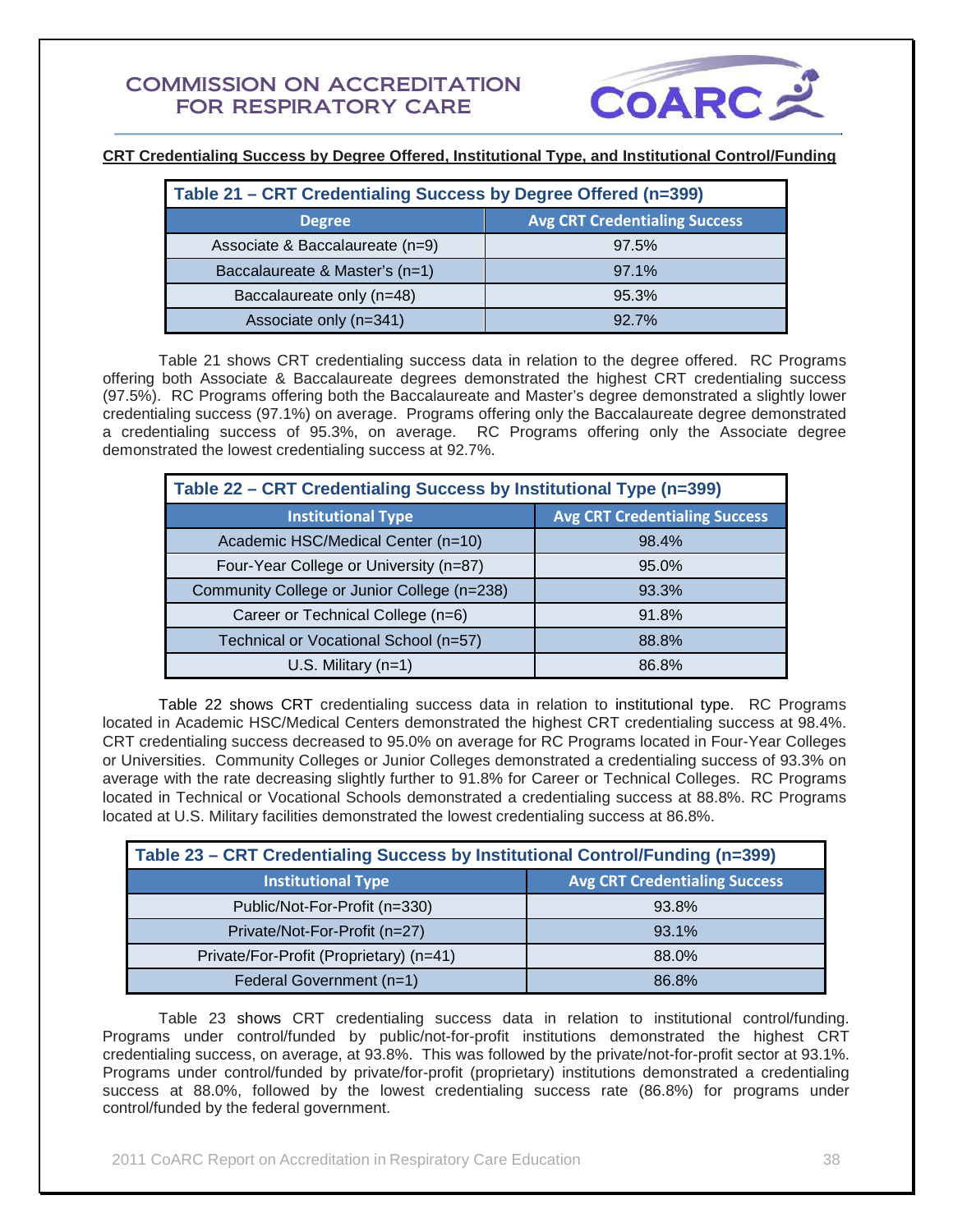

**CRT Credentialing Success by Degree Offered, Institutional Type, and Institutional Control/Funding**

| Table 21 - CRT Credentialing Success by Degree Offered (n=399) |                                      |  |  |
|----------------------------------------------------------------|--------------------------------------|--|--|
| <b>Degree</b>                                                  | <b>Avg CRT Credentialing Success</b> |  |  |
| Associate & Baccalaureate (n=9)                                | 97.5%                                |  |  |
| Baccalaureate & Master's (n=1)                                 | 97.1%                                |  |  |
| Baccalaureate only (n=48)                                      | 95.3%                                |  |  |
| Associate only (n=341)                                         | 927%                                 |  |  |

Table 21 shows CRT credentialing success data in relation to the degree offered. RC Programs offering both Associate & Baccalaureate degrees demonstrated the highest CRT credentialing success (97.5%). RC Programs offering both the Baccalaureate and Master's degree demonstrated a slightly lower credentialing success (97.1%) on average. Programs offering only the Baccalaureate degree demonstrated a credentialing success of 95.3%, on average. RC Programs offering only the Associate degree demonstrated the lowest credentialing success at 92.7%.

| Table 22 - CRT Credentialing Success by Institutional Type (n=399) |                                      |  |  |
|--------------------------------------------------------------------|--------------------------------------|--|--|
| <b>Institutional Type</b>                                          | <b>Avg CRT Credentialing Success</b> |  |  |
| Academic HSC/Medical Center (n=10)                                 | 98.4%                                |  |  |
| Four-Year College or University (n=87)                             | 95.0%                                |  |  |
| Community College or Junior College (n=238)                        | 93.3%                                |  |  |
| Career or Technical College (n=6)                                  | 91.8%                                |  |  |
| Technical or Vocational School (n=57)                              | 88.8%                                |  |  |
| U.S. Military $(n=1)$                                              | 86.8%                                |  |  |

Table 22 shows CRT credentialing success data in relation to institutional type. RC Programs located in Academic HSC/Medical Centers demonstrated the highest CRT credentialing success at 98.4%. CRT credentialing success decreased to 95.0% on average for RC Programs located in Four-Year Colleges or Universities. Community Colleges or Junior Colleges demonstrated a credentialing success of 93.3% on average with the rate decreasing slightly further to 91.8% for Career or Technical Colleges. RC Programs located in Technical or Vocational Schools demonstrated a credentialing success at 88.8%. RC Programs located at U.S. Military facilities demonstrated the lowest credentialing success at 86.8%.

| Table 23 - CRT Credentialing Success by Institutional Control/Funding (n=399) |                                      |  |  |
|-------------------------------------------------------------------------------|--------------------------------------|--|--|
| <b>Institutional Type</b>                                                     | <b>Avg CRT Credentialing Success</b> |  |  |
| Public/Not-For-Profit (n=330)                                                 | 93.8%                                |  |  |
| Private/Not-For-Profit (n=27)                                                 | 93.1%                                |  |  |
| Private/For-Profit (Proprietary) (n=41)                                       | 88.0%                                |  |  |
| Federal Government (n=1)                                                      | 86.8%                                |  |  |

 Table 23 shows CRT credentialing success data in relation to institutional control/funding. Programs under control/funded by public/not-for-profit institutions demonstrated the highest CRT credentialing success, on average, at 93.8%. This was followed by the private/not-for-profit sector at 93.1%. Programs under control/funded by private/for-profit (proprietary) institutions demonstrated a credentialing success at 88.0%, followed by the lowest credentialing success rate (86.8%) for programs under control/funded by the federal government.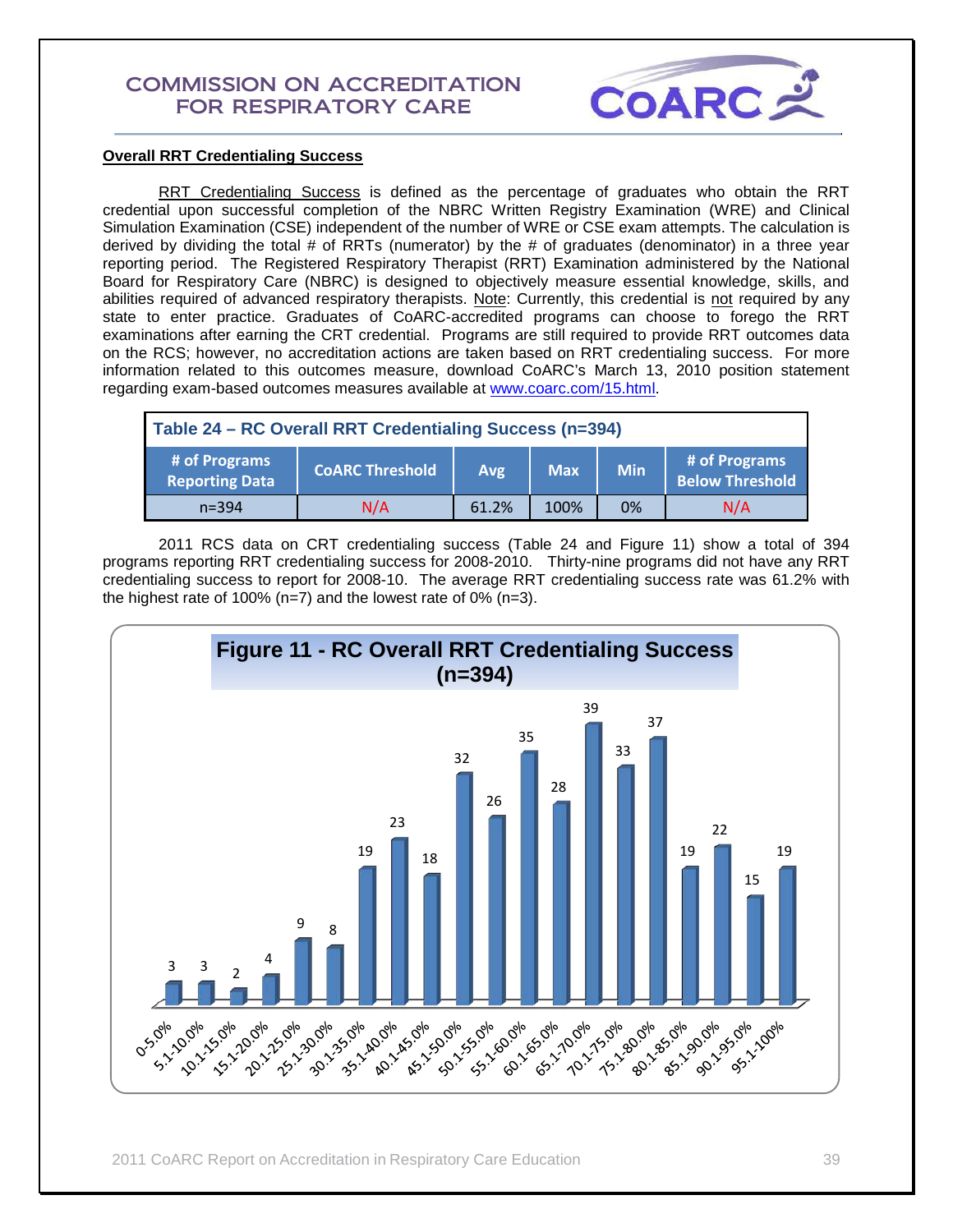

## **Overall RRT Credentialing Success**

RRT Credentialing Success is defined as the percentage of graduates who obtain the RRT credential upon successful completion of the NBRC Written Registry Examination (WRE) and Clinical Simulation Examination (CSE) independent of the number of WRE or CSE exam attempts. The calculation is derived by dividing the total # of RRTs (numerator) by the # of graduates (denominator) in a three year reporting period. The Registered Respiratory Therapist (RRT) Examination administered by the National Board for Respiratory Care (NBRC) is designed to objectively measure essential knowledge, skills, and abilities required of advanced respiratory therapists. Note: Currently, this credential is not required by any state to enter practice. Graduates of CoARC-accredited programs can choose to forego the RRT examinations after earning the CRT credential. Programs are still required to provide RRT outcomes data on the RCS; however, no accreditation actions are taken based on RRT credentialing success. For more information related to this outcomes measure, download CoARC's March 13, 2010 position statement regarding exam-based outcomes measures available at [www.coarc.com/15.html.](http://www.coarc.com/15.html)

| Table 24 - RC Overall RRT Credentialing Success (n=394) |                        |       |            |            |                                         |
|---------------------------------------------------------|------------------------|-------|------------|------------|-----------------------------------------|
| # of Programs<br><b>Reporting Data</b>                  | <b>COARC Threshold</b> | Avg   | <b>Max</b> | <b>Min</b> | # of Programs<br><b>Below Threshold</b> |
| $n = 394$                                               | N/A                    | 61.2% | 100%       | 0%         | N/A                                     |

2011 RCS data on CRT credentialing success (Table 24 and Figure 11) show a total of 394 programs reporting RRT credentialing success for 2008-2010. Thirty-nine programs did not have any RRT credentialing success to report for 2008-10. The average RRT credentialing success rate was 61.2% with the highest rate of 100% (n=7) and the lowest rate of 0% (n=3).

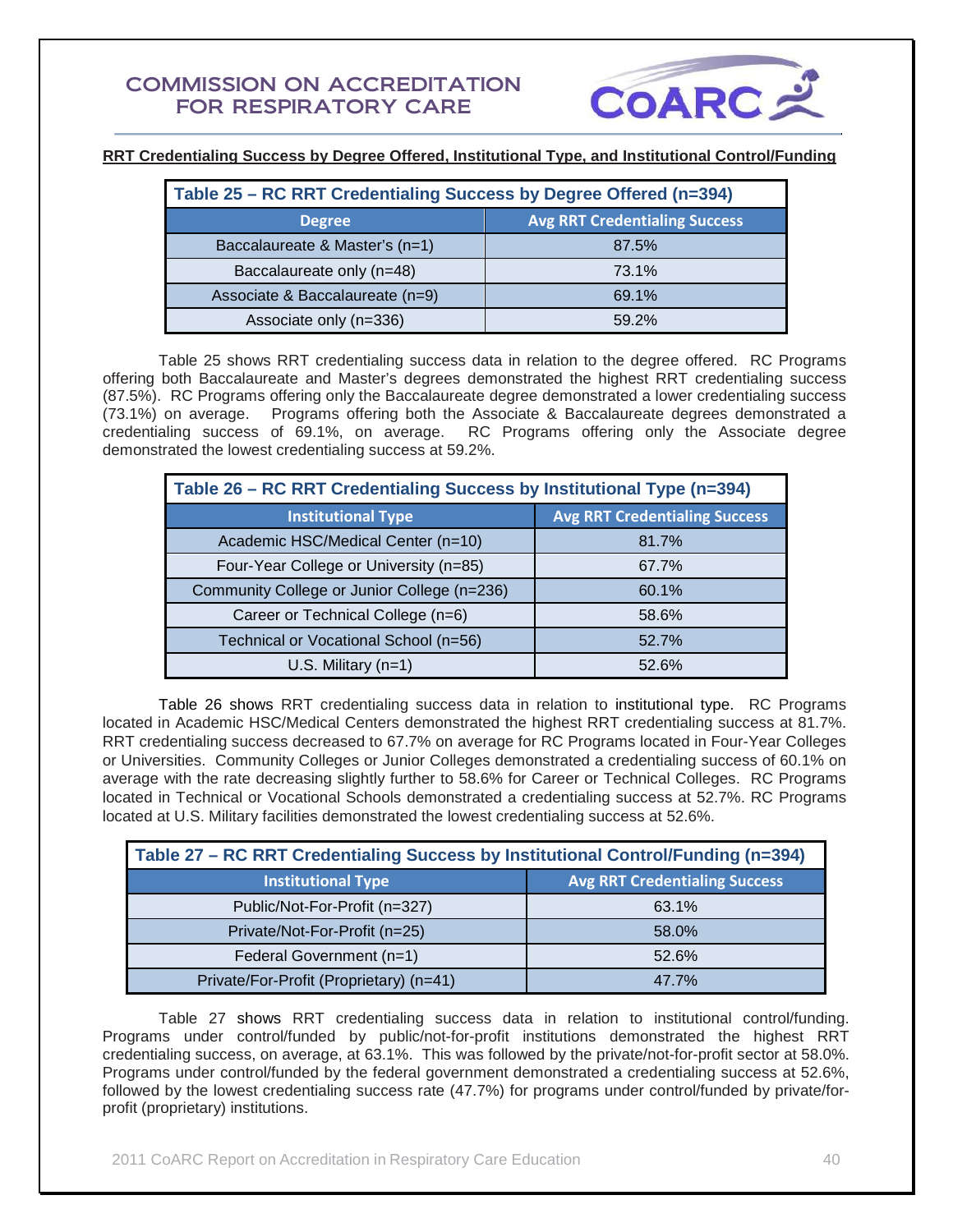

**RRT Credentialing Success by Degree Offered, Institutional Type, and Institutional Control/Funding**

| Table 25 - RC RRT Credentialing Success by Degree Offered (n=394) |                                      |  |  |
|-------------------------------------------------------------------|--------------------------------------|--|--|
| <b>Degree</b>                                                     | <b>Avg RRT Credentialing Success</b> |  |  |
| Baccalaureate & Master's (n=1)                                    | 87.5%                                |  |  |
| Baccalaureate only (n=48)                                         | 73.1%                                |  |  |
| Associate & Baccalaureate (n=9)                                   | 69.1%                                |  |  |
| Associate only (n=336)                                            | 59.2%                                |  |  |

Table 25 shows RRT credentialing success data in relation to the degree offered. RC Programs offering both Baccalaureate and Master's degrees demonstrated the highest RRT credentialing success (87.5%). RC Programs offering only the Baccalaureate degree demonstrated a lower credentialing success (73.1%) on average. Programs offering both the Associate & Baccalaureate degrees demonstrated a credentialing success of 69.1%, on average. RC Programs offering only the Associate degree demonstrated the lowest credentialing success at 59.2%.

| Table 26 - RC RRT Credentialing Success by Institutional Type (n=394) |                                      |  |  |
|-----------------------------------------------------------------------|--------------------------------------|--|--|
| <b>Institutional Type</b>                                             | <b>Avg RRT Credentialing Success</b> |  |  |
| Academic HSC/Medical Center (n=10)                                    | 81.7%                                |  |  |
| Four-Year College or University (n=85)                                | 67.7%                                |  |  |
| Community College or Junior College (n=236)                           | 60.1%                                |  |  |
| Career or Technical College (n=6)                                     | 58.6%                                |  |  |
| Technical or Vocational School (n=56)                                 | 52.7%                                |  |  |
| U.S. Military $(n=1)$                                                 | 52.6%                                |  |  |

Table 26 shows RRT credentialing success data in relation to institutional type. RC Programs located in Academic HSC/Medical Centers demonstrated the highest RRT credentialing success at 81.7%. RRT credentialing success decreased to 67.7% on average for RC Programs located in Four-Year Colleges or Universities. Community Colleges or Junior Colleges demonstrated a credentialing success of 60.1% on average with the rate decreasing slightly further to 58.6% for Career or Technical Colleges. RC Programs located in Technical or Vocational Schools demonstrated a credentialing success at 52.7%. RC Programs located at U.S. Military facilities demonstrated the lowest credentialing success at 52.6%.

| Table 27 - RC RRT Credentialing Success by Institutional Control/Funding (n=394) |                                      |  |  |
|----------------------------------------------------------------------------------|--------------------------------------|--|--|
| <b>Institutional Type</b>                                                        | <b>Avg RRT Credentialing Success</b> |  |  |
| Public/Not-For-Profit (n=327)                                                    | 63.1%                                |  |  |
| Private/Not-For-Profit (n=25)                                                    | 58.0%                                |  |  |
| Federal Government (n=1)                                                         | 52.6%                                |  |  |
| Private/For-Profit (Proprietary) (n=41)                                          | 47.7%                                |  |  |

 Table 27 shows RRT credentialing success data in relation to institutional control/funding. Programs under control/funded by public/not-for-profit institutions demonstrated the highest RRT credentialing success, on average, at 63.1%. This was followed by the private/not-for-profit sector at 58.0%. Programs under control/funded by the federal government demonstrated a credentialing success at 52.6%, followed by the lowest credentialing success rate (47.7%) for programs under control/funded by private/forprofit (proprietary) institutions.